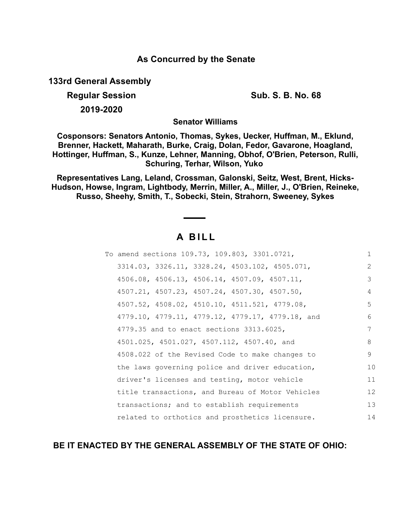## **As Concurred by the Senate**

**133rd General Assembly**

**Regular Session Sub. S. B. No. 68** 

**2019-2020**

**Senator Williams**

**Cosponsors: Senators Antonio, Thomas, Sykes, Uecker, Huffman, M., Eklund, Brenner, Hackett, Maharath, Burke, Craig, Dolan, Fedor, Gavarone, Hoagland, Hottinger, Huffman, S., Kunze, Lehner, Manning, Obhof, O'Brien, Peterson, Rulli, Schuring, Terhar, Wilson, Yuko** 

**Representatives Lang, Leland, Crossman, Galonski, Seitz, West, Brent, Hicks-Hudson, Howse, Ingram, Lightbody, Merrin, Miller, A., Miller, J., O'Brien, Reineke, Russo, Sheehy, Smith, T., Sobecki, Stein, Strahorn, Sweeney, Sykes**

# **A B I L L**

|  |  | To amend sections 109.73, 109.803, 3301.0721,    | 1              |
|--|--|--------------------------------------------------|----------------|
|  |  | 3314.03, 3326.11, 3328.24, 4503.102, 4505.071,   | $\overline{2}$ |
|  |  | 4506.08, 4506.13, 4506.14, 4507.09, 4507.11,     | 3              |
|  |  | 4507.21, 4507.23, 4507.24, 4507.30, 4507.50,     | 4              |
|  |  | 4507.52, 4508.02, 4510.10, 4511.521, 4779.08,    | 5              |
|  |  | 4779.10, 4779.11, 4779.12, 4779.17, 4779.18, and | 6              |
|  |  | 4779.35 and to enact sections 3313.6025,         | 7              |
|  |  | 4501.025, 4501.027, 4507.112, 4507.40, and       | 8              |
|  |  | 4508.022 of the Revised Code to make changes to  | 9              |
|  |  | the laws governing police and driver education,  | 10             |
|  |  | driver's licenses and testing, motor vehicle     | 11             |
|  |  | title transactions, and Bureau of Motor Vehicles | 12             |
|  |  | transactions; and to establish requirements      | 13             |
|  |  | related to orthotics and prosthetics licensure.  | 14             |

## **BE IT ENACTED BY THE GENERAL ASSEMBLY OF THE STATE OF OHIO:**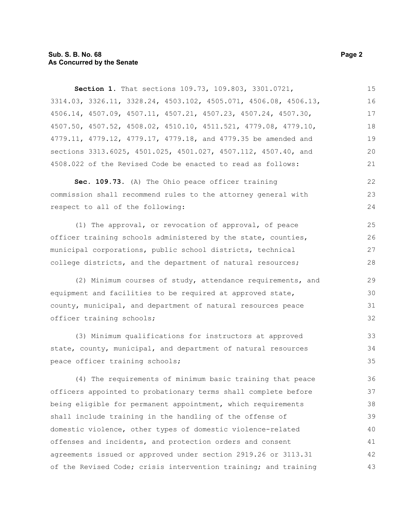3314.03, 3326.11, 3328.24, 4503.102, 4505.071, 4506.08, 4506.13, 4506.14, 4507.09, 4507.11, 4507.21, 4507.23, 4507.24, 4507.30, 4507.50, 4507.52, 4508.02, 4510.10, 4511.521, 4779.08, 4779.10, 4779.11, 4779.12, 4779.17, 4779.18, and 4779.35 be amended and sections 3313.6025, 4501.025, 4501.027, 4507.112, 4507.40, and 4508.022 of the Revised Code be enacted to read as follows: **Sec. 109.73.** (A) The Ohio peace officer training commission shall recommend rules to the attorney general with respect to all of the following: (1) The approval, or revocation of approval, of peace officer training schools administered by the state, counties, municipal corporations, public school districts, technical college districts, and the department of natural resources; (2) Minimum courses of study, attendance requirements, and equipment and facilities to be required at approved state, county, municipal, and department of natural resources peace officer training schools; (3) Minimum qualifications for instructors at approved state, county, municipal, and department of natural resources peace officer training schools; (4) The requirements of minimum basic training that peace officers appointed to probationary terms shall complete before being eligible for permanent appointment, which requirements shall include training in the handling of the offense of domestic violence, other types of domestic violence-related offenses and incidents, and protection orders and consent agreements issued or approved under section 2919.26 or 3113.31 16 17 18 19 20 21 22 23 24 25 26 27 28 29 30 31 32 33 34 35 36 37 38 39 40 41 42

of the Revised Code; crisis intervention training; and training

**Section 1.** That sections 109.73, 109.803, 3301.0721,

15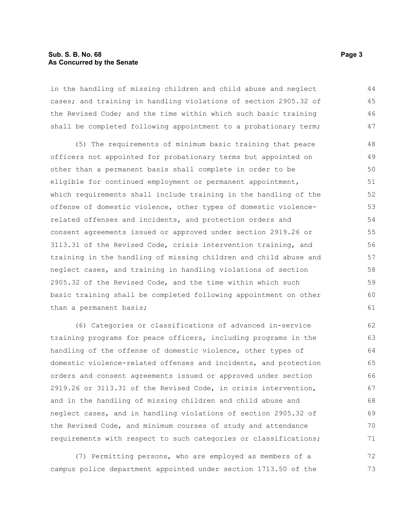#### **Sub. S. B. No. 68 Page 3 Page 3 Page 3 Page 3 Page 3 Page 3 As Concurred by the Senate**

in the handling of missing children and child abuse and neglect cases; and training in handling violations of section 2905.32 of the Revised Code; and the time within which such basic training shall be completed following appointment to a probationary term; 44 45 46 47

(5) The requirements of minimum basic training that peace officers not appointed for probationary terms but appointed on other than a permanent basis shall complete in order to be eligible for continued employment or permanent appointment, which requirements shall include training in the handling of the offense of domestic violence, other types of domestic violencerelated offenses and incidents, and protection orders and consent agreements issued or approved under section 2919.26 or 3113.31 of the Revised Code, crisis intervention training, and training in the handling of missing children and child abuse and neglect cases, and training in handling violations of section 2905.32 of the Revised Code, and the time within which such basic training shall be completed following appointment on other than a permanent basis; 48 49 50 51 52 53 54 55 56 57 58 59 60 61

(6) Categories or classifications of advanced in-service training programs for peace officers, including programs in the handling of the offense of domestic violence, other types of domestic violence-related offenses and incidents, and protection orders and consent agreements issued or approved under section 2919.26 or 3113.31 of the Revised Code, in crisis intervention, and in the handling of missing children and child abuse and neglect cases, and in handling violations of section 2905.32 of the Revised Code, and minimum courses of study and attendance requirements with respect to such categories or classifications;

(7) Permitting persons, who are employed as members of a campus police department appointed under section 1713.50 of the 72 73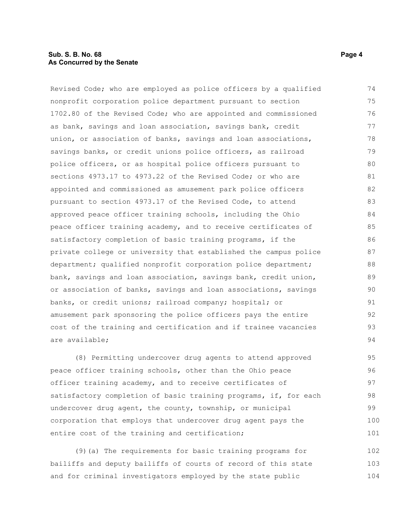#### **Sub. S. B. No. 68 Page 4 Page 4 Page 4 Page 4 Page 4 Page 4 Page 4 Page 4 As Concurred by the Senate**

Revised Code; who are employed as police officers by a qualified nonprofit corporation police department pursuant to section 1702.80 of the Revised Code; who are appointed and commissioned as bank, savings and loan association, savings bank, credit union, or association of banks, savings and loan associations, savings banks, or credit unions police officers, as railroad police officers, or as hospital police officers pursuant to sections 4973.17 to 4973.22 of the Revised Code; or who are appointed and commissioned as amusement park police officers pursuant to section 4973.17 of the Revised Code, to attend approved peace officer training schools, including the Ohio peace officer training academy, and to receive certificates of satisfactory completion of basic training programs, if the private college or university that established the campus police department; qualified nonprofit corporation police department; bank, savings and loan association, savings bank, credit union, or association of banks, savings and loan associations, savings banks, or credit unions; railroad company; hospital; or amusement park sponsoring the police officers pays the entire cost of the training and certification and if trainee vacancies are available; 74 75 76 77 78 79 80 81 82 83 84 85 86 87 88 89 90 91 92 93 94

(8) Permitting undercover drug agents to attend approved peace officer training schools, other than the Ohio peace officer training academy, and to receive certificates of satisfactory completion of basic training programs, if, for each undercover drug agent, the county, township, or municipal corporation that employs that undercover drug agent pays the entire cost of the training and certification; 95 96 97 98 99 100 101

(9)(a) The requirements for basic training programs for bailiffs and deputy bailiffs of courts of record of this state and for criminal investigators employed by the state public 102 103 104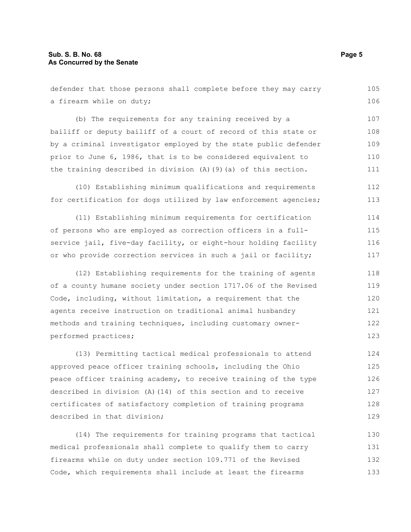defender that those persons shall complete before they may carry a firearm while on duty; (b) The requirements for any training received by a bailiff or deputy bailiff of a court of record of this state or by a criminal investigator employed by the state public defender prior to June 6, 1986, that is to be considered equivalent to the training described in division (A)(9)(a) of this section. (10) Establishing minimum qualifications and requirements for certification for dogs utilized by law enforcement agencies; (11) Establishing minimum requirements for certification of persons who are employed as correction officers in a fullservice jail, five-day facility, or eight-hour holding facility or who provide correction services in such a jail or facility; (12) Establishing requirements for the training of agents of a county humane society under section 1717.06 of the Revised Code, including, without limitation, a requirement that the agents receive instruction on traditional animal husbandry methods and training techniques, including customary ownerperformed practices; 106 107 108 109 110 111 112 113 114 115 116 117 118 119 120 121 122 123

(13) Permitting tactical medical professionals to attend approved peace officer training schools, including the Ohio peace officer training academy, to receive training of the type described in division (A)(14) of this section and to receive certificates of satisfactory completion of training programs described in that division; 124 125 126 127 128 129

(14) The requirements for training programs that tactical medical professionals shall complete to qualify them to carry firearms while on duty under section 109.771 of the Revised Code, which requirements shall include at least the firearms 130 131 132 133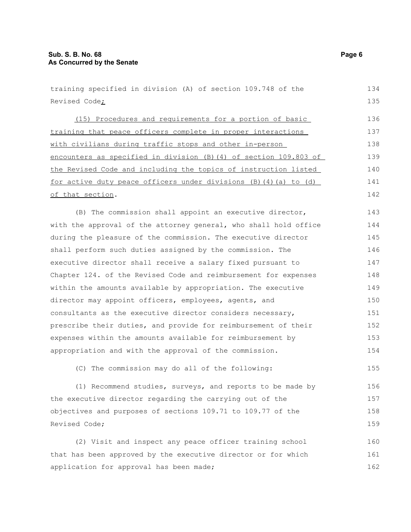| training specified in division (A) of section 109.748 of the      | 134 |
|-------------------------------------------------------------------|-----|
| Revised Code;                                                     | 135 |
|                                                                   |     |
| (15) Procedures and requirements for a portion of basic           | 136 |
| training that peace officers complete in proper interactions      | 137 |
| with civilians during traffic stops and other in-person           | 138 |
| encounters as specified in division (B) (4) of section 109.803 of | 139 |
| the Revised Code and including the topics of instruction listed   | 140 |
| for active duty peace officers under divisions (B) (4) (a) to (d) | 141 |
| of that section.                                                  | 142 |
| (B) The commission shall appoint an executive director,           | 143 |
| with the approval of the attorney general, who shall hold office  | 144 |
| during the pleasure of the commission. The executive director     | 145 |
| shall perform such duties assigned by the commission. The         | 146 |
| executive director shall receive a salary fixed pursuant to       | 147 |
| Chapter 124. of the Revised Code and reimbursement for expenses   | 148 |
| within the amounts available by appropriation. The executive      | 149 |
| director may appoint officers, employees, agents, and             | 150 |
| consultants as the executive director considers necessary,        | 151 |
| prescribe their duties, and provide for reimbursement of their    | 152 |
| expenses within the amounts available for reimbursement by        | 153 |
| appropriation and with the approval of the commission.            | 154 |
| (C) The commission may do all of the following:                   | 155 |
| (1) Recommend studies, surveys, and reports to be made by         | 156 |
| the executive director regarding the carrying out of the          | 157 |
| objectives and purposes of sections 109.71 to 109.77 of the       | 158 |
| Revised Code;                                                     | 159 |
| (2) Visit and inspect any peace officer training school           | 160 |
| that has been approved by the executive director or for which     | 161 |
| application for approval has been made;                           | 162 |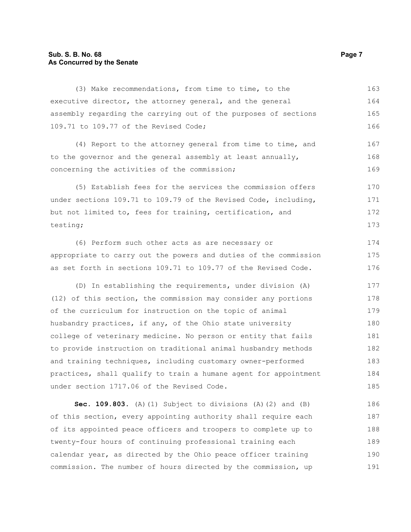### **Sub. S. B. No. 68** Page 7 **As Concurred by the Senate**

| (3) Make recommendations, from time to time, to the               | 163 |
|-------------------------------------------------------------------|-----|
| executive director, the attorney general, and the general         | 164 |
| assembly regarding the carrying out of the purposes of sections   | 165 |
| 109.71 to 109.77 of the Revised Code;                             | 166 |
| (4) Report to the attorney general from time to time, and         | 167 |
| to the governor and the general assembly at least annually,       | 168 |
| concerning the activities of the commission;                      | 169 |
| (5) Establish fees for the services the commission offers         | 170 |
| under sections 109.71 to 109.79 of the Revised Code, including,   | 171 |
| but not limited to, fees for training, certification, and         | 172 |
| testing;                                                          | 173 |
| (6) Perform such other acts as are necessary or                   | 174 |
| appropriate to carry out the powers and duties of the commission  | 175 |
| as set forth in sections 109.71 to 109.77 of the Revised Code.    | 176 |
| (D) In establishing the requirements, under division (A)          | 177 |
| (12) of this section, the commission may consider any portions    | 178 |
| of the curriculum for instruction on the topic of animal          | 179 |
| husbandry practices, if any, of the Ohio state university         | 180 |
| college of veterinary medicine. No person or entity that fails    | 181 |
| to provide instruction on traditional animal husbandry methods    | 182 |
| and training techniques, including customary owner-performed      | 183 |
| practices, shall qualify to train a humane agent for appointment  | 184 |
| under section 1717.06 of the Revised Code.                        | 185 |
| <b>Sec. 109.803.</b> (A) (1) Subject to divisions (A) (2) and (B) | 186 |
| of this section, every appointing authority shall require each    | 187 |
| of its appointed peace officers and troopers to complete up to    | 188 |
| twenty-four hours of continuing professional training each        | 189 |
| calendar year, as directed by the Ohio peace officer training     | 190 |
| commission. The number of hours directed by the commission, up    | 191 |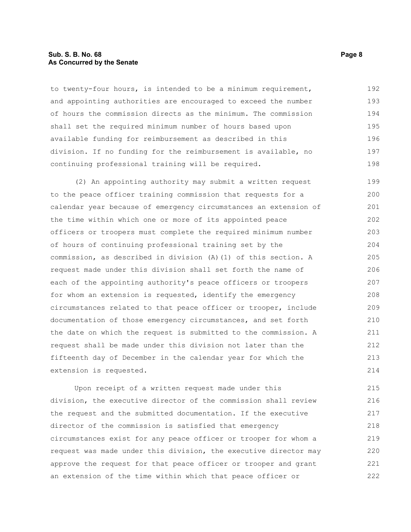#### **Sub. S. B. No. 68 Page 8 Page 8 Page 8 Page 8 Page 8 Page 8 Page 8 Page 8 As Concurred by the Senate**

to twenty-four hours, is intended to be a minimum requirement, and appointing authorities are encouraged to exceed the number of hours the commission directs as the minimum. The commission shall set the required minimum number of hours based upon available funding for reimbursement as described in this division. If no funding for the reimbursement is available, no continuing professional training will be required. 192 193 194 195 196 197 198

(2) An appointing authority may submit a written request to the peace officer training commission that requests for a calendar year because of emergency circumstances an extension of the time within which one or more of its appointed peace officers or troopers must complete the required minimum number of hours of continuing professional training set by the commission, as described in division (A)(1) of this section. A request made under this division shall set forth the name of each of the appointing authority's peace officers or troopers for whom an extension is requested, identify the emergency circumstances related to that peace officer or trooper, include documentation of those emergency circumstances, and set forth the date on which the request is submitted to the commission. A request shall be made under this division not later than the fifteenth day of December in the calendar year for which the extension is requested. 199 200 201 202 203 204 205 206 207 208 209 210 211 212 213 214

Upon receipt of a written request made under this division, the executive director of the commission shall review the request and the submitted documentation. If the executive director of the commission is satisfied that emergency circumstances exist for any peace officer or trooper for whom a request was made under this division, the executive director may approve the request for that peace officer or trooper and grant an extension of the time within which that peace officer or 215 216 217 218 219 220 221 222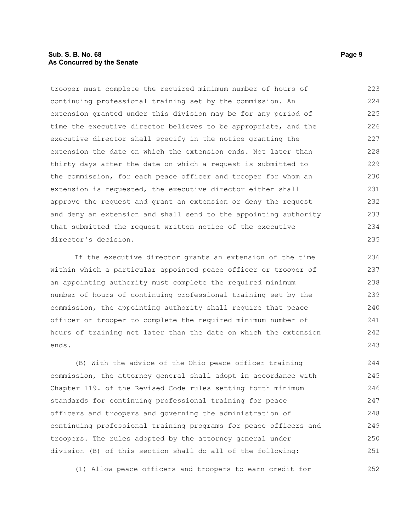#### **Sub. S. B. No. 68 Page 9 Page 9 Page 9 Page 9 Page 9 Page 9 Page 9 Page 9 Page 9 Page 9 Page 9 Page 9 Page 9 Page 9 Page 9 Page 9 Page 9 Page 9 Page 9 Page 9 Page 1 Page 1 Pag As Concurred by the Senate**

trooper must complete the required minimum number of hours of continuing professional training set by the commission. An extension granted under this division may be for any period of time the executive director believes to be appropriate, and the executive director shall specify in the notice granting the extension the date on which the extension ends. Not later than thirty days after the date on which a request is submitted to the commission, for each peace officer and trooper for whom an extension is requested, the executive director either shall approve the request and grant an extension or deny the request and deny an extension and shall send to the appointing authority that submitted the request written notice of the executive director's decision. 223 224 225 226 227 228 229 230 231 232 233 234 235

If the executive director grants an extension of the time within which a particular appointed peace officer or trooper of an appointing authority must complete the required minimum number of hours of continuing professional training set by the commission, the appointing authority shall require that peace officer or trooper to complete the required minimum number of hours of training not later than the date on which the extension ends.

(B) With the advice of the Ohio peace officer training commission, the attorney general shall adopt in accordance with Chapter 119. of the Revised Code rules setting forth minimum standards for continuing professional training for peace officers and troopers and governing the administration of continuing professional training programs for peace officers and troopers. The rules adopted by the attorney general under division (B) of this section shall do all of the following: 244 245 246 247 248 249 250 251

(1) Allow peace officers and troopers to earn credit for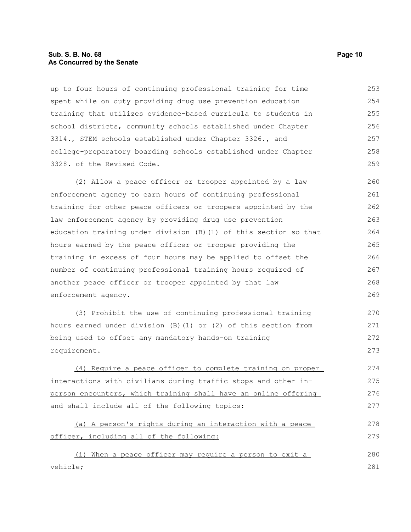#### **Sub. S. B. No. 68 Page 10 As Concurred by the Senate**

up to four hours of continuing professional training for time spent while on duty providing drug use prevention education training that utilizes evidence-based curricula to students in school districts, community schools established under Chapter 3314., STEM schools established under Chapter 3326., and college-preparatory boarding schools established under Chapter 3328. of the Revised Code. 253 254 255 256 257 258 259

(2) Allow a peace officer or trooper appointed by a law enforcement agency to earn hours of continuing professional training for other peace officers or troopers appointed by the law enforcement agency by providing drug use prevention education training under division (B)(1) of this section so that hours earned by the peace officer or trooper providing the training in excess of four hours may be applied to offset the number of continuing professional training hours required of another peace officer or trooper appointed by that law enforcement agency. 260 261 262 263 264 265 266 267 268 269

(3) Prohibit the use of continuing professional training hours earned under division (B)(1) or (2) of this section from being used to offset any mandatory hands-on training requirement. 270 271 272 273

(4) Require a peace officer to complete training on proper interactions with civilians during traffic stops and other inperson encounters, which training shall have an online offering and shall include all of the following topics: 274 275 276 277

(a) A person's rights during an interaction with a peace officer, including all of the following: 278 279

(i) When a peace officer may require a person to exit a vehicle; 280 281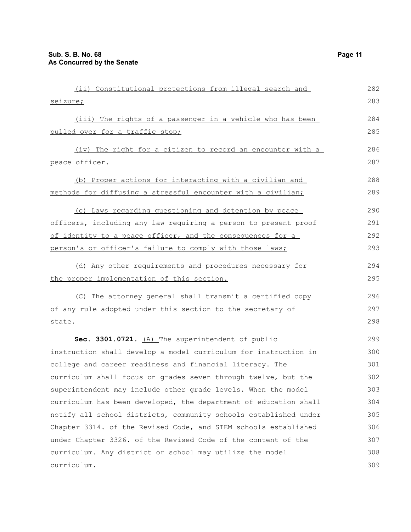| (ii) Constitutional protections from illegal search and          | 282 |
|------------------------------------------------------------------|-----|
| seizure;                                                         | 283 |
| (iii) The rights of a passenger in a vehicle who has been        | 284 |
| pulled over for a traffic stop;                                  | 285 |
| (iv) The right for a citizen to record an encounter with a       | 286 |
| peace officer.                                                   | 287 |
| (b) Proper actions for interacting with a civilian and           | 288 |
| methods for diffusing a stressful encounter with a civilian;     | 289 |
| (c) Laws regarding questioning and detention by peace            | 290 |
| officers, including any law requiring a person to present proof  | 291 |
| of identity to a peace officer, and the consequences for a       | 292 |
| person's or officer's failure to comply with those laws;         | 293 |
| (d) Any other requirements and procedures necessary for          | 294 |
| the proper implementation of this section.                       | 295 |
| (C) The attorney general shall transmit a certified copy         | 296 |
| of any rule adopted under this section to the secretary of       | 297 |
| state.                                                           | 298 |
| Sec. 3301.0721. (A) The superintendent of public                 | 299 |
| instruction shall develop a model curriculum for instruction in  | 300 |
| college and career readiness and financial literacy. The         | 301 |
| curriculum shall focus on grades seven through twelve, but the   | 302 |
| superintendent may include other grade levels. When the model    | 303 |
| curriculum has been developed, the department of education shall | 304 |
| notify all school districts, community schools established under | 305 |
| Chapter 3314. of the Revised Code, and STEM schools established  | 306 |
| under Chapter 3326. of the Revised Code of the content of the    | 307 |
| curriculum. Any district or school may utilize the model         | 308 |
| curriculum.                                                      | 309 |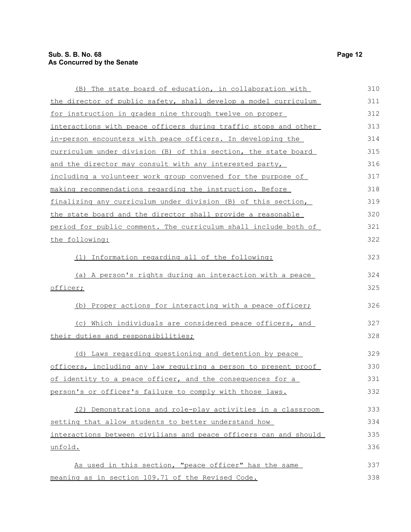| (B) The state board of education, in collaboration with            | 310 |
|--------------------------------------------------------------------|-----|
| the director of public safety, shall develop a model curriculum    | 311 |
| <u>for instruction in grades nine through twelve on proper</u>     | 312 |
| interactions with peace officers during traffic stops and other    | 313 |
| <u>in-person encounters with peace officers. In developing the</u> | 314 |
| curriculum under division (B) of this section, the state board     | 315 |
| and the director may consult with any interested party,            | 316 |
| including a volunteer work group convened for the purpose of       | 317 |
| making recommendations regarding the instruction. Before           | 318 |
| finalizing any curriculum under division (B) of this section,      | 319 |
| the state board and the director shall provide a reasonable        | 320 |
| period for public comment. The curriculum shall include both of    | 321 |
| the following:                                                     | 322 |
| (1) Information regarding all of the following:                    | 323 |
| (a) A person's rights during an interaction with a peace           | 324 |
| officer;                                                           | 325 |
| (b) Proper actions for interacting with a peace officer;           | 326 |
| (c) Which individuals are considered peace officers, and           | 327 |
| their duties and responsibilities;                                 | 328 |
| (d) Laws regarding questioning and detention by peace              | 329 |
| officers, including any law requiring a person to present proof    | 330 |
| of identity to a peace officer, and the consequences for a         | 331 |
| person's or officer's failure to comply with those laws.           | 332 |
| (2) Demonstrations and role-play activities in a classroom         | 333 |
| setting that allow students to better understand how               | 334 |
| interactions between civilians and peace officers can and should   | 335 |
| unfold.                                                            | 336 |
| As used in this section, "peace officer" has the same              | 337 |
| meaning as in section 109.71 of the Revised Code.                  | 338 |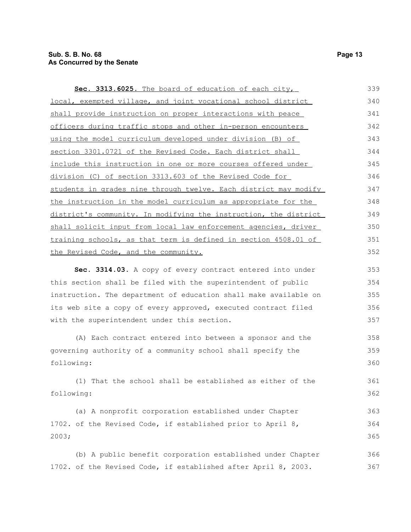| Sec. 3313.6025. The board of education of each city,             | 339 |
|------------------------------------------------------------------|-----|
| local, exempted village, and joint vocational school district    | 340 |
| shall provide instruction on proper interactions with peace      | 341 |
| officers during traffic stops and other in-person encounters     | 342 |
| using the model curriculum developed under division (B) of       | 343 |
| section 3301.0721 of the Revised Code. Each district shall       | 344 |
| include this instruction in one or more courses offered under    | 345 |
| division (C) of section 3313.603 of the Revised Code for         | 346 |
| students in grades nine through twelve. Each district may modify | 347 |
| the instruction in the model curriculum as appropriate for the   | 348 |
| district's community. In modifying the instruction, the district | 349 |
| shall solicit input from local law enforcement agencies, driver  | 350 |
| training schools, as that term is defined in section 4508.01 of  | 351 |
| the Revised Code, and the community.                             | 352 |
| Sec. 3314.03. A copy of every contract entered into under        | 353 |
| this section shall be filed with the superintendent of public    | 354 |
| instruction. The department of education shall make available on | 355 |
| its web site a copy of every approved, executed contract filed   | 356 |
| with the superintendent under this section.                      | 357 |
| (A) Each contract entered into between a sponsor and the         | 358 |
| governing authority of a community school shall specify the      | 359 |
| following:                                                       | 360 |

(1) That the school shall be established as either of the following: 361 362

(a) A nonprofit corporation established under Chapter 1702. of the Revised Code, if established prior to April 8, 2003; 363 364 365

(b) A public benefit corporation established under Chapter 1702. of the Revised Code, if established after April 8, 2003. 366 367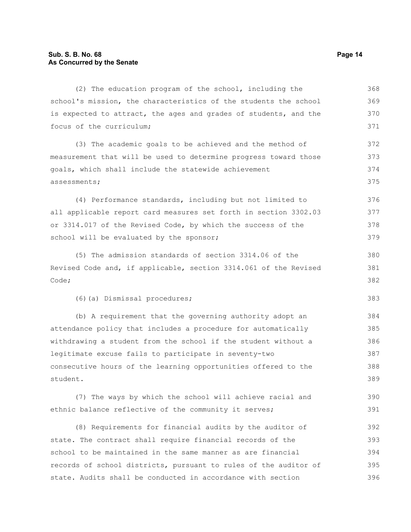#### **Sub. S. B. No. 68 Page 14 As Concurred by the Senate**

(2) The education program of the school, including the school's mission, the characteristics of the students the school is expected to attract, the ages and grades of students, and the focus of the curriculum; 368 369 370 371

(3) The academic goals to be achieved and the method of measurement that will be used to determine progress toward those goals, which shall include the statewide achievement assessments; 372 373 374 375

(4) Performance standards, including but not limited to all applicable report card measures set forth in section 3302.03 or 3314.017 of the Revised Code, by which the success of the school will be evaluated by the sponsor; 376 377 378 379

(5) The admission standards of section 3314.06 of the Revised Code and, if applicable, section 3314.061 of the Revised Code; 380 381 382

(6)(a) Dismissal procedures;

(b) A requirement that the governing authority adopt an attendance policy that includes a procedure for automatically withdrawing a student from the school if the student without a legitimate excuse fails to participate in seventy-two consecutive hours of the learning opportunities offered to the student. 384 385 386 387 388 389

(7) The ways by which the school will achieve racial and ethnic balance reflective of the community it serves; 390 391

(8) Requirements for financial audits by the auditor of state. The contract shall require financial records of the school to be maintained in the same manner as are financial records of school districts, pursuant to rules of the auditor of state. Audits shall be conducted in accordance with section 392 393 394 395 396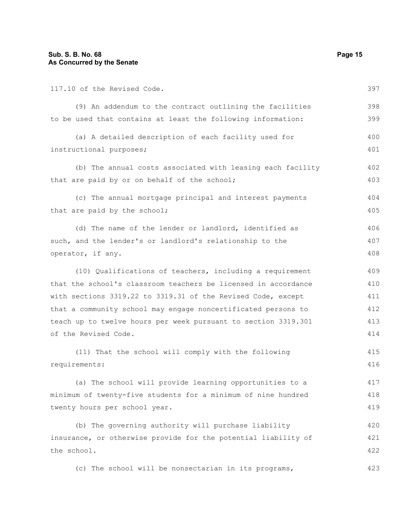117.10 of the Revised Code.

397

(9) An addendum to the contract outlining the facilities to be used that contains at least the following information: (a) A detailed description of each facility used for instructional purposes; (b) The annual costs associated with leasing each facility that are paid by or on behalf of the school; (c) The annual mortgage principal and interest payments that are paid by the school; (d) The name of the lender or landlord, identified as such, and the lender's or landlord's relationship to the operator, if any. (10) Qualifications of teachers, including a requirement that the school's classroom teachers be licensed in accordance with sections 3319.22 to 3319.31 of the Revised Code, except that a community school may engage noncertificated persons to teach up to twelve hours per week pursuant to section 3319.301 of the Revised Code. (11) That the school will comply with the following requirements: (a) The school will provide learning opportunities to a minimum of twenty-five students for a minimum of nine hundred twenty hours per school year. (b) The governing authority will purchase liability insurance, or otherwise provide for the potential liability of the school. (c) The school will be nonsectarian in its programs, 398 399 400 401 402 403 404 405 406 407 408 409 410 411 412 413 414 415 416 417 418 419 420 421 422 423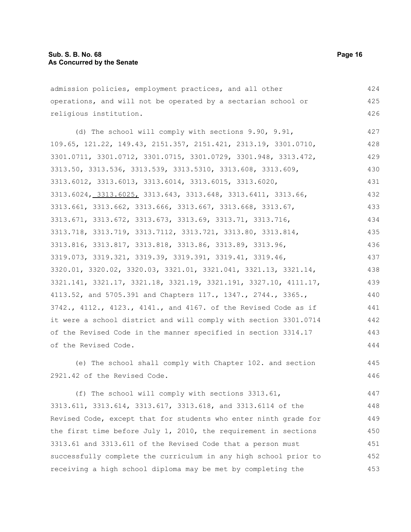| admission policies, employment practices, and all other          | 424 |
|------------------------------------------------------------------|-----|
| operations, and will not be operated by a sectarian school or    | 425 |
| religious institution.                                           | 426 |
| (d) The school will comply with sections 9.90, 9.91,             | 427 |
| 109.65, 121.22, 149.43, 2151.357, 2151.421, 2313.19, 3301.0710,  | 428 |
| 3301.0711, 3301.0712, 3301.0715, 3301.0729, 3301.948, 3313.472,  | 429 |
| 3313.50, 3313.536, 3313.539, 3313.5310, 3313.608, 3313.609,      | 430 |
| 3313.6012, 3313.6013, 3313.6014, 3313.6015, 3313.6020,           | 431 |
| 3313.6024, 3313.6025, 3313.643, 3313.648, 3313.6411, 3313.66,    | 432 |
| 3313.661, 3313.662, 3313.666, 3313.667, 3313.668, 3313.67,       | 433 |
| 3313.671, 3313.672, 3313.673, 3313.69, 3313.71, 3313.716,        | 434 |
| 3313.718, 3313.719, 3313.7112, 3313.721, 3313.80, 3313.814,      | 435 |
| 3313.816, 3313.817, 3313.818, 3313.86, 3313.89, 3313.96,         | 436 |
| 3319.073, 3319.321, 3319.39, 3319.391, 3319.41, 3319.46,         | 437 |
| 3320.01, 3320.02, 3320.03, 3321.01, 3321.041, 3321.13, 3321.14,  | 438 |
| 3321.141, 3321.17, 3321.18, 3321.19, 3321.191, 3327.10, 4111.17, | 439 |
| 4113.52, and 5705.391 and Chapters 117., 1347., 2744., 3365.,    | 440 |
| 3742., 4112., 4123., 4141., and 4167. of the Revised Code as if  | 441 |
| it were a school district and will comply with section 3301.0714 | 442 |
| of the Revised Code in the manner specified in section 3314.17   | 443 |
| of the Revised Code.                                             | 444 |
| (e) The school shall comply with Chapter 102. and section        | 445 |
| 2921.42 of the Revised Code.                                     | 446 |
| (f) The school will comply with sections 3313.61,                | 447 |
| 3313.611, 3313.614, 3313.617, 3313.618, and 3313.6114 of the     | 448 |
| Revised Code, except that for students who enter ninth grade for | 449 |
| the first time before July 1, 2010, the requirement in sections  | 450 |
| 3313.61 and 3313.611 of the Revised Code that a person must      | 451 |
| successfully complete the curriculum in any high school prior to | 452 |
| receiving a high school diploma may be met by completing the     | 453 |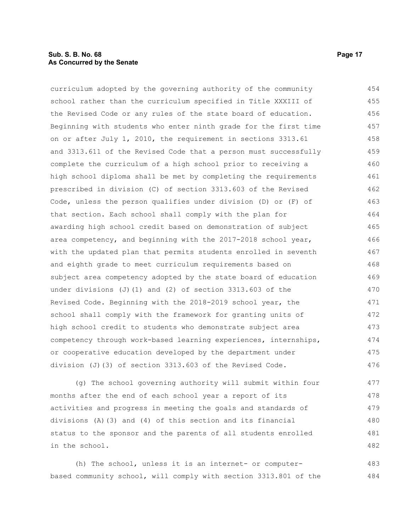#### **Sub. S. B. No. 68 Page 17 As Concurred by the Senate**

curriculum adopted by the governing authority of the community school rather than the curriculum specified in Title XXXIII of the Revised Code or any rules of the state board of education. Beginning with students who enter ninth grade for the first time on or after July 1, 2010, the requirement in sections 3313.61 and 3313.611 of the Revised Code that a person must successfully complete the curriculum of a high school prior to receiving a high school diploma shall be met by completing the requirements prescribed in division (C) of section 3313.603 of the Revised Code, unless the person qualifies under division (D) or (F) of that section. Each school shall comply with the plan for awarding high school credit based on demonstration of subject area competency, and beginning with the 2017-2018 school year, with the updated plan that permits students enrolled in seventh and eighth grade to meet curriculum requirements based on subject area competency adopted by the state board of education under divisions (J)(1) and (2) of section  $3313.603$  of the Revised Code. Beginning with the 2018-2019 school year, the school shall comply with the framework for granting units of high school credit to students who demonstrate subject area competency through work-based learning experiences, internships, or cooperative education developed by the department under division (J)(3) of section 3313.603 of the Revised Code. 454 455 456 457 458 459 460 461 462 463 464 465 466 467 468 469 470 471 472 473 474 475 476

(g) The school governing authority will submit within four months after the end of each school year a report of its activities and progress in meeting the goals and standards of divisions (A)(3) and (4) of this section and its financial status to the sponsor and the parents of all students enrolled in the school. 477 478 479 480 481 482

(h) The school, unless it is an internet- or computerbased community school, will comply with section 3313.801 of the 483 484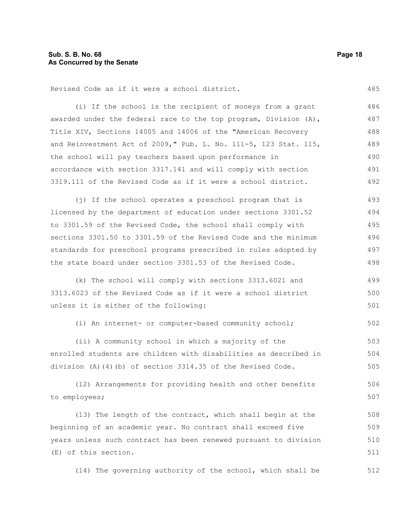Revised Code as if it were a school district.

(i) If the school is the recipient of moneys from a grant awarded under the federal race to the top program, Division (A), Title XIV, Sections 14005 and 14006 of the "American Recovery and Reinvestment Act of 2009," Pub. L. No. 111-5, 123 Stat. 115, the school will pay teachers based upon performance in accordance with section 3317.141 and will comply with section 3319.111 of the Revised Code as if it were a school district. 486 487 488 489 490 491 492

(j) If the school operates a preschool program that is licensed by the department of education under sections 3301.52 to 3301.59 of the Revised Code, the school shall comply with sections 3301.50 to 3301.59 of the Revised Code and the minimum standards for preschool programs prescribed in rules adopted by the state board under section 3301.53 of the Revised Code. 493 494 495 496 497 498

(k) The school will comply with sections 3313.6021 and 3313.6023 of the Revised Code as if it were a school district unless it is either of the following: 499 500 501

(i) An internet- or computer-based community school; 502

(ii) A community school in which a majority of the enrolled students are children with disabilities as described in division (A)(4)(b) of section 3314.35 of the Revised Code. 503 504 505

(12) Arrangements for providing health and other benefits to employees; 506 507

(13) The length of the contract, which shall begin at the beginning of an academic year. No contract shall exceed five years unless such contract has been renewed pursuant to division (E) of this section. 508 509 510 511

(14) The governing authority of the school, which shall be 512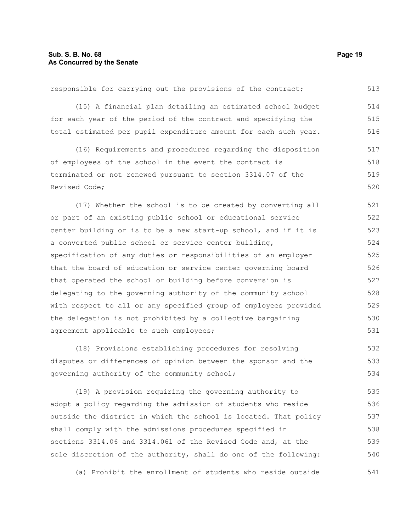| (15) A financial plan detailing an estimated school budget       | 514 |
|------------------------------------------------------------------|-----|
| for each year of the period of the contract and specifying the   | 515 |
| total estimated per pupil expenditure amount for each such year. | 516 |
| (16) Requirements and procedures regarding the disposition       | 517 |
| of employees of the school in the event the contract is          | 518 |
| terminated or not renewed pursuant to section 3314.07 of the     | 519 |
| Revised Code;                                                    | 520 |
| (17) Whether the school is to be created by converting all       | 521 |
| or part of an existing public school or educational service      | 522 |
| center building or is to be a new start-up school, and if it is  | 523 |
| a converted public school or service center building,            | 524 |
| specification of any duties or responsibilities of an employer   | 525 |
| that the board of education or service center governing board    | 526 |
| that operated the school or building before conversion is        | 527 |
| delegating to the governing authority of the community school    | 528 |
| with respect to all or any specified group of employees provided | 529 |
| the delegation is not prohibited by a collective bargaining      | 530 |
| agreement applicable to such employees;                          | 531 |
| (18) Provisions establishing procedures for resolving            | 532 |
| disputes or differences of opinion between the sponsor and the   | 533 |

responsible for carrying out the provisions of the contract;

disputes or differences of opinion between the sponsor and the governing authority of the community school; 533 534

(19) A provision requiring the governing authority to adopt a policy regarding the admission of students who reside outside the district in which the school is located. That policy shall comply with the admissions procedures specified in sections 3314.06 and 3314.061 of the Revised Code and, at the sole discretion of the authority, shall do one of the following: 535 536 537 538 539 540

(a) Prohibit the enrollment of students who reside outside 541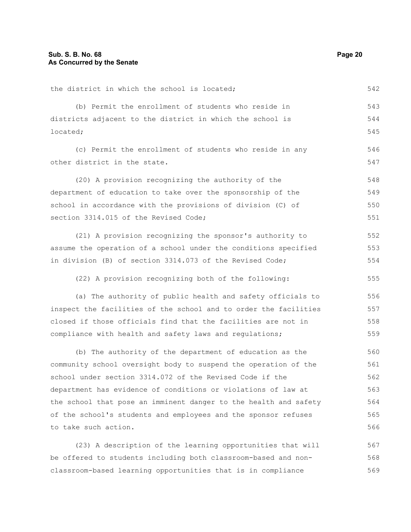| the district in which the school is located;                     | 542 |
|------------------------------------------------------------------|-----|
| (b) Permit the enrollment of students who reside in              | 543 |
| districts adjacent to the district in which the school is        | 544 |
| located;                                                         | 545 |
| (c) Permit the enrollment of students who reside in any          | 546 |
| other district in the state.                                     | 547 |
| (20) A provision recognizing the authority of the                | 548 |
| department of education to take over the sponsorship of the      | 549 |
| school in accordance with the provisions of division (C) of      | 550 |
| section 3314.015 of the Revised Code;                            | 551 |
| (21) A provision recognizing the sponsor's authority to          | 552 |
| assume the operation of a school under the conditions specified  | 553 |
| in division (B) of section 3314.073 of the Revised Code;         | 554 |
| (22) A provision recognizing both of the following:              | 555 |
| (a) The authority of public health and safety officials to       | 556 |
| inspect the facilities of the school and to order the facilities | 557 |
| closed if those officials find that the facilities are not in    | 558 |
| compliance with health and safety laws and regulations;          | 559 |
| (b) The authority of the department of education as the          | 560 |
| community school oversight body to suspend the operation of the  | 561 |
| school under section 3314.072 of the Revised Code if the         | 562 |
| department has evidence of conditions or violations of law at    | 563 |
| the school that pose an imminent danger to the health and safety | 564 |
| of the school's students and employees and the sponsor refuses   | 565 |
| to take such action.                                             | 566 |
| (23) A description of the learning opportunities that will       | 567 |
| be offered to students including both classroom-based and non-   | 568 |

classroom-based learning opportunities that is in compliance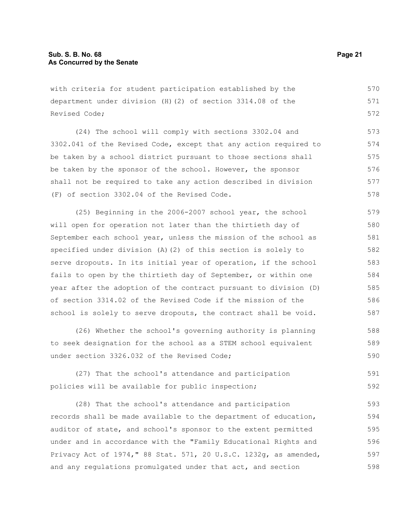with criteria for student participation established by the department under division (H)(2) of section 3314.08 of the Revised Code; 570 571 572

(24) The school will comply with sections 3302.04 and 3302.041 of the Revised Code, except that any action required to be taken by a school district pursuant to those sections shall be taken by the sponsor of the school. However, the sponsor shall not be required to take any action described in division (F) of section 3302.04 of the Revised Code. 573 574 575 576 577 578

(25) Beginning in the 2006-2007 school year, the school will open for operation not later than the thirtieth day of September each school year, unless the mission of the school as specified under division (A)(2) of this section is solely to serve dropouts. In its initial year of operation, if the school fails to open by the thirtieth day of September, or within one year after the adoption of the contract pursuant to division (D) of section 3314.02 of the Revised Code if the mission of the school is solely to serve dropouts, the contract shall be void. 579 580 581 582 583 584 585 586 587

(26) Whether the school's governing authority is planning to seek designation for the school as a STEM school equivalent under section 3326.032 of the Revised Code;

(27) That the school's attendance and participation policies will be available for public inspection; 591 592

(28) That the school's attendance and participation records shall be made available to the department of education, auditor of state, and school's sponsor to the extent permitted under and in accordance with the "Family Educational Rights and Privacy Act of 1974," 88 Stat. 571, 20 U.S.C. 1232g, as amended, and any regulations promulgated under that act, and section 593 594 595 596 597 598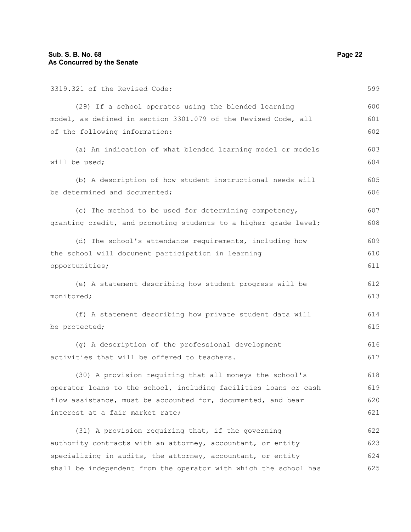will be used;

3319.321 of the Revised Code; (29) If a school operates using the blended learning model, as defined in section 3301.079 of the Revised Code, all of the following information: (a) An indication of what blended learning model or models

(b) A description of how student instructional needs will be determined and documented; 605 606

(c) The method to be used for determining competency, granting credit, and promoting students to a higher grade level; 607 608

(d) The school's attendance requirements, including how the school will document participation in learning opportunities; 609 610 611

(e) A statement describing how student progress will be monitored; 612 613

(f) A statement describing how private student data will be protected; 614 615

(g) A description of the professional development activities that will be offered to teachers. 616 617

(30) A provision requiring that all moneys the school's operator loans to the school, including facilities loans or cash flow assistance, must be accounted for, documented, and bear interest at a fair market rate; 618 619 620 621

(31) A provision requiring that, if the governing authority contracts with an attorney, accountant, or entity specializing in audits, the attorney, accountant, or entity shall be independent from the operator with which the school has 622 623 624 625

599

600 601 602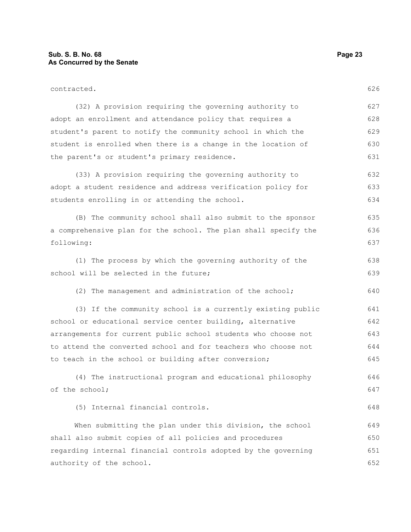authority of the school.

contracted. (32) A provision requiring the governing authority to adopt an enrollment and attendance policy that requires a student's parent to notify the community school in which the student is enrolled when there is a change in the location of the parent's or student's primary residence. (33) A provision requiring the governing authority to adopt a student residence and address verification policy for students enrolling in or attending the school. (B) The community school shall also submit to the sponsor a comprehensive plan for the school. The plan shall specify the following: (1) The process by which the governing authority of the school will be selected in the future; (2) The management and administration of the school; (3) If the community school is a currently existing public school or educational service center building, alternative arrangements for current public school students who choose not to attend the converted school and for teachers who choose not to teach in the school or building after conversion; (4) The instructional program and educational philosophy of the school; (5) Internal financial controls. When submitting the plan under this division, the school shall also submit copies of all policies and procedures regarding internal financial controls adopted by the governing 626 627 628 629 630 631 632 633 634 635 636 637 638 639 640 641 642 643 644 645 646 647 648 649 650 651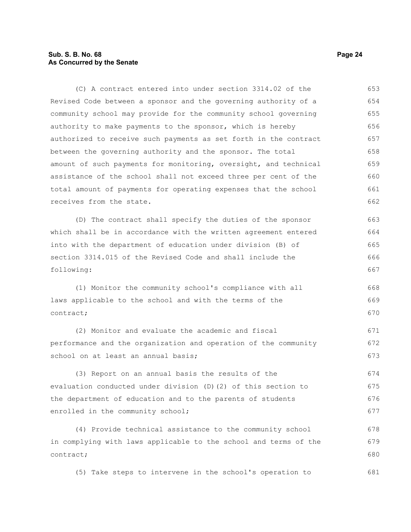#### **Sub. S. B. No. 68 Page 24 As Concurred by the Senate**

(C) A contract entered into under section 3314.02 of the Revised Code between a sponsor and the governing authority of a community school may provide for the community school governing authority to make payments to the sponsor, which is hereby authorized to receive such payments as set forth in the contract between the governing authority and the sponsor. The total amount of such payments for monitoring, oversight, and technical assistance of the school shall not exceed three per cent of the total amount of payments for operating expenses that the school receives from the state. 653 654 655 656 657 658 659 660 661 662

(D) The contract shall specify the duties of the sponsor which shall be in accordance with the written agreement entered into with the department of education under division (B) of section 3314.015 of the Revised Code and shall include the following: 663 664 665 666 667

(1) Monitor the community school's compliance with all laws applicable to the school and with the terms of the contract; 668 669 670

(2) Monitor and evaluate the academic and fiscal performance and the organization and operation of the community school on at least an annual basis;

(3) Report on an annual basis the results of the evaluation conducted under division (D)(2) of this section to the department of education and to the parents of students enrolled in the community school; 674 675 676 677

(4) Provide technical assistance to the community school in complying with laws applicable to the school and terms of the contract; 678 679 680

(5) Take steps to intervene in the school's operation to 681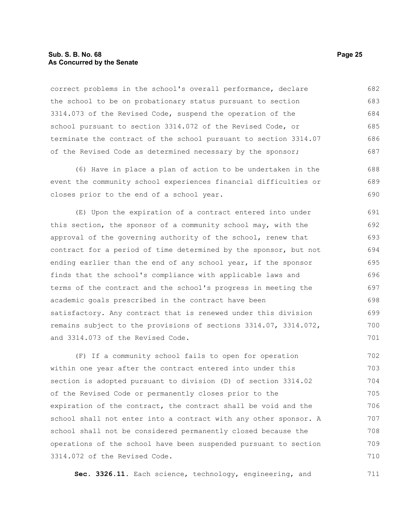#### **Sub. S. B. No. 68 Page 25 As Concurred by the Senate**

correct problems in the school's overall performance, declare the school to be on probationary status pursuant to section 3314.073 of the Revised Code, suspend the operation of the school pursuant to section 3314.072 of the Revised Code, or terminate the contract of the school pursuant to section 3314.07 of the Revised Code as determined necessary by the sponsor; 682 683 684 685 686 687

(6) Have in place a plan of action to be undertaken in the event the community school experiences financial difficulties or closes prior to the end of a school year. 688 689 690

(E) Upon the expiration of a contract entered into under this section, the sponsor of a community school may, with the approval of the governing authority of the school, renew that contract for a period of time determined by the sponsor, but not ending earlier than the end of any school year, if the sponsor finds that the school's compliance with applicable laws and terms of the contract and the school's progress in meeting the academic goals prescribed in the contract have been satisfactory. Any contract that is renewed under this division remains subject to the provisions of sections 3314.07, 3314.072, and 3314.073 of the Revised Code. 691 692 693 694 695 696 697 698 699 700 701

(F) If a community school fails to open for operation within one year after the contract entered into under this section is adopted pursuant to division (D) of section 3314.02 of the Revised Code or permanently closes prior to the expiration of the contract, the contract shall be void and the school shall not enter into a contract with any other sponsor. A school shall not be considered permanently closed because the operations of the school have been suspended pursuant to section 3314.072 of the Revised Code. 702 703 704 705 706 707 708 709 710

**Sec. 3326.11.** Each science, technology, engineering, and 711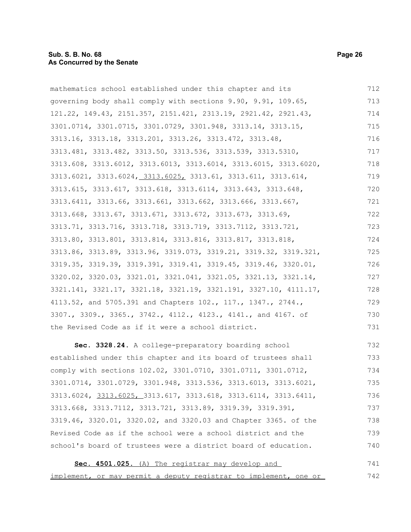| mathematics school established under this chapter and its        | 712 |
|------------------------------------------------------------------|-----|
| governing body shall comply with sections 9.90, 9.91, 109.65,    | 713 |
| 121.22, 149.43, 2151.357, 2151.421, 2313.19, 2921.42, 2921.43,   | 714 |
| 3301.0714, 3301.0715, 3301.0729, 3301.948, 3313.14, 3313.15,     | 715 |
| 3313.16, 3313.18, 3313.201, 3313.26, 3313.472, 3313.48,          | 716 |
| 3313.481, 3313.482, 3313.50, 3313.536, 3313.539, 3313.5310,      | 717 |
| 3313.608, 3313.6012, 3313.6013, 3313.6014, 3313.6015, 3313.6020, | 718 |
| 3313.6021, 3313.6024, 3313.6025, 3313.61, 3313.611, 3313.614,    | 719 |
| 3313.615, 3313.617, 3313.618, 3313.6114, 3313.643, 3313.648,     | 720 |
| 3313.6411, 3313.66, 3313.661, 3313.662, 3313.666, 3313.667,      | 721 |
| 3313.668, 3313.67, 3313.671, 3313.672, 3313.673, 3313.69,        | 722 |
| 3313.71, 3313.716, 3313.718, 3313.719, 3313.7112, 3313.721,      | 723 |
| 3313.80, 3313.801, 3313.814, 3313.816, 3313.817, 3313.818,       | 724 |
| 3313.86, 3313.89, 3313.96, 3319.073, 3319.21, 3319.32, 3319.321, | 725 |
| 3319.35, 3319.39, 3319.391, 3319.41, 3319.45, 3319.46, 3320.01,  | 726 |
| 3320.02, 3320.03, 3321.01, 3321.041, 3321.05, 3321.13, 3321.14,  | 727 |
| 3321.141, 3321.17, 3321.18, 3321.19, 3321.191, 3327.10, 4111.17, | 728 |
| 4113.52, and 5705.391 and Chapters 102., 117., 1347., 2744.,     | 729 |
| 3307., 3309., 3365., 3742., 4112., 4123., 4141., and 4167. of    | 730 |
| the Revised Code as if it were a school district.                | 731 |
| Sec. 3328.24. A college-preparatory boarding school              | 732 |
|                                                                  |     |

established under this chapter and its board of trustees shall comply with sections 102.02, 3301.0710, 3301.0711, 3301.0712, 3301.0714, 3301.0729, 3301.948, 3313.536, 3313.6013, 3313.6021, 3313.6024, 3313.6025, 3313.617, 3313.618, 3313.6114, 3313.6411, 3313.668, 3313.7112, 3313.721, 3313.89, 3319.39, 3319.391, 3319.46, 3320.01, 3320.02, and 3320.03 and Chapter 3365. of the Revised Code as if the school were a school district and the school's board of trustees were a district board of education. 733 734 735 736 737 738 739 740

 **Sec. 4501.025.** (A) The registrar may develop and implement, or may permit a deputy registrar to implement, one or 741 742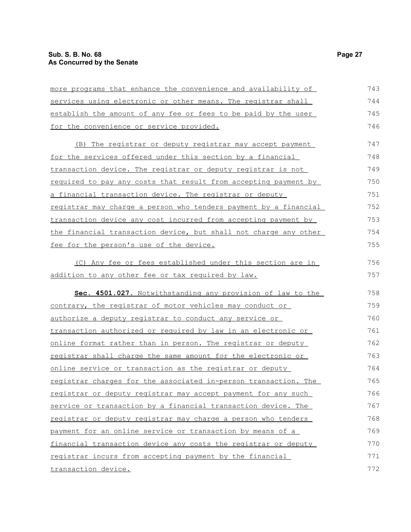| more programs that enhance the convenience and availability of   | 743 |
|------------------------------------------------------------------|-----|
| services using electronic or other means. The registrar shall    | 744 |
| establish the amount of any fee or fees to be paid by the user   | 745 |
| for the convenience or service provided.                         | 746 |
| (B) The registrar or deputy registrar may accept payment         | 747 |
| for the services offered under this section by a financial       | 748 |
| transaction device. The registrar or deputy registrar is not     | 749 |
| required to pay any costs that result from accepting payment by  | 750 |
| a financial transaction device. The registrar or deputy          | 751 |
| registrar may charge a person who tenders payment by a financial | 752 |
| transaction device any cost incurred from accepting payment by   | 753 |
| the financial transaction device, but shall not charge any other | 754 |
| fee for the person's use of the device.                          | 755 |
| <u>(C) Any fee or fees established under this section are in</u> | 756 |
| addition to any other fee or tax required by law.                | 757 |
| Sec. 4501.027. Notwithstanding any provision of law to the       | 758 |
| contrary, the registrar of motor vehicles may conduct or         | 759 |
| authorize a deputy registrar to conduct any service or           | 760 |
| transaction authorized or required by law in an electronic or    | 761 |
| online format rather than in person. The registrar or deputy     | 762 |
| registrar shall charge the same amount for the electronic or     | 763 |
| online service or transaction as the registrar or deputy         | 764 |
| registrar charges for the associated in-person transaction. The  | 765 |
| registrar or deputy registrar may accept payment for any such    | 766 |
| service or transaction by a financial transaction device. The    | 767 |
| registrar or deputy registrar may charge a person who tenders    | 768 |
| payment for an online service or transaction by means of a       | 769 |
| financial transaction device any costs the registrar or deputy   | 770 |
| registrar incurs from accepting payment by the financial         | 771 |
| transaction device.                                              | 772 |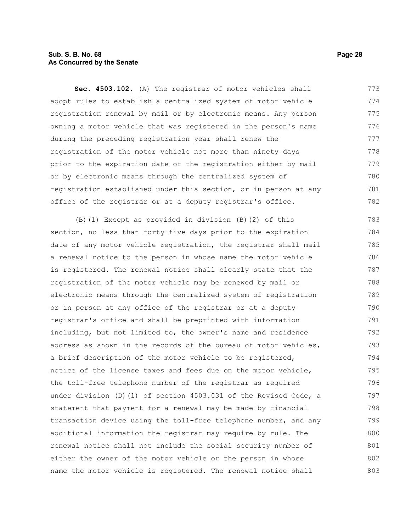#### **Sub. S. B. No. 68 Page 28 As Concurred by the Senate**

**Sec. 4503.102.** (A) The registrar of motor vehicles shall adopt rules to establish a centralized system of motor vehicle registration renewal by mail or by electronic means. Any person owning a motor vehicle that was registered in the person's name during the preceding registration year shall renew the registration of the motor vehicle not more than ninety days prior to the expiration date of the registration either by mail or by electronic means through the centralized system of registration established under this section, or in person at any office of the registrar or at a deputy registrar's office. 773 774 775 776 777 778 779 780 781 782

(B)(1) Except as provided in division (B)(2) of this section, no less than forty-five days prior to the expiration date of any motor vehicle registration, the registrar shall mail a renewal notice to the person in whose name the motor vehicle is registered. The renewal notice shall clearly state that the registration of the motor vehicle may be renewed by mail or electronic means through the centralized system of registration or in person at any office of the registrar or at a deputy registrar's office and shall be preprinted with information including, but not limited to, the owner's name and residence address as shown in the records of the bureau of motor vehicles, a brief description of the motor vehicle to be registered, notice of the license taxes and fees due on the motor vehicle, the toll-free telephone number of the registrar as required under division (D)(1) of section 4503.031 of the Revised Code, a statement that payment for a renewal may be made by financial transaction device using the toll-free telephone number, and any additional information the registrar may require by rule. The renewal notice shall not include the social security number of either the owner of the motor vehicle or the person in whose name the motor vehicle is registered. The renewal notice shall 783 784 785 786 787 788 789 790 791 792 793 794 795 796 797 798 799 800 801 802 803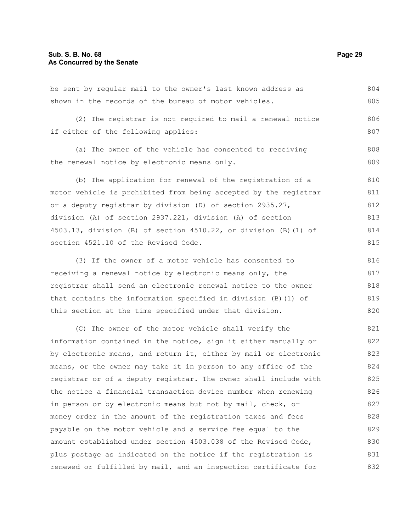be sent by regular mail to the owner's last known address as shown in the records of the bureau of motor vehicles. (2) The registrar is not required to mail a renewal notice if either of the following applies: (a) The owner of the vehicle has consented to receiving the renewal notice by electronic means only. (b) The application for renewal of the registration of a motor vehicle is prohibited from being accepted by the registrar or a deputy registrar by division (D) of section 2935.27, division (A) of section 2937.221, division (A) of section 4503.13, division (B) of section 4510.22, or division (B)(1) of section 4521.10 of the Revised Code. (3) If the owner of a motor vehicle has consented to receiving a renewal notice by electronic means only, the registrar shall send an electronic renewal notice to the owner that contains the information specified in division (B)(1) of this section at the time specified under that division. (C) The owner of the motor vehicle shall verify the information contained in the notice, sign it either manually or by electronic means, and return it, either by mail or electronic means, or the owner may take it in person to any office of the registrar or of a deputy registrar. The owner shall include with the notice a financial transaction device number when renewing in person or by electronic means but not by mail, check, or money order in the amount of the registration taxes and fees payable on the motor vehicle and a service fee equal to the amount established under section 4503.038 of the Revised Code, plus postage as indicated on the notice if the registration is renewed or fulfilled by mail, and an inspection certificate for 804 805 806 807 808 809 810 811 812 813 814 815 816 817 818 819 820 821 822 823 824 825 826 827 828 829 830 831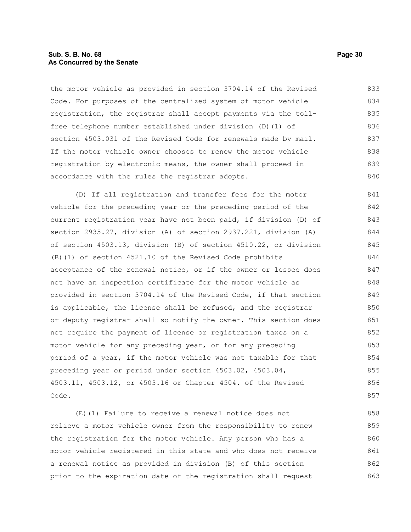#### **Sub. S. B. No. 68 Page 30 As Concurred by the Senate**

the motor vehicle as provided in section 3704.14 of the Revised Code. For purposes of the centralized system of motor vehicle registration, the registrar shall accept payments via the tollfree telephone number established under division (D)(1) of section 4503.031 of the Revised Code for renewals made by mail. If the motor vehicle owner chooses to renew the motor vehicle registration by electronic means, the owner shall proceed in accordance with the rules the registrar adopts. 833 834 835 836 837 838 839 840

(D) If all registration and transfer fees for the motor vehicle for the preceding year or the preceding period of the current registration year have not been paid, if division (D) of section 2935.27, division (A) of section 2937.221, division (A) of section 4503.13, division (B) of section 4510.22, or division (B)(1) of section 4521.10 of the Revised Code prohibits acceptance of the renewal notice, or if the owner or lessee does not have an inspection certificate for the motor vehicle as provided in section 3704.14 of the Revised Code, if that section is applicable, the license shall be refused, and the registrar or deputy registrar shall so notify the owner. This section does not require the payment of license or registration taxes on a motor vehicle for any preceding year, or for any preceding period of a year, if the motor vehicle was not taxable for that preceding year or period under section 4503.02, 4503.04, 4503.11, 4503.12, or 4503.16 or Chapter 4504. of the Revised Code. 841 842 843 844 845 846 847 848 849 850 851 852 853 854 855 856 857

(E)(1) Failure to receive a renewal notice does not relieve a motor vehicle owner from the responsibility to renew the registration for the motor vehicle. Any person who has a motor vehicle registered in this state and who does not receive a renewal notice as provided in division (B) of this section prior to the expiration date of the registration shall request 858 859 860 861 862 863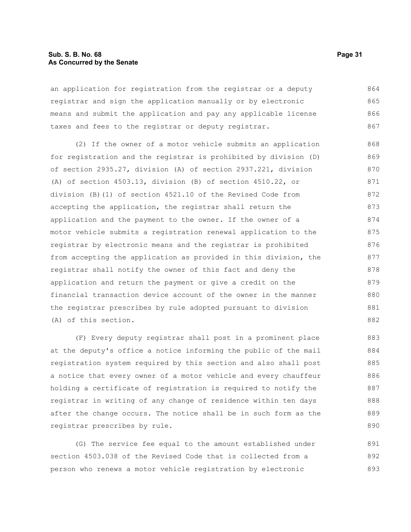#### **Sub. S. B. No. 68 Page 31 As Concurred by the Senate**

an application for registration from the registrar or a deputy registrar and sign the application manually or by electronic means and submit the application and pay any applicable license taxes and fees to the registrar or deputy registrar. 864 865 866 867

(2) If the owner of a motor vehicle submits an application for registration and the registrar is prohibited by division (D) of section 2935.27, division (A) of section 2937.221, division (A) of section 4503.13, division (B) of section 4510.22, or division (B)(1) of section 4521.10 of the Revised Code from accepting the application, the registrar shall return the application and the payment to the owner. If the owner of a motor vehicle submits a registration renewal application to the registrar by electronic means and the registrar is prohibited from accepting the application as provided in this division, the registrar shall notify the owner of this fact and deny the application and return the payment or give a credit on the financial transaction device account of the owner in the manner the registrar prescribes by rule adopted pursuant to division (A) of this section. 868 869 870 871 872 873 874 875 876 877 878 879 880 881 882

(F) Every deputy registrar shall post in a prominent place at the deputy's office a notice informing the public of the mail registration system required by this section and also shall post a notice that every owner of a motor vehicle and every chauffeur holding a certificate of registration is required to notify the registrar in writing of any change of residence within ten days after the change occurs. The notice shall be in such form as the registrar prescribes by rule.

(G) The service fee equal to the amount established under section 4503.038 of the Revised Code that is collected from a person who renews a motor vehicle registration by electronic 891 892 893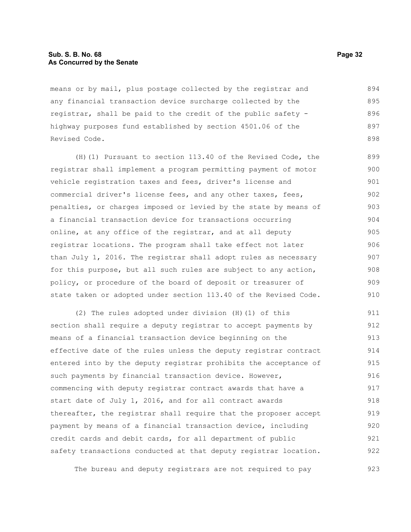#### **Sub. S. B. No. 68 Page 32 As Concurred by the Senate**

means or by mail, plus postage collected by the registrar and any financial transaction device surcharge collected by the registrar, shall be paid to the credit of the public safety highway purposes fund established by section 4501.06 of the Revised Code. 894 895 896 897 898

(H)(1) Pursuant to section 113.40 of the Revised Code, the registrar shall implement a program permitting payment of motor vehicle registration taxes and fees, driver's license and commercial driver's license fees, and any other taxes, fees, penalties, or charges imposed or levied by the state by means of a financial transaction device for transactions occurring online, at any office of the registrar, and at all deputy registrar locations. The program shall take effect not later than July 1, 2016. The registrar shall adopt rules as necessary for this purpose, but all such rules are subject to any action, policy, or procedure of the board of deposit or treasurer of state taken or adopted under section 113.40 of the Revised Code. 899 900 901 902 903 904 905 906 907 908 909 910

(2) The rules adopted under division (H)(1) of this section shall require a deputy registrar to accept payments by means of a financial transaction device beginning on the effective date of the rules unless the deputy registrar contract entered into by the deputy registrar prohibits the acceptance of such payments by financial transaction device. However, commencing with deputy registrar contract awards that have a start date of July 1, 2016, and for all contract awards thereafter, the registrar shall require that the proposer accept payment by means of a financial transaction device, including credit cards and debit cards, for all department of public safety transactions conducted at that deputy registrar location. 911 912 913 914 915 916 917 918 919 920 921 922

The bureau and deputy registrars are not required to pay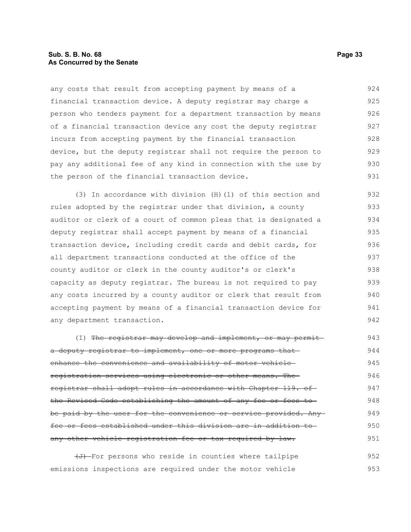#### **Sub. S. B. No. 68 Page 33 As Concurred by the Senate**

any costs that result from accepting payment by means of a financial transaction device. A deputy registrar may charge a person who tenders payment for a department transaction by means of a financial transaction device any cost the deputy registrar incurs from accepting payment by the financial transaction device, but the deputy registrar shall not require the person to pay any additional fee of any kind in connection with the use by the person of the financial transaction device. 924 925 926 927 928 929 930 931

(3) In accordance with division (H)(1) of this section and rules adopted by the registrar under that division, a county auditor or clerk of a court of common pleas that is designated a deputy registrar shall accept payment by means of a financial transaction device, including credit cards and debit cards, for all department transactions conducted at the office of the county auditor or clerk in the county auditor's or clerk's capacity as deputy registrar. The bureau is not required to pay any costs incurred by a county auditor or clerk that result from accepting payment by means of a financial transaction device for any department transaction. 932 933 934 935 936 937 938 939 940 941 942

(I) The registrar may develop and implement, or may permita deputy registrar to implement, one or more programs thatenhance the convenience and availability of motor vehicle registration services using electronic or other means. The registrar shall adopt rules in accordance with Chapter 119. of the Revised Code establishing the amount of any fee or fees to be paid by the user for the convenience or service provided. Any fee or fees established under this division are in addition to any other vehicle registration fee or tax required by law. 943 944 945 946 947 948 949 950 951

(J) For persons who reside in counties where tailpipe emissions inspections are required under the motor vehicle 952 953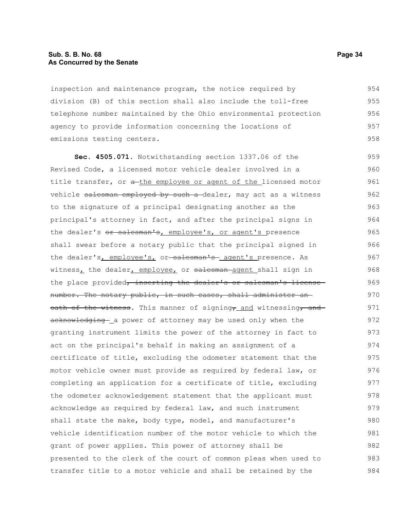#### **Sub. S. B. No. 68 Page 34 As Concurred by the Senate**

inspection and maintenance program, the notice required by division (B) of this section shall also include the toll-free telephone number maintained by the Ohio environmental protection agency to provide information concerning the locations of emissions testing centers. 954 955 956 957 958

**Sec. 4505.071.** Notwithstanding section 1337.06 of the Revised Code, a licensed motor vehicle dealer involved in a title transfer, or  $a$ -the employee or agent of the licensed motor vehicle salesman employed by such a dealer, may act as a witness to the signature of a principal designating another as the principal's attorney in fact, and after the principal signs in the dealer's or salesman's, employee's, or agent's presence shall swear before a notary public that the principal signed in the dealer's, employee's, or salesman's agent's presence. As witness, the dealer, employee, or salesman agent shall sign in the place provided, inserting the dealer's or salesman's license number. The notary public, in such cases, shall administer anoath of the witness. This manner of signing<sub>r</sub> and witnessing, and acknowledging a power of attorney may be used only when the granting instrument limits the power of the attorney in fact to act on the principal's behalf in making an assignment of a certificate of title, excluding the odometer statement that the motor vehicle owner must provide as required by federal law, or completing an application for a certificate of title, excluding the odometer acknowledgement statement that the applicant must acknowledge as required by federal law, and such instrument shall state the make, body type, model, and manufacturer's vehicle identification number of the motor vehicle to which the grant of power applies. This power of attorney shall be presented to the clerk of the court of common pleas when used to transfer title to a motor vehicle and shall be retained by the 959 960 961 962 963 964 965 966 967 968 969 970 971 972 973 974 975 976 977 978 979 980 981 982 983 984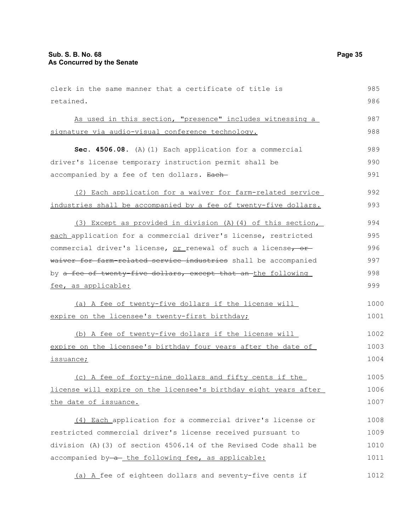| clerk in the same manner that a certificate of title is                         | 985  |
|---------------------------------------------------------------------------------|------|
| retained.                                                                       | 986  |
| As used in this section, "presence" includes witnessing a                       | 987  |
| signature via audio-visual conference technology.                               | 988  |
| Sec. 4506.08. (A) (1) Each application for a commercial                         | 989  |
| driver's license temporary instruction permit shall be                          | 990  |
| accompanied by a fee of ten dollars. <del>Each</del>                            | 991  |
| (2) Each application for a waiver for farm-related service                      | 992  |
| industries shall be accompanied by a fee of twenty-five dollars.                | 993  |
| (3) Except as provided in division (A) (4) of this section,                     | 994  |
| each application for a commercial driver's license, restricted                  | 995  |
| commercial driver's license, or renewal of such a license <del>, or</del>       | 996  |
| waiver for farm-related service industries shall be accompanied                 | 997  |
| by <del>a fee of twenty-five dollars, except that an <u>the following</u></del> | 998  |
| fee, as applicable:                                                             | 999  |
| (a) A fee of twenty-five dollars if the license will                            | 1000 |
| expire on the licensee's twenty-first birthday;                                 | 1001 |
| (b) A fee of twenty-five dollars if the license will                            | 1002 |
| expire on the licensee's birthday four years after the date of                  | 1003 |
| <u>issuance;</u>                                                                | 1004 |
| (c) A fee of forty-nine dollars and fifty cents if the                          | 1005 |
| license will expire on the licensee's birthday eight years after                | 1006 |
| the date of issuance.                                                           | 1007 |
| (4) Each application for a commercial driver's license or                       | 1008 |
| restricted commercial driver's license received pursuant to                     | 1009 |
| division (A)(3) of section 4506.14 of the Revised Code shall be                 | 1010 |
| accompanied by a the following fee, as applicable:                              | 1011 |
| (a) A fee of eighteen dollars and seventy-five cents if                         | 1012 |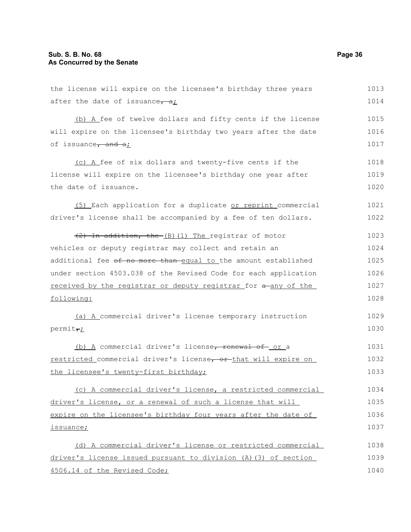the license will expire on the licensee's birthday three years after the date of issuance $\frac{\partial f}{\partial x}$ (b) A fee of twelve dollars and fifty cents if the license will expire on the licensee's birthday two years after the date of issuance, and al (c) A fee of six dollars and twenty-five cents if the license will expire on the licensee's birthday one year after the date of issuance. (5) Each application for a duplicate or reprint commercial driver's license shall be accompanied by a fee of ten dollars. (2) In addition, the (B)(1) The registrar of motor vehicles or deputy registrar may collect and retain an additional fee of no more than equal to the amount established under section 4503.038 of the Revised Code for each application received by the registrar or deputy registrar for  $a$ -any of the following: (a) A commercial driver's license temporary instruction  $permit$ (b) A commercial driver's license, renewal of or a restricted commercial driver's license<del>, or</del> that will expire on the licensee's twenty-first birthday; (c) A commercial driver's license, a restricted commercial driver's license, or a renewal of such a license that will expire on the licensee's birthday four years after the date of issuance; (d) A commercial driver's license or restricted commercial driver's license issued pursuant to division (A)(3) of section 4506.14 of the Revised Code; 1013 1014 1015 1016 1017 1018 1019 1020 1021 1022 1023 1024 1025 1026 1027 1028 1029 1030 1031 1032 1033 1034 1035 1036 1037 1038 1039 1040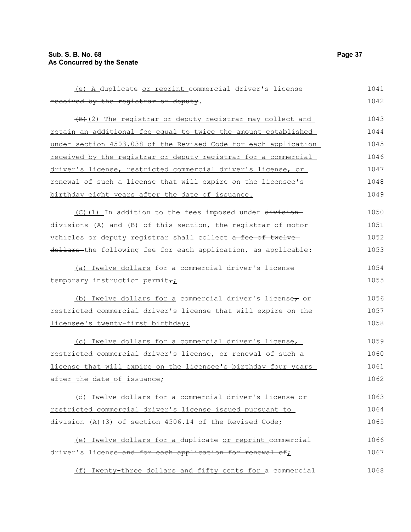| (e) A duplicate or reprint commercial driver's license          | 1041 |
|-----------------------------------------------------------------|------|
| received by the registrar or deputy.                            | 1042 |
| (B) (2) The registrar or deputy registrar may collect and       | 1043 |
| retain an additional fee equal to twice the amount established  | 1044 |
| under section 4503.038 of the Revised Code for each application | 1045 |
| received by the registrar or deputy registrar for a commercial  | 1046 |
| driver's license, restricted commercial driver's license, or    | 1047 |
| renewal of such a license that will expire on the licensee's    | 1048 |
| birthday eight years after the date of issuance.                | 1049 |
| (C)(1) In addition to the fees imposed under division           | 1050 |
| divisions (A) and (B) of this section, the registrar of motor   | 1051 |
| vehicles or deputy registrar shall collect a fee of twelve      | 1052 |
| dollars-the following fee for each application, as applicable:  | 1053 |
| (a) Twelve dollars for a commercial driver's license            | 1054 |
| temporary instruction permit $\tau_L$                           | 1055 |
| (b) Twelve dollars for a commercial driver's license $\tau$ or  | 1056 |
| restricted commercial driver's license that will expire on the  | 1057 |
| licensee's twenty-first birthday;                               | 1058 |
| (c) Twelve dollars for a commercial driver's license,           | 1059 |
| restricted commercial driver's license, or renewal of such a    | 1060 |
| license that will expire on the licensee's birthday four years  | 1061 |
| after the date of issuance;                                     | 1062 |
| (d) Twelve dollars for a commercial driver's license or         | 1063 |
| restricted commercial driver's license issued pursuant to       | 1064 |
| division (A) (3) of section 4506.14 of the Revised Code;        | 1065 |
| (e) Twelve dollars for a duplicate or reprint commercial        | 1066 |
| driver's license and for each application for renewal of;       | 1067 |
| Twenty-three dollars and fifty cents for a commercial<br>(f)    | 1068 |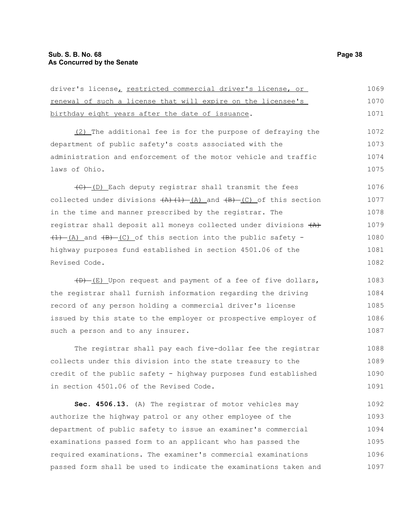such a person and to any insurer.

| driver's license, restricted commercial driver's license, or                | 1069 |
|-----------------------------------------------------------------------------|------|
| renewal of such a license that will expire on the licensee's                | 1070 |
| birthday eight years after the date of issuance.                            | 1071 |
| (2) The additional fee is for the purpose of defraying the                  | 1072 |
| department of public safety's costs associated with the                     | 1073 |
| administration and enforcement of the motor vehicle and traffic             | 1074 |
| laws of Ohio.                                                               | 1075 |
| (C) (D) Each deputy registrar shall transmit the fees                       | 1076 |
| collected under divisions $(A)$ $(1)$ $(A)$ and $(B)$ $(C)$ of this section | 1077 |
| in the time and manner prescribed by the registrar. The                     | 1078 |
| reqistrar shall deposit all moneys collected under divisions $(A)$          | 1079 |
| $(1)$ (A) and $(B)$ (C) of this section into the public safety -            | 1080 |
| highway purposes fund established in section 4501.06 of the                 | 1081 |
| Revised Code.                                                               | 1082 |
| $(D)$ (E) Upon request and payment of a fee of five dollars,                | 1083 |
| the registrar shall furnish information regarding the driving               | 1084 |
| record of any person holding a commercial driver's license                  | 1085 |
| issued by this state to the employer or prospective employer of             | 1086 |

The registrar shall pay each five-dollar fee the registrar collects under this division into the state treasury to the credit of the public safety - highway purposes fund established in section 4501.06 of the Revised Code. 1088 1089 1090 1091

**Sec. 4506.13.** (A) The registrar of motor vehicles may authorize the highway patrol or any other employee of the department of public safety to issue an examiner's commercial examinations passed form to an applicant who has passed the required examinations. The examiner's commercial examinations passed form shall be used to indicate the examinations taken and 1092 1093 1094 1095 1096 1097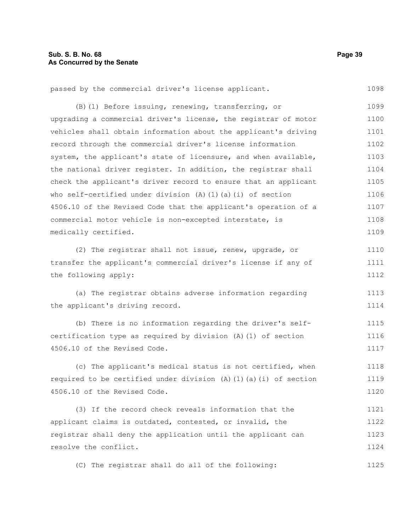passed by the commercial driver's license applicant.

(B)(1) Before issuing, renewing, transferring, or upgrading a commercial driver's license, the registrar of motor vehicles shall obtain information about the applicant's driving record through the commercial driver's license information system, the applicant's state of licensure, and when available, the national driver register. In addition, the registrar shall check the applicant's driver record to ensure that an applicant who self-certified under division (A)(1)(a)(i) of section 4506.10 of the Revised Code that the applicant's operation of a commercial motor vehicle is non-excepted interstate, is medically certified. 1099 1100 1101 1102 1103 1104 1105 1106 1107 1108 1109

(2) The registrar shall not issue, renew, upgrade, or transfer the applicant's commercial driver's license if any of the following apply:

(a) The registrar obtains adverse information regarding the applicant's driving record.

(b) There is no information regarding the driver's selfcertification type as required by division (A)(1) of section 4506.10 of the Revised Code. 1115 1116 1117

(c) The applicant's medical status is not certified, when required to be certified under division  $(A)$   $(1)$   $(a)$   $(i)$  of section 4506.10 of the Revised Code. 1118 1119 1120

(3) If the record check reveals information that the applicant claims is outdated, contested, or invalid, the registrar shall deny the application until the applicant can resolve the conflict. 1121 1122 1123 1124

(C) The registrar shall do all of the following: 1125

1098

1110 1111 1112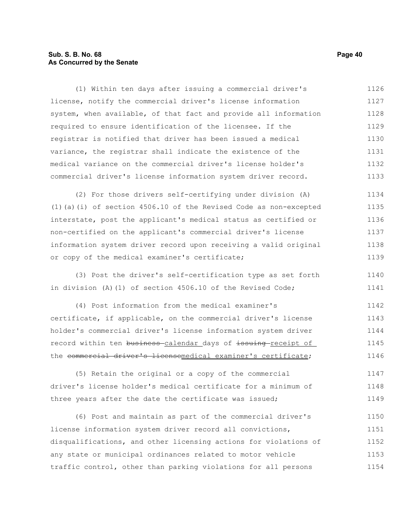# **Sub. S. B. No. 68 Page 40 As Concurred by the Senate**

(1) Within ten days after issuing a commercial driver's license, notify the commercial driver's license information system, when available, of that fact and provide all information required to ensure identification of the licensee. If the registrar is notified that driver has been issued a medical variance, the registrar shall indicate the existence of the medical variance on the commercial driver's license holder's commercial driver's license information system driver record. 1126 1127 1128 1129 1130 1131 1132 1133

(2) For those drivers self-certifying under division (A) (1)(a)(i) of section 4506.10 of the Revised Code as non-excepted interstate, post the applicant's medical status as certified or non-certified on the applicant's commercial driver's license information system driver record upon receiving a valid original or copy of the medical examiner's certificate; 1134 1135 1136 1137 1138 1139

(3) Post the driver's self-certification type as set forth in division (A)(1) of section 4506.10 of the Revised Code; 1140 1141

(4) Post information from the medical examiner's certificate, if applicable, on the commercial driver's license holder's commercial driver's license information system driver record within ten business calendar days of issuing receipt of the commercial driver's licensemedical examiner's certificate; 1142 1143 1144 1145 1146

(5) Retain the original or a copy of the commercial driver's license holder's medical certificate for a minimum of three years after the date the certificate was issued; 1147 1148 1149

(6) Post and maintain as part of the commercial driver's license information system driver record all convictions, disqualifications, and other licensing actions for violations of any state or municipal ordinances related to motor vehicle traffic control, other than parking violations for all persons 1150 1151 1152 1153 1154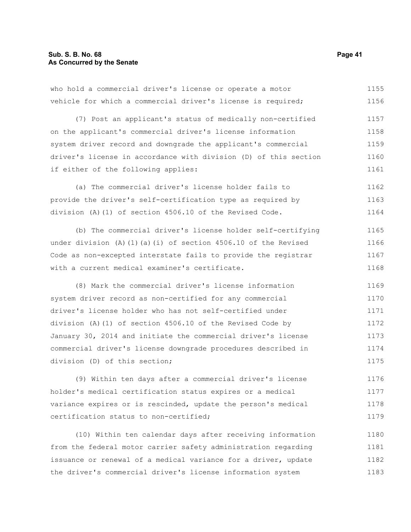## **Sub. S. B. No. 68 Page 41 As Concurred by the Senate**

who hold a commercial driver's license or operate a motor vehicle for which a commercial driver's license is required; 1155 1156

(7) Post an applicant's status of medically non-certified on the applicant's commercial driver's license information system driver record and downgrade the applicant's commercial driver's license in accordance with division (D) of this section if either of the following applies: 1157 1158 1159 1160 1161

(a) The commercial driver's license holder fails to provide the driver's self-certification type as required by division (A)(1) of section 4506.10 of the Revised Code. 1162 1163 1164

(b) The commercial driver's license holder self-certifying under division (A)(1)(a)(i) of section 4506.10 of the Revised Code as non-excepted interstate fails to provide the registrar with a current medical examiner's certificate. 1165 1166 1167 1168

(8) Mark the commercial driver's license information system driver record as non-certified for any commercial driver's license holder who has not self-certified under division (A)(1) of section 4506.10 of the Revised Code by January 30, 2014 and initiate the commercial driver's license commercial driver's license downgrade procedures described in division (D) of this section; 1169 1170 1171 1172 1173 1174 1175

(9) Within ten days after a commercial driver's license holder's medical certification status expires or a medical variance expires or is rescinded, update the person's medical certification status to non-certified; 1176 1177 1178 1179

(10) Within ten calendar days after receiving information from the federal motor carrier safety administration regarding issuance or renewal of a medical variance for a driver, update the driver's commercial driver's license information system 1180 1181 1182 1183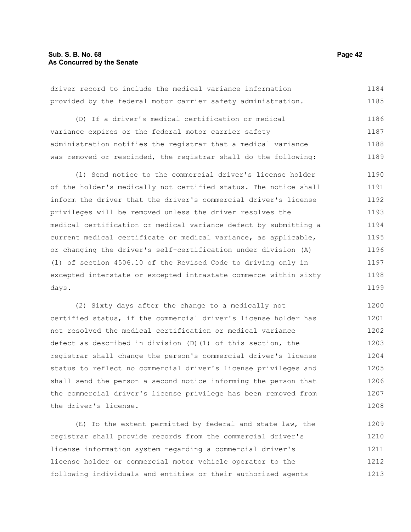driver record to include the medical variance information provided by the federal motor carrier safety administration. 1184 1185

(D) If a driver's medical certification or medical variance expires or the federal motor carrier safety administration notifies the registrar that a medical variance was removed or rescinded, the registrar shall do the following: 1186 1187 1188 1189

(1) Send notice to the commercial driver's license holder of the holder's medically not certified status. The notice shall inform the driver that the driver's commercial driver's license privileges will be removed unless the driver resolves the medical certification or medical variance defect by submitting a current medical certificate or medical variance, as applicable, or changing the driver's self-certification under division (A) (1) of section 4506.10 of the Revised Code to driving only in excepted interstate or excepted intrastate commerce within sixty days. 1190 1191 1192 1193 1194 1195 1196 1197 1198 1199

(2) Sixty days after the change to a medically not certified status, if the commercial driver's license holder has not resolved the medical certification or medical variance defect as described in division (D)(1) of this section, the registrar shall change the person's commercial driver's license status to reflect no commercial driver's license privileges and shall send the person a second notice informing the person that the commercial driver's license privilege has been removed from the driver's license. 1200 1201 1202 1203 1204 1205 1206 1207 1208

(E) To the extent permitted by federal and state law, the registrar shall provide records from the commercial driver's license information system regarding a commercial driver's license holder or commercial motor vehicle operator to the following individuals and entities or their authorized agents 1209 1210 1211 1212 1213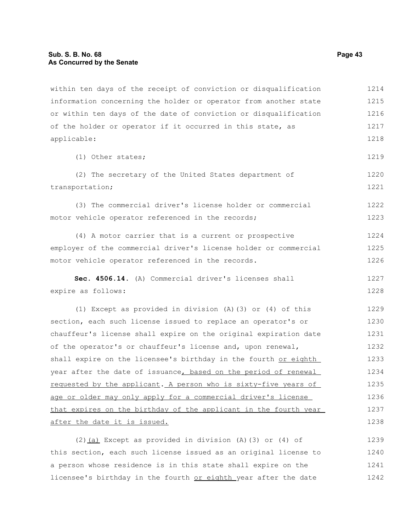within ten days of the receipt of conviction or disqualification information concerning the holder or operator from another state or within ten days of the date of conviction or disqualification of the holder or operator if it occurred in this state, as applicable: 1214 1215 1216 1217 1218

(1) Other states;

(2) The secretary of the United States department of transportation; 1220 1221

(3) The commercial driver's license holder or commercial motor vehicle operator referenced in the records; 1222 1223

(4) A motor carrier that is a current or prospective employer of the commercial driver's license holder or commercial motor vehicle operator referenced in the records. 1224 1225 1226

**Sec. 4506.14.** (A) Commercial driver's licenses shall expire as follows: 1227 1228

(1) Except as provided in division (A)(3) or (4) of this section, each such license issued to replace an operator's or chauffeur's license shall expire on the original expiration date of the operator's or chauffeur's license and, upon renewal, shall expire on the licensee's birthday in the fourth or eighth year after the date of issuance, based on the period of renewal requested by the applicant. A person who is sixty-five years of age or older may only apply for a commercial driver's license that expires on the birthday of the applicant in the fourth year after the date it is issued. 1229 1230 1231 1232 1233 1234 1235 1236 1237 1238

(2)(a) Except as provided in division (A)(3) or (4) of this section, each such license issued as an original license to a person whose residence is in this state shall expire on the licensee's birthday in the fourth or eighth year after the date 1239 1240 1241 1242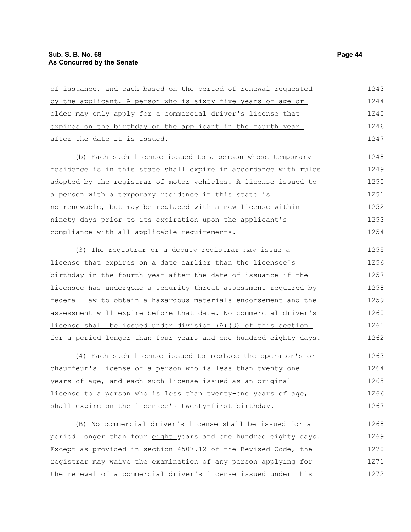| of issuance, and each based on the period of renewal requested   | 1243 |
|------------------------------------------------------------------|------|
| by the applicant. A person who is sixty-five years of age or     | 1244 |
| older may only apply for a commercial driver's license that      | 1245 |
| expires on the birthday of the applicant in the fourth year      | 1246 |
| after the date it is issued.                                     | 1247 |
| (b) Each such license issued to a person whose temporary         | 1248 |
| residence is in this state shall expire in accordance with rules | 1249 |
| adopted by the registrar of motor vehicles. A license issued to  | 1250 |
| a person with a temporary residence in this state is             | 1251 |
| nonrenewable, but may be replaced with a new license within      | 1252 |
| ninety days prior to its expiration upon the applicant's         | 1253 |
| compliance with all applicable requirements.                     | 1254 |
| (3) The registrar or a deputy registrar may issue a              | 1255 |
| license that expires on a date earlier than the licensee's       | 1256 |
| birthday in the fourth year after the date of issuance if the    | 1257 |
| licensee has undergone a security threat assessment required by  | 1258 |
| federal law to obtain a hazardous materials endorsement and the  | 1259 |
| assessment will expire before that date. No commercial driver's  | 1260 |
| license shall be issued under division (A) (3) of this section   | 1261 |
| for a period longer than four years and one hundred eighty days. | 1262 |

(4) Each such license issued to replace the operator's or chauffeur's license of a person who is less than twenty-one years of age, and each such license issued as an original license to a person who is less than twenty-one years of age, shall expire on the licensee's twenty-first birthday. 1263 1264 1265 1266 1267

(B) No commercial driver's license shall be issued for a period longer than four eight years and one hundred eighty days. Except as provided in section 4507.12 of the Revised Code, the registrar may waive the examination of any person applying for the renewal of a commercial driver's license issued under this 1268 1269 1270 1271 1272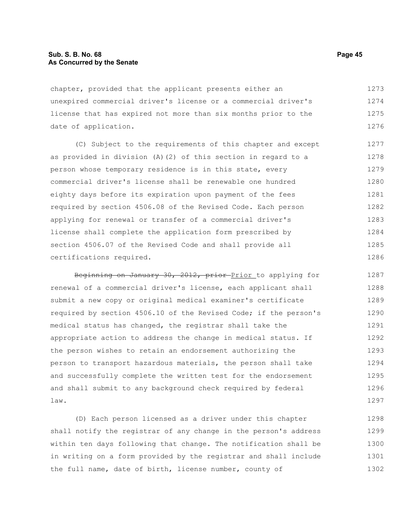chapter, provided that the applicant presents either an unexpired commercial driver's license or a commercial driver's license that has expired not more than six months prior to the date of application. 1273 1274 1275 1276

(C) Subject to the requirements of this chapter and except as provided in division (A)(2) of this section in regard to a person whose temporary residence is in this state, every commercial driver's license shall be renewable one hundred eighty days before its expiration upon payment of the fees required by section 4506.08 of the Revised Code. Each person applying for renewal or transfer of a commercial driver's license shall complete the application form prescribed by section 4506.07 of the Revised Code and shall provide all certifications required. 1277 1278 1279 1280 1281 1282 1283 1284 1285 1286

Beginning on January 30, 2012, prior Prior to applying for renewal of a commercial driver's license, each applicant shall submit a new copy or original medical examiner's certificate required by section 4506.10 of the Revised Code; if the person's medical status has changed, the registrar shall take the appropriate action to address the change in medical status. If the person wishes to retain an endorsement authorizing the person to transport hazardous materials, the person shall take and successfully complete the written test for the endorsement and shall submit to any background check required by federal law. 1287 1288 1289 1290 1291 1292 1293 1294 1295 1296 1297

(D) Each person licensed as a driver under this chapter shall notify the registrar of any change in the person's address within ten days following that change. The notification shall be in writing on a form provided by the registrar and shall include the full name, date of birth, license number, county of 1298 1299 1300 1301 1302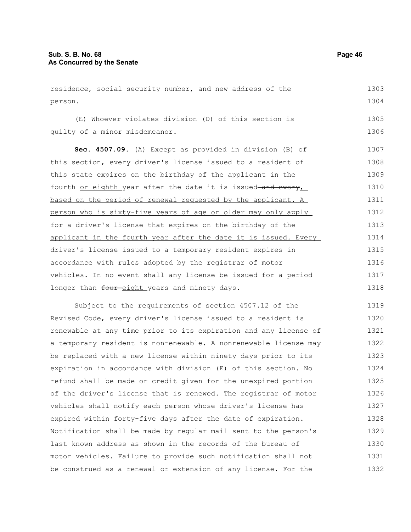residence, social security number, and new address of the person. (E) Whoever violates division (D) of this section is guilty of a minor misdemeanor. **Sec. 4507.09.** (A) Except as provided in division (B) of this section, every driver's license issued to a resident of this state expires on the birthday of the applicant in the fourth <u>or eighth year after</u> the date it is issued and every, based on the period of renewal requested by the applicant. A person who is sixty-five years of age or older may only apply for a driver's license that expires on the birthday of the applicant in the fourth year after the date it is issued. Every driver's license issued to a temporary resident expires in accordance with rules adopted by the registrar of motor vehicles. In no event shall any license be issued for a period longer than four-eight years and ninety days. Subject to the requirements of section 4507.12 of the 1303 1304 1305 1306 1307 1308 1309 1310 1311 1312 1313 1314 1315 1316 1317 1318 1319

Revised Code, every driver's license issued to a resident is renewable at any time prior to its expiration and any license of a temporary resident is nonrenewable. A nonrenewable license may be replaced with a new license within ninety days prior to its expiration in accordance with division (E) of this section. No refund shall be made or credit given for the unexpired portion of the driver's license that is renewed. The registrar of motor vehicles shall notify each person whose driver's license has expired within forty-five days after the date of expiration. Notification shall be made by regular mail sent to the person's last known address as shown in the records of the bureau of motor vehicles. Failure to provide such notification shall not be construed as a renewal or extension of any license. For the 1320 1321 1322 1323 1324 1325 1326 1327 1328 1329 1330 1331 1332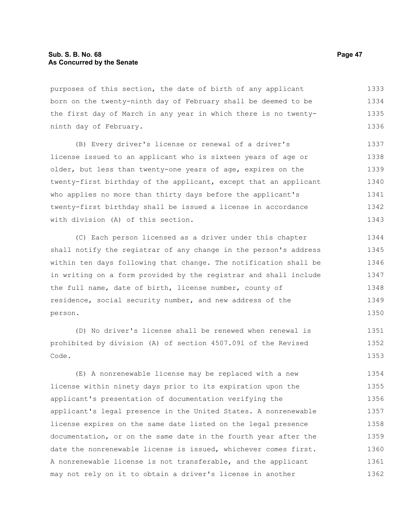purposes of this section, the date of birth of any applicant born on the twenty-ninth day of February shall be deemed to be the first day of March in any year in which there is no twentyninth day of February. 1333 1334 1335 1336

(B) Every driver's license or renewal of a driver's license issued to an applicant who is sixteen years of age or older, but less than twenty-one years of age, expires on the twenty-first birthday of the applicant, except that an applicant who applies no more than thirty days before the applicant's twenty-first birthday shall be issued a license in accordance with division (A) of this section. 1337 1338 1339 1340 1341 1342 1343

(C) Each person licensed as a driver under this chapter shall notify the registrar of any change in the person's address within ten days following that change. The notification shall be in writing on a form provided by the registrar and shall include the full name, date of birth, license number, county of residence, social security number, and new address of the person. 1344 1345 1346 1347 1348 1349 1350

(D) No driver's license shall be renewed when renewal is prohibited by division (A) of section 4507.091 of the Revised Code. 1351 1352 1353

(E) A nonrenewable license may be replaced with a new license within ninety days prior to its expiration upon the applicant's presentation of documentation verifying the applicant's legal presence in the United States. A nonrenewable license expires on the same date listed on the legal presence documentation, or on the same date in the fourth year after the date the nonrenewable license is issued, whichever comes first. A nonrenewable license is not transferable, and the applicant may not rely on it to obtain a driver's license in another 1354 1355 1356 1357 1358 1359 1360 1361 1362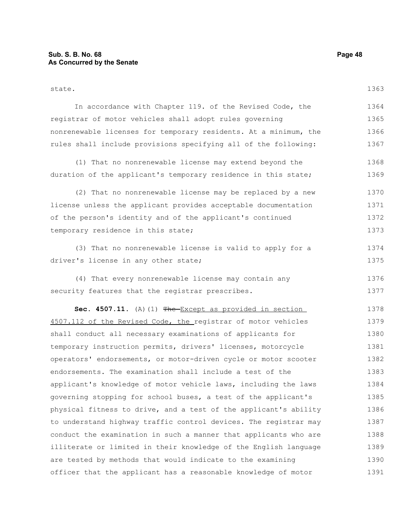1389 1390 1391

| state.                                                           | 1363 |
|------------------------------------------------------------------|------|
| In accordance with Chapter 119. of the Revised Code, the         | 1364 |
| registrar of motor vehicles shall adopt rules governing          | 1365 |
| nonrenewable licenses for temporary residents. At a minimum, the | 1366 |
| rules shall include provisions specifying all of the following:  | 1367 |
| (1) That no nonrenewable license may extend beyond the           | 1368 |
| duration of the applicant's temporary residence in this state;   | 1369 |
| (2) That no nonrenewable license may be replaced by a new        | 1370 |
| license unless the applicant provides acceptable documentation   | 1371 |
| of the person's identity and of the applicant's continued        | 1372 |
| temporary residence in this state;                               | 1373 |
| (3) That no nonrenewable license is valid to apply for a         | 1374 |
| driver's license in any other state;                             | 1375 |
| (4) That every nonrenewable license may contain any              | 1376 |
| security features that the registrar prescribes.                 | 1377 |
| Sec. 4507.11. (A) (1) The Except as provided in section          | 1378 |
| 4507.112 of the Revised Code, the registrar of motor vehicles    | 1379 |
| shall conduct all necessary examinations of applicants for       | 1380 |
| temporary instruction permits, drivers' licenses, motorcycle     | 1381 |
| operators' endorsements, or motor-driven cycle or motor scooter  | 1382 |
| endorsements. The examination shall include a test of the        | 1383 |
| applicant's knowledge of motor vehicle laws, including the laws  | 1384 |
| governing stopping for school buses, a test of the applicant's   | 1385 |
| physical fitness to drive, and a test of the applicant's ability | 1386 |
| to understand highway traffic control devices. The registrar may | 1387 |
| conduct the examination in such a manner that applicants who are | 1388 |

illiterate or limited in their knowledge of the English language

officer that the applicant has a reasonable knowledge of motor

are tested by methods that would indicate to the examining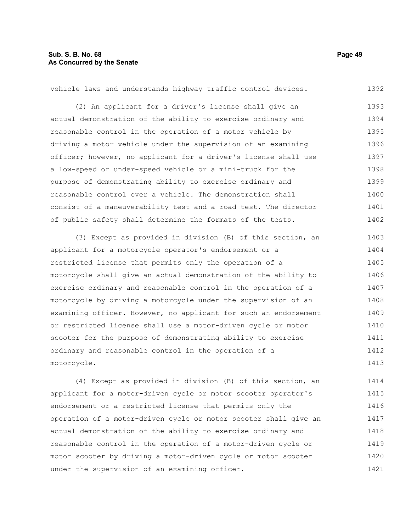vehicle laws and understands highway traffic control devices. 1392

(2) An applicant for a driver's license shall give an actual demonstration of the ability to exercise ordinary and reasonable control in the operation of a motor vehicle by driving a motor vehicle under the supervision of an examining officer; however, no applicant for a driver's license shall use a low-speed or under-speed vehicle or a mini-truck for the purpose of demonstrating ability to exercise ordinary and reasonable control over a vehicle. The demonstration shall consist of a maneuverability test and a road test. The director of public safety shall determine the formats of the tests. 1393 1394 1395 1396 1397 1398 1399 1400 1401 1402

(3) Except as provided in division (B) of this section, an applicant for a motorcycle operator's endorsement or a restricted license that permits only the operation of a motorcycle shall give an actual demonstration of the ability to exercise ordinary and reasonable control in the operation of a motorcycle by driving a motorcycle under the supervision of an examining officer. However, no applicant for such an endorsement or restricted license shall use a motor-driven cycle or motor scooter for the purpose of demonstrating ability to exercise ordinary and reasonable control in the operation of a motorcycle. 1403 1404 1405 1406 1407 1408 1409 1410 1411 1412 1413

(4) Except as provided in division (B) of this section, an applicant for a motor-driven cycle or motor scooter operator's endorsement or a restricted license that permits only the operation of a motor-driven cycle or motor scooter shall give an actual demonstration of the ability to exercise ordinary and reasonable control in the operation of a motor-driven cycle or motor scooter by driving a motor-driven cycle or motor scooter under the supervision of an examining officer. 1414 1415 1416 1417 1418 1419 1420 1421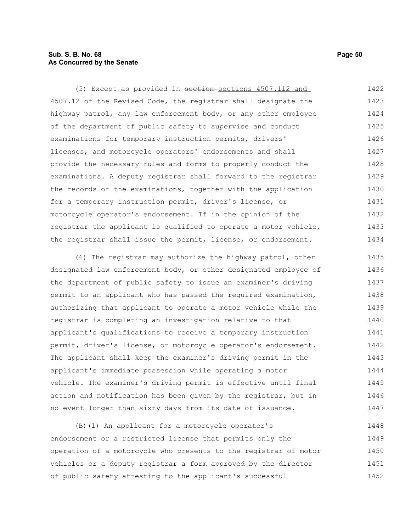# **Sub. S. B. No. 68 Page 50 As Concurred by the Senate**

(5) Except as provided in section-sections 4507.112 and 4507.12 of the Revised Code, the registrar shall designate the highway patrol, any law enforcement body, or any other employee of the department of public safety to supervise and conduct examinations for temporary instruction permits, drivers' licenses, and motorcycle operators' endorsements and shall provide the necessary rules and forms to properly conduct the examinations. A deputy registrar shall forward to the registrar the records of the examinations, together with the application for a temporary instruction permit, driver's license, or motorcycle operator's endorsement. If in the opinion of the registrar the applicant is qualified to operate a motor vehicle, the registrar shall issue the permit, license, or endorsement. 1422 1423 1424 1425 1426 1427 1428 1429 1430 1431 1432 1433 1434

(6) The registrar may authorize the highway patrol, other designated law enforcement body, or other designated employee of the department of public safety to issue an examiner's driving permit to an applicant who has passed the required examination, authorizing that applicant to operate a motor vehicle while the registrar is completing an investigation relative to that applicant's qualifications to receive a temporary instruction permit, driver's license, or motorcycle operator's endorsement. The applicant shall keep the examiner's driving permit in the applicant's immediate possession while operating a motor vehicle. The examiner's driving permit is effective until final action and notification has been given by the registrar, but in no event longer than sixty days from its date of issuance. 1435 1436 1437 1438 1439 1440 1441 1442 1443 1444 1445 1446 1447

(B)(1) An applicant for a motorcycle operator's endorsement or a restricted license that permits only the operation of a motorcycle who presents to the registrar of motor vehicles or a deputy registrar a form approved by the director of public safety attesting to the applicant's successful 1448 1449 1450 1451 1452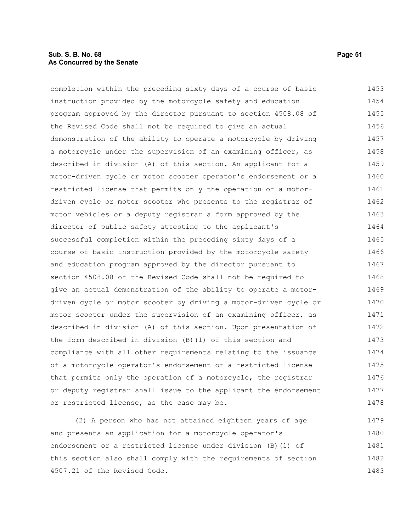# **Sub. S. B. No. 68 Page 51 As Concurred by the Senate**

completion within the preceding sixty days of a course of basic instruction provided by the motorcycle safety and education program approved by the director pursuant to section 4508.08 of the Revised Code shall not be required to give an actual demonstration of the ability to operate a motorcycle by driving a motorcycle under the supervision of an examining officer, as described in division (A) of this section. An applicant for a motor-driven cycle or motor scooter operator's endorsement or a restricted license that permits only the operation of a motordriven cycle or motor scooter who presents to the registrar of motor vehicles or a deputy registrar a form approved by the director of public safety attesting to the applicant's successful completion within the preceding sixty days of a course of basic instruction provided by the motorcycle safety and education program approved by the director pursuant to section 4508.08 of the Revised Code shall not be required to give an actual demonstration of the ability to operate a motordriven cycle or motor scooter by driving a motor-driven cycle or motor scooter under the supervision of an examining officer, as described in division (A) of this section. Upon presentation of the form described in division (B)(1) of this section and compliance with all other requirements relating to the issuance of a motorcycle operator's endorsement or a restricted license that permits only the operation of a motorcycle, the registrar or deputy registrar shall issue to the applicant the endorsement or restricted license, as the case may be. (2) A person who has not attained eighteen years of age 1453 1454 1455 1456 1457 1458 1459 1460 1461 1462 1463 1464 1465 1466 1467 1468 1469 1470 1471 1472 1473 1474 1475 1476 1477 1478 1479

and presents an application for a motorcycle operator's endorsement or a restricted license under division (B)(1) of this section also shall comply with the requirements of section 4507.21 of the Revised Code. 1480 1481 1482 1483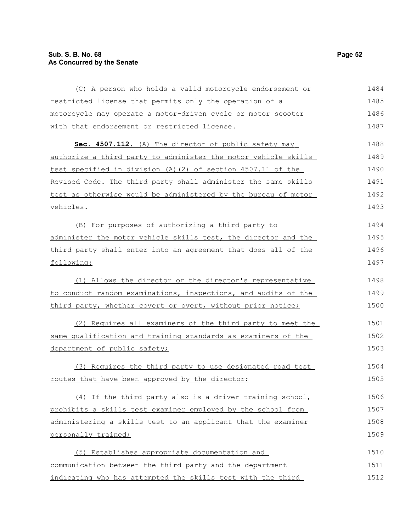| (C) A person who holds a valid motorcycle endorsement or       | 1484 |
|----------------------------------------------------------------|------|
| restricted license that permits only the operation of a        | 1485 |
| motorcycle may operate a motor-driven cycle or motor scooter   | 1486 |
| with that endorsement or restricted license.                   | 1487 |
|                                                                |      |
| Sec. 4507.112. (A) The director of public safety may           | 1488 |
| authorize a third party to administer the motor vehicle skills | 1489 |
| test specified in division (A)(2) of section 4507.11 of the    | 1490 |
| Revised Code. The third party shall administer the same skills | 1491 |
| test as otherwise would be administered by the bureau of motor | 1492 |
| vehicles.                                                      | 1493 |
| (B) For purposes of authorizing a third party to               | 1494 |
| administer the motor vehicle skills test, the director and the | 1495 |
| third party shall enter into an agreement that does all of the | 1496 |
| following:                                                     | 1497 |
| (1) Allows the director or the director's representative       | 1498 |
| to conduct random examinations, inspections, and audits of the | 1499 |
| third party, whether covert or overt, without prior notice;    | 1500 |
| (2) Requires all examiners of the third party to meet the      | 1501 |
| same qualification and training standards as examiners of the  | 1502 |
| department of public safety;                                   | 1503 |
| (3) Requires the third party to use designated road test       | 1504 |
| routes that have been approved by the director;                | 1505 |
| (4) If the third party also is a driver training school,       | 1506 |
| prohibits a skills test examiner employed by the school from   | 1507 |
| administering a skills test to an applicant that the examiner  | 1508 |
| personally trained;                                            | 1509 |
|                                                                |      |
| (5) Establishes appropriate documentation and                  | 1510 |
| communication between the third party and the department       | 1511 |
| indicating who has attempted the skills test with the third    | 1512 |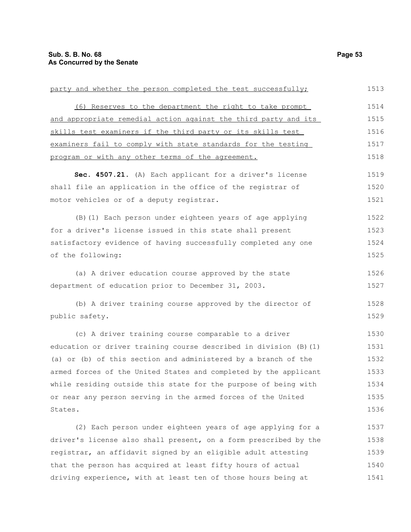| party and whether the person completed the test successfully;     | 1513 |
|-------------------------------------------------------------------|------|
| (6) Reserves to the department the right to take prompt           | 1514 |
| and appropriate remedial action against the third party and its   | 1515 |
| skills test examiners if the third party or its skills test       | 1516 |
| examiners fail to comply with state standards for the testing     | 1517 |
| program or with any other terms of the agreement.                 | 1518 |
| Sec. 4507.21. (A) Each applicant for a driver's license           | 1519 |
| shall file an application in the office of the registrar of       | 1520 |
| motor vehicles or of a deputy registrar.                          | 1521 |
| (B) (1) Each person under eighteen years of age applying          | 1522 |
| for a driver's license issued in this state shall present         | 1523 |
| satisfactory evidence of having successfully completed any one    | 1524 |
| of the following:                                                 | 1525 |
| (a) A driver education course approved by the state               | 1526 |
| department of education prior to December 31, 2003.               | 1527 |
| (b) A driver training course approved by the director of          | 1528 |
| public safety.                                                    | 1529 |
| (c) A driver training course comparable to a driver               | 1530 |
| education or driver training course described in division (B) (1) | 1531 |
| (a) or (b) of this section and administered by a branch of the    | 1532 |
| armed forces of the United States and completed by the applicant  | 1533 |
| while residing outside this state for the purpose of being with   | 1534 |
| or near any person serving in the armed forces of the United      | 1535 |
| States.                                                           | 1536 |
| (2) Each person under eighteen years of age applying for a        | 1537 |
| driver's license also shall present, on a form prescribed by the  | 1538 |
| registrar, an affidavit signed by an eligible adult attesting     | 1539 |
| that the person has acquired at least fifty hours of actual       | 1540 |
| driving experience, with at least ten of those hours being at     | 1541 |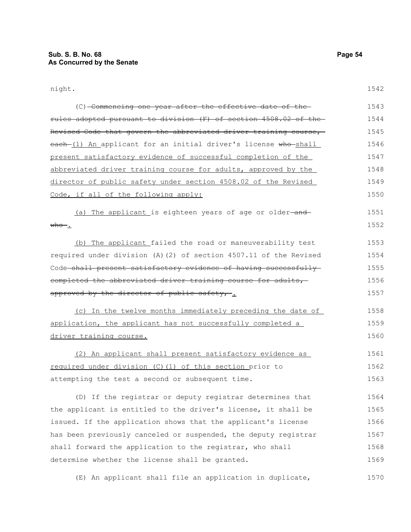night.

| (C)-Commencing one year after the effective date of the-         | 1543 |
|------------------------------------------------------------------|------|
| rules adopted pursuant to division (F) of section 4508.02 of the | 1544 |
| Revised Code that govern the abbreviated driver training course, | 1545 |
| each (1) An applicant for an initial driver's license who shall  | 1546 |
| present satisfactory evidence of successful completion of the    | 1547 |
| abbreviated driver training course for adults, approved by the   | 1548 |
| director of public safety under section 4508.02 of the Revised   | 1549 |
| Code, if all of the following apply:                             | 1550 |
| (a) The applicant is eighteen years of age or older-and          | 1551 |
| $w$ ho $-$ .                                                     | 1552 |
| (b) The applicant failed the road or maneuverability test        | 1553 |
| required under division (A)(2) of section 4507.11 of the Revised | 1554 |
| Code shall present satisfactory evidence of having successfully  | 1555 |
| completed the abbreviated driver training course for adults,     | 1556 |
| approved by the director of public safety,.                      | 1557 |
|                                                                  |      |
| (c) In the twelve months immediately preceding the date of       | 1558 |
| application, the applicant has not successfully completed a      | 1559 |
| driver training course.                                          | 1560 |
| (2) An applicant shall present satisfactory evidence as          | 1561 |
| required under division (C) (1) of this section prior to         | 1562 |
| attempting the test a second or subsequent time.                 | 1563 |
| (D) If the registrar or deputy registrar determines that         | 1564 |
| the applicant is entitled to the driver's license, it shall be   | 1565 |
| issued. If the application shows that the applicant's license    | 1566 |
| has been previously canceled or suspended, the deputy registrar  | 1567 |
| shall forward the application to the registrar, who shall        | 1568 |

(E) An applicant shall file an application in duplicate, 1570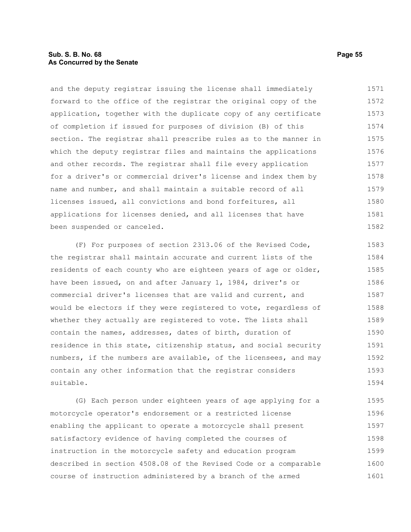# **Sub. S. B. No. 68 Page 55 As Concurred by the Senate**

and the deputy registrar issuing the license shall immediately forward to the office of the registrar the original copy of the application, together with the duplicate copy of any certificate of completion if issued for purposes of division (B) of this section. The registrar shall prescribe rules as to the manner in which the deputy registrar files and maintains the applications and other records. The registrar shall file every application for a driver's or commercial driver's license and index them by name and number, and shall maintain a suitable record of all licenses issued, all convictions and bond forfeitures, all applications for licenses denied, and all licenses that have been suspended or canceled. 1571 1572 1573 1574 1575 1576 1577 1578 1579 1580 1581 1582

(F) For purposes of section 2313.06 of the Revised Code, the registrar shall maintain accurate and current lists of the residents of each county who are eighteen years of age or older, have been issued, on and after January 1, 1984, driver's or commercial driver's licenses that are valid and current, and would be electors if they were registered to vote, regardless of whether they actually are registered to vote. The lists shall contain the names, addresses, dates of birth, duration of residence in this state, citizenship status, and social security numbers, if the numbers are available, of the licensees, and may contain any other information that the registrar considers suitable. 1583 1584 1585 1586 1587 1588 1589 1590 1591 1592 1593 1594

(G) Each person under eighteen years of age applying for a motorcycle operator's endorsement or a restricted license enabling the applicant to operate a motorcycle shall present satisfactory evidence of having completed the courses of instruction in the motorcycle safety and education program described in section 4508.08 of the Revised Code or a comparable course of instruction administered by a branch of the armed 1595 1596 1597 1598 1599 1600 1601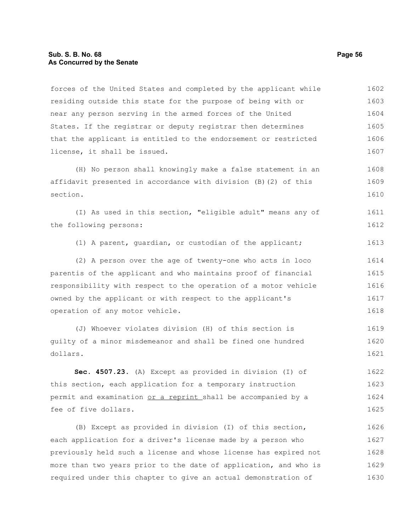forces of the United States and completed by the applicant while residing outside this state for the purpose of being with or near any person serving in the armed forces of the United States. If the registrar or deputy registrar then determines that the applicant is entitled to the endorsement or restricted license, it shall be issued. 1602 1603 1604 1605 1606 1607

(H) No person shall knowingly make a false statement in an affidavit presented in accordance with division (B)(2) of this section. 1608 1609 1610

(I) As used in this section, "eligible adult" means any of the following persons: 1611 1612

(1) A parent, guardian, or custodian of the applicant;

(2) A person over the age of twenty-one who acts in loco parentis of the applicant and who maintains proof of financial responsibility with respect to the operation of a motor vehicle owned by the applicant or with respect to the applicant's operation of any motor vehicle. 1614 1615 1616 1617 1618

(J) Whoever violates division (H) of this section is guilty of a minor misdemeanor and shall be fined one hundred dollars. 1619 1620 1621

**Sec. 4507.23.** (A) Except as provided in division (I) of this section, each application for a temporary instruction permit and examination or a reprint shall be accompanied by a fee of five dollars. 1622 1623 1624 1625

(B) Except as provided in division (I) of this section, each application for a driver's license made by a person who previously held such a license and whose license has expired not more than two years prior to the date of application, and who is required under this chapter to give an actual demonstration of 1626 1627 1628 1629 1630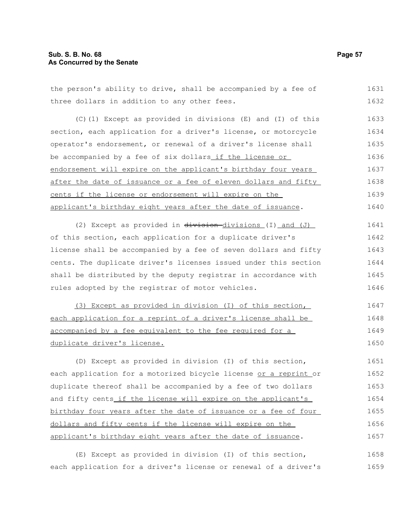the person's ability to drive, shall be accompanied by a fee of three dollars in addition to any other fees. (C)(1) Except as provided in divisions (E) and (I) of this section, each application for a driver's license, or motorcycle operator's endorsement, or renewal of a driver's license shall be accompanied by a fee of six dollars if the license or endorsement will expire on the applicant's birthday four years after the date of issuance or a fee of eleven dollars and fifty cents if the license or endorsement will expire on the applicant's birthday eight years after the date of issuance. (2) Except as provided in division-divisions (I) and (J) of this section, each application for a duplicate driver's license shall be accompanied by a fee of seven dollars and fifty cents. The duplicate driver's licenses issued under this section shall be distributed by the deputy registrar in accordance with rules adopted by the registrar of motor vehicles. (3) Except as provided in division (I) of this section, each application for a reprint of a driver's license shall be accompanied by a fee equivalent to the fee required for a duplicate driver's license. (D) Except as provided in division (I) of this section, each application for a motorized bicycle license or a reprint or duplicate thereof shall be accompanied by a fee of two dollars and fifty cents if the license will expire on the applicant's birthday four years after the date of issuance or a fee of four dollars and fifty cents if the license will expire on the applicant's birthday eight years after the date of issuance. 1631 1632 1633 1634 1635 1636 1637 1638 1639 1640 1641 1642 1643 1644 1645 1646 1647 1648 1649 1650 1651 1652 1653 1654 1655 1656 1657

(E) Except as provided in division (I) of this section, each application for a driver's license or renewal of a driver's 1658 1659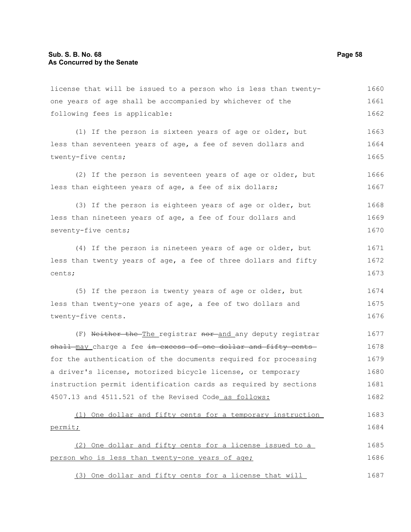license that will be issued to a person who is less than twentyone years of age shall be accompanied by whichever of the following fees is applicable: (1) If the person is sixteen years of age or older, but less than seventeen years of age, a fee of seven dollars and twenty-five cents; (2) If the person is seventeen years of age or older, but less than eighteen years of age, a fee of six dollars; (3) If the person is eighteen years of age or older, but less than nineteen years of age, a fee of four dollars and seventy-five cents; (4) If the person is nineteen years of age or older, but less than twenty years of age, a fee of three dollars and fifty cents; (5) If the person is twenty years of age or older, but less than twenty-one years of age, a fee of two dollars and twenty-five cents. (F) Neither the The registrar nor and any deputy registrar shall may charge a fee in excess of one dollar and fifty cents for the authentication of the documents required for processing a driver's license, motorized bicycle license, or temporary instruction permit identification cards as required by sections 4507.13 and 4511.521 of the Revised Code as follows: (1) One dollar and fifty cents for a temporary instruction permit; 1660 1661 1662 1663 1664 1665 1666 1667 1668 1669 1670 1671 1672 1673 1674 1675 1676 1677 1678 1679 1680 1681 1682 1683 1684

(2) One dollar and fifty cents for a license issued to a person who is less than twenty-one years of age; 1685 1686

(3) One dollar and fifty cents for a license that will 1687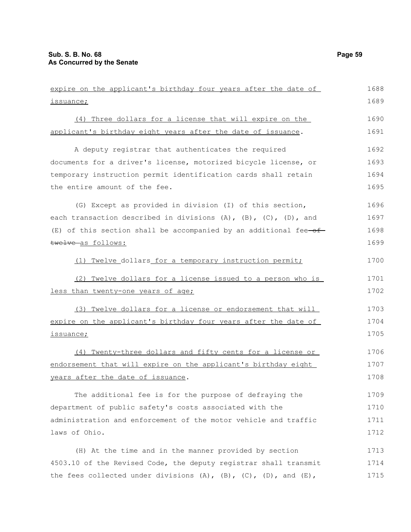| expire on the applicant's birthday four years after the date of                | 1688 |
|--------------------------------------------------------------------------------|------|
| issuance;                                                                      | 1689 |
| (4) Three dollars for a license that will expire on the                        | 1690 |
| applicant's birthday eight years after the date of issuance.                   | 1691 |
| A deputy registrar that authenticates the required                             | 1692 |
| documents for a driver's license, motorized bicycle license, or                | 1693 |
| temporary instruction permit identification cards shall retain                 | 1694 |
| the entire amount of the fee.                                                  | 1695 |
| (G) Except as provided in division (I) of this section,                        | 1696 |
| each transaction described in divisions $(A)$ , $(B)$ , $(C)$ , $(D)$ , and    | 1697 |
| (E) of this section shall be accompanied by an additional fee-of-              | 1698 |
| twelve-as follows:                                                             | 1699 |
| (1) Twelve dollars for a temporary instruction permit;                         | 1700 |
| (2) Twelve dollars for a license issued to a person who is                     | 1701 |
| less than twenty-one years of age;                                             | 1702 |
| (3) Twelve dollars for a license or endorsement that will                      | 1703 |
| expire on the applicant's birthday four years after the date of                | 1704 |
| issuance;                                                                      | 1705 |
| (4) Twenty-three dollars and fifty cents for a license or                      | 1706 |
| endorsement that will expire on the applicant's birthday eight                 | 1707 |
| years after the date of issuance.                                              | 1708 |
| The additional fee is for the purpose of defraying the                         | 1709 |
| department of public safety's costs associated with the                        | 1710 |
| administration and enforcement of the motor vehicle and traffic                | 1711 |
| laws of Ohio.                                                                  | 1712 |
| (H) At the time and in the manner provided by section                          | 1713 |
| 4503.10 of the Revised Code, the deputy registrar shall transmit               | 1714 |
| the fees collected under divisions $(A)$ , $(B)$ , $(C)$ , $(D)$ , and $(E)$ , | 1715 |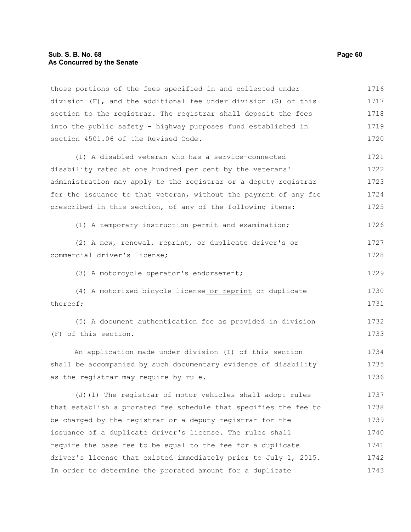#### **Sub. S. B. No. 68 Page 60 As Concurred by the Senate**

those portions of the fees specified in and collected under division (F), and the additional fee under division (G) of this section to the registrar. The registrar shall deposit the fees into the public safety - highway purposes fund established in section 4501.06 of the Revised Code. 1716 1717 1718 1719 1720

(I) A disabled veteran who has a service-connected disability rated at one hundred per cent by the veterans' administration may apply to the registrar or a deputy registrar for the issuance to that veteran, without the payment of any fee prescribed in this section, of any of the following items: 1721 1722 1723 1724 1725

(1) A temporary instruction permit and examination; 1726

(2) A new, renewal, reprint, or duplicate driver's or commercial driver's license; 1727 1728

(3) A motorcycle operator's endorsement;

(4) A motorized bicycle license or reprint or duplicate thereof; 1730 1731

(5) A document authentication fee as provided in division (F) of this section. 1732 1733

An application made under division (I) of this section shall be accompanied by such documentary evidence of disability as the registrar may require by rule. 1734 1735 1736

(J)(1) The registrar of motor vehicles shall adopt rules that establish a prorated fee schedule that specifies the fee to be charged by the registrar or a deputy registrar for the issuance of a duplicate driver's license. The rules shall require the base fee to be equal to the fee for a duplicate driver's license that existed immediately prior to July 1, 2015. In order to determine the prorated amount for a duplicate 1737 1738 1739 1740 1741 1742 1743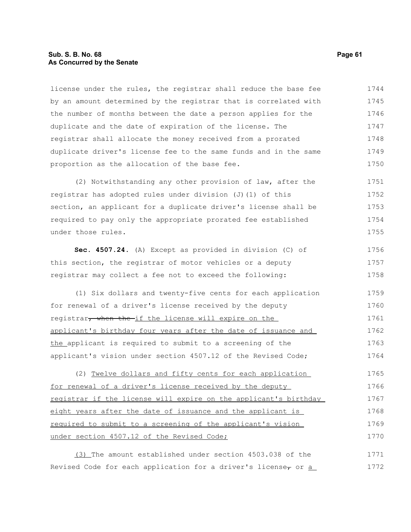# **Sub. S. B. No. 68 Page 61 As Concurred by the Senate**

license under the rules, the registrar shall reduce the base fee by an amount determined by the registrar that is correlated with the number of months between the date a person applies for the duplicate and the date of expiration of the license. The registrar shall allocate the money received from a prorated duplicate driver's license fee to the same funds and in the same proportion as the allocation of the base fee. 1744 1745 1746 1747 1748 1749 1750

(2) Notwithstanding any other provision of law, after the registrar has adopted rules under division (J)(1) of this section, an applicant for a duplicate driver's license shall be required to pay only the appropriate prorated fee established under those rules. 1751 1752 1753 1754 1755

**Sec. 4507.24.** (A) Except as provided in division (C) of this section, the registrar of motor vehicles or a deputy registrar may collect a fee not to exceed the following: 1756 1757 1758

(1) Six dollars and twenty-five cents for each application for renewal of a driver's license received by the deputy registrar, when the if the license will expire on the applicant's birthday four years after the date of issuance and the applicant is required to submit to a screening of the applicant's vision under section 4507.12 of the Revised Code; 1759 1760 1761 1762 1763 1764

(2) Twelve dollars and fifty cents for each application for renewal of a driver's license received by the deputy registrar if the license will expire on the applicant's birthday eight years after the date of issuance and the applicant is required to submit to a screening of the applicant's vision under section 4507.12 of the Revised Code; 1765 1766 1767 1768 1769 1770

(3) The amount established under section 4503.038 of the Revised Code for each application for a driver's license $_{\tau}$  or a 1771 1772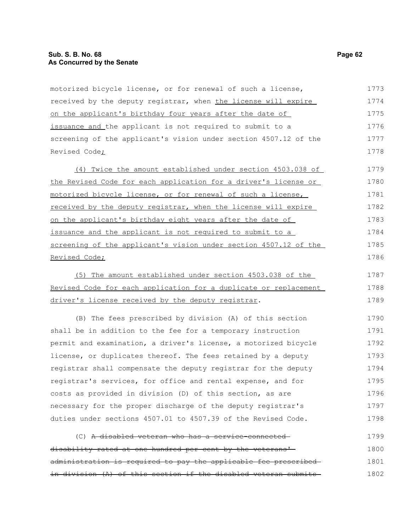| motorized bicycle license, or for renewal of such a license,     | 1773 |
|------------------------------------------------------------------|------|
| received by the deputy registrar, when the license will expire   | 1774 |
| on the applicant's birthday four years after the date of         | 1775 |
| issuance and the applicant is not required to submit to a        | 1776 |
| screening of the applicant's vision under section 4507.12 of the | 1777 |
| Revised Code;                                                    | 1778 |
| (4) Twice the amount established under section 4503.038 of       | 1779 |
| the Revised Code for each application for a driver's license or  | 1780 |
| motorized bicycle license, or for renewal of such a license,     | 1781 |
| received by the deputy registrar, when the license will expire   | 1782 |
| on the applicant's birthday eight years after the date of        | 1783 |
| issuance and the applicant is not required to submit to a        | 1784 |
| screening of the applicant's vision under section 4507.12 of the | 1785 |
| Revised Code;                                                    | 1786 |
| (5) The amount established under section 4503.038 of the         | 1787 |
| Revised Code for each application for a duplicate or replacement | 1788 |
| driver's license received by the deputy registrar.               | 1789 |
| (B) The fees prescribed by division (A) of this section          | 1790 |
| shall be in addition to the fee for a temporary instruction      | 1791 |
| permit and examination, a driver's license, a motorized bicycle  | 1792 |
| license, or duplicates thereof. The fees retained by a deputy    | 1793 |
| registrar shall compensate the deputy registrar for the deputy   | 1794 |
| registrar's services, for office and rental expense, and for     | 1795 |
| costs as provided in division (D) of this section, as are        | 1796 |
| necessary for the proper discharge of the deputy registrar's     | 1797 |
| duties under sections 4507.01 to 4507.39 of the Revised Code.    | 1798 |
| (C) A disabled veteran who has a service-connected-              | 1799 |
| disability rated at one hundred per cent by the veterans'-       | 1800 |

administration is required to pay the applicable fee prescribed in division (A) of this section if the disabled veteran submits-1801 1802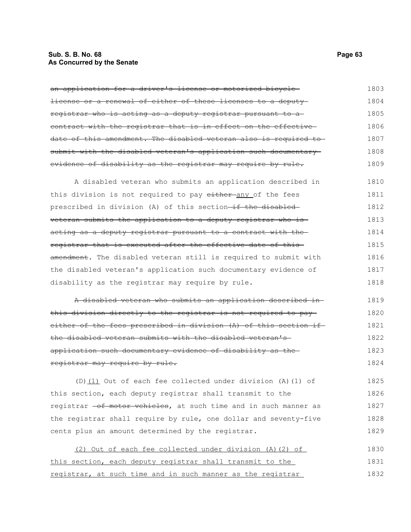#### **Sub. S. B. No. 68 Page 63 As Concurred by the Senate**

an application for a driver's license or motorized bicycle license or a renewal of either of these licenses to a deputy registrar who is acting as a deputy registrar pursuant to a contract with the registrar that is in effect on the effective date of this amendment. The disabled veteran also is required to submit with the disabled veteran's application such documentary evidence of disability as the registrar may require by rule. 1803 1804 1805 1806 1807 1808 1809

A disabled veteran who submits an application described in this division is not required to pay either any of the fees prescribed in division (A) of this section-if the disabledveteran submits the application to a deputy registrar who is acting as a deputy registrar pursuant to a contract with the registrar that is executed after the effective date of this amendment. The disabled veteran still is required to submit with the disabled veteran's application such documentary evidence of disability as the registrar may require by rule. 1810 1811 1812 1813 1814 1815 1816 1817 1818

A disabled veteran who submits an application described in this division directly to the registrar is not required to pay either of the fees prescribed in division (A) of this section if the disabled veteran submits with the disabled veteran's application such documentary evidence of disability as the registrar may require by rule. 1819 1820 1821 1822 1823 1824

(D)(1) Out of each fee collected under division (A)(1) of this section, each deputy registrar shall transmit to the registrar -of motor vehicles, at such time and in such manner as the registrar shall require by rule, one dollar and seventy-five cents plus an amount determined by the registrar. 1825 1826 1827 1828 1829

|  |  |  |  |  | $(2)$ Out of each fee collected under division $(A)$ $(2)$ of |  | 1830 |  |
|--|--|--|--|--|---------------------------------------------------------------|--|------|--|
|  |  |  |  |  | this section, each deputy registrar shall transmit to the     |  | 1831 |  |
|  |  |  |  |  | registrar, at such time and in such manner as the registrar   |  | 1832 |  |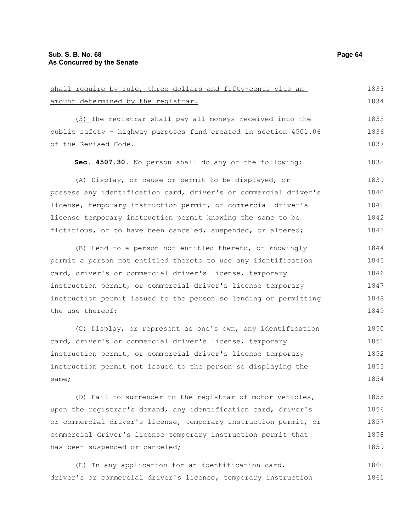| amount determined by the registrar.                              | 1834 |
|------------------------------------------------------------------|------|
| (3) The registrar shall pay all moneys received into the         | 1835 |
| public safety - highway purposes fund created in section 4501.06 | 1836 |
| of the Revised Code.                                             | 1837 |
| Sec. 4507.30. No person shall do any of the following:           | 1838 |
| (A) Display, or cause or permit to be displayed, or              | 1839 |
| possess any identification card, driver's or commercial driver's | 1840 |
| license, temporary instruction permit, or commercial driver's    | 1841 |
| license temporary instruction permit knowing the same to be      | 1842 |
| fictitious, or to have been canceled, suspended, or altered;     | 1843 |
| (B) Lend to a person not entitled thereto, or knowingly          | 1844 |
| permit a person not entitled thereto to use any identification   | 1845 |
| card, driver's or commercial driver's license, temporary         | 1846 |
| instruction permit, or commercial driver's license temporary     | 1847 |
| instruction permit issued to the person so lending or permitting | 1848 |
| the use thereof;                                                 | 1849 |
| (C) Display, or represent as one's own, any identification       | 1850 |
| card, driver's or commercial driver's license, temporary         | 1851 |
| instruction permit, or commercial driver's license temporary     | 1852 |
| instruction permit not issued to the person so displaying the    | 1853 |
| same;                                                            | 1854 |

shall require by rule, three dollars and fifty-cents plus an

(D) Fail to surrender to the registrar of motor vehicles, upon the registrar's demand, any identification card, driver's or commercial driver's license, temporary instruction permit, or commercial driver's license temporary instruction permit that has been suspended or canceled; 1855 1856 1857 1858 1859

(E) In any application for an identification card, driver's or commercial driver's license, temporary instruction 1860 1861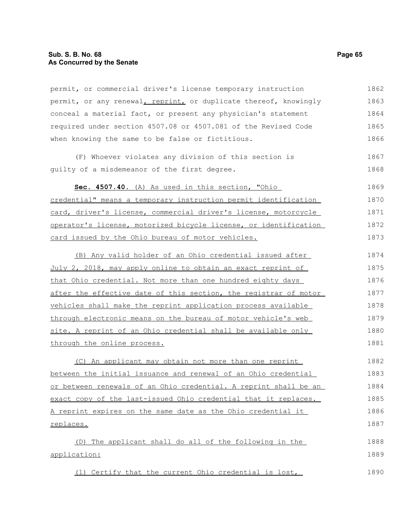application:

permit, or commercial driver's license temporary instruction permit, or any renewal, reprint, or duplicate thereof, knowingly conceal a material fact, or present any physician's statement required under section 4507.08 or 4507.081 of the Revised Code when knowing the same to be false or fictitious. (F) Whoever violates any division of this section is guilty of a misdemeanor of the first degree. **Sec. 4507.40.** (A) As used in this section, "Ohio credential" means a temporary instruction permit identification card, driver's license, commercial driver's license, motorcycle operator's license, motorized bicycle license, or identification card issued by the Ohio bureau of motor vehicles. (B) Any valid holder of an Ohio credential issued after July 2, 2018, may apply online to obtain an exact reprint of that Ohio credential. Not more than one hundred eighty days after the effective date of this section, the registrar of motor vehicles shall make the reprint application process available through electronic means on the bureau of motor vehicle's web site. A reprint of an Ohio credential shall be available only through the online process. (C) An applicant may obtain not more than one reprint between the initial issuance and renewal of an Ohio credential or between renewals of an Ohio credential. A reprint shall be an exact copy of the last-issued Ohio credential that it replaces. A reprint expires on the same date as the Ohio credential it replaces. (D) The applicant shall do all of the following in the 1862 1863 1864 1865 1866 1867 1868 1869 1870 1871 1872 1873 1874 1875 1876 1877 1878 1879 1880 1881 1882 1883 1884 1885 1886 1887 1888

(1) Certify that the current Ohio credential is lost, 1890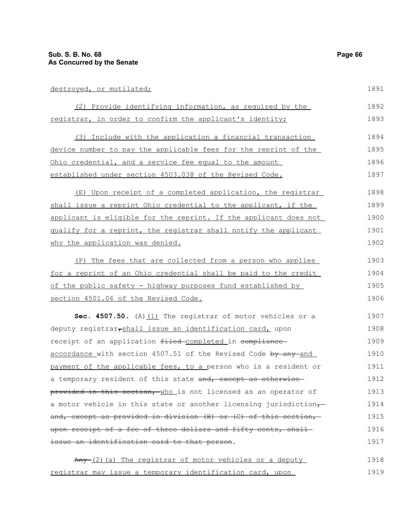| destroyed, or mutilated;                                         | 1891 |
|------------------------------------------------------------------|------|
| (2) Provide identifying information, as required by the          | 1892 |
| registrar, in order to confirm the applicant's identity;         | 1893 |
| (3) Include with the application a financial transaction         | 1894 |
| device number to pay the applicable fees for the reprint of the  | 1895 |
| Ohio credential, and a service fee equal to the amount           | 1896 |
| established under section 4503.038 of the Revised Code.          | 1897 |
| (E) Upon receipt of a completed application, the registrar       | 1898 |
| shall issue a reprint Ohio credential to the applicant, if the   | 1899 |
| applicant is eligible for the reprint. If the applicant does not | 1900 |
| qualify for a reprint, the registrar shall notify the applicant  | 1901 |
| why the application was denied.                                  | 1902 |
| The fees that are collected from a person who applies<br>(F)     | 1903 |
| for a reprint of an Ohio credential shall be paid to the credit  | 1904 |
| of the public safety - highway purposes fund established by      | 1905 |
| section 4501.06 of the Revised Code.                             | 1906 |
| Sec. 4507.50. (A) $(1)$ The registrar of motor vehicles or a     | 1907 |
| deputy registrar, shall issue an identification card, upon       | 1908 |
| receipt of an application filed-completed in compliance          | 1909 |
| accordance_with section 4507.51 of the Revised Code by any-and   | 1910 |
| payment of the applicable fees, to a person who is a resident or | 1911 |
| a temporary resident of this state and, except as otherwise-     | 1912 |
| provided in this section, who is not licensed as an operator of  | 1913 |
| a motor vehicle in this state or another licensing jurisdiction- | 1914 |
| and, except as provided in division (B) or (C) of this section,  | 1915 |
| upon receipt of a fee of three dollars and fifty cents, shall-   | 1916 |
| issue an identification card to that person.                     | 1917 |
| Any (2) (a) The registrar of motor vehicles or a deputy          | 1918 |

registrar may issue a temporary identification card, upon 1919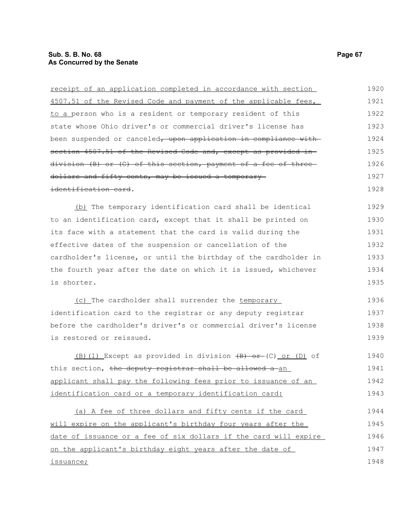| receipt of an application completed in accordance with section   | 1920 |
|------------------------------------------------------------------|------|
| 4507.51 of the Revised Code and payment of the applicable fees,  | 1921 |
| to a person who is a resident or temporary resident of this      | 1922 |
| state whose Ohio driver's or commercial driver's license has     | 1923 |
| been suspended or canceled, upon application in compliance with  | 1924 |
| section 4507.51 of the Revised Code and, except as provided in-  | 1925 |
| division (B) or (C) of this section, payment of a fee of three   | 1926 |
| dollars and fifty cents, may be issued a temporary               | 1927 |
| identification card.                                             | 1928 |
| (b) The temporary identification card shall be identical         | 1929 |
| to an identification card, except that it shall be printed on    | 1930 |
| its face with a statement that the card is valid during the      | 1931 |
| effective dates of the suspension or cancellation of the         | 1932 |
| cardholder's license, or until the birthday of the cardholder in | 1933 |
| the fourth year after the date on which it is issued, whichever  | 1934 |
| is shorter.                                                      | 1935 |
| (c) The cardholder shall surrender the temporary                 | 1936 |
| identification card to the registrar or any deputy registrar     | 1937 |
| before the cardholder's driver's or commercial driver's license  | 1938 |
| is restored or reissued.                                         | 1939 |
| $(B)$ (1) Except as provided in division $(B)$ or (C) or (D) of  | 1940 |
| this section, the deputy registrar shall be allowed a an         | 1941 |
| applicant shall pay the following fees prior to issuance of an   | 1942 |
| identification card or a temporary identification card:          | 1943 |
| (a) A fee of three dollars and fifty cents if the card           | 1944 |
| will expire on the applicant's birthday four years after the     | 1945 |
| date of issuance or a fee of six dollars if the card will expire | 1946 |
| on the applicant's birthday eight years after the date of        | 1947 |
| issuance;                                                        | 1948 |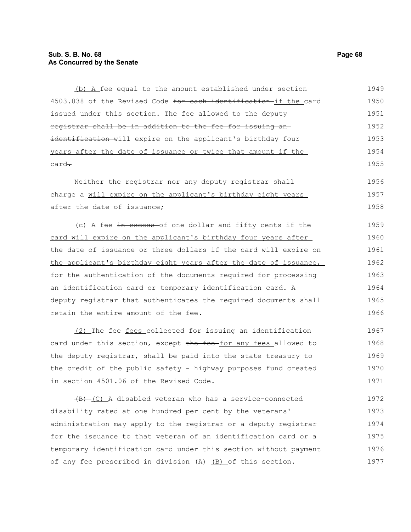# **Sub. S. B. No. 68 Page 68 As Concurred by the Senate**

(b) A fee equal to the amount established under section 4503.038 of the Revised Code for each identification-if the card issued under this section. The fee allowed to the deputy registrar shall be in addition to the fee for issuing an identification will expire on the applicant's birthday four years after the date of issuance or twice that amount if the card-1949 1950 1951 1952 1953 1954 1955

Neither the registrar nor any deputy registrar shall charge a will expire on the applicant's birthday eight years after the date of issuance; 1956 1957 1958

(c) A fee in excess-of one dollar and fifty cents if the card will expire on the applicant's birthday four years after the date of issuance or three dollars if the card will expire on the applicant's birthday eight years after the date of issuance, for the authentication of the documents required for processing an identification card or temporary identification card. A deputy registrar that authenticates the required documents shall retain the entire amount of the fee. 1959 1960 1961 1962 1963 1964 1965 1966

(2) The fee-fees collected for issuing an identification card under this section, except the fee for any fees allowed to the deputy registrar, shall be paid into the state treasury to the credit of the public safety - highway purposes fund created in section 4501.06 of the Revised Code. 1967 1968 1969 1970 1971

 $(B)$  (C) A disabled veteran who has a service-connected disability rated at one hundred per cent by the veterans' administration may apply to the registrar or a deputy registrar for the issuance to that veteran of an identification card or a temporary identification card under this section without payment of any fee prescribed in division  $(A)$  (B) of this section. 1972 1973 1974 1975 1976 1977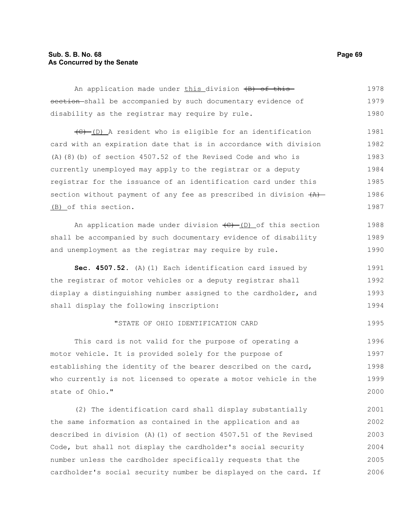# **Sub. S. B. No. 68 Page 69 As Concurred by the Senate**

An application made under this division (B) of this section shall be accompanied by such documentary evidence of disability as the registrar may require by rule. 1978 1979 1980

(C) (D) A resident who is eligible for an identification card with an expiration date that is in accordance with division (A)(8)(b) of section 4507.52 of the Revised Code and who is currently unemployed may apply to the registrar or a deputy registrar for the issuance of an identification card under this section without payment of any fee as prescribed in division  $\{A\}$ (B) of this section. 1981 1982 1983 1984 1985 1986 1987

An application made under division  $\left(\frac{C}{C}\right)$  of this section shall be accompanied by such documentary evidence of disability and unemployment as the registrar may require by rule. 1988 1989 1990

**Sec. 4507.52.** (A)(1) Each identification card issued by the registrar of motor vehicles or a deputy registrar shall display a distinguishing number assigned to the cardholder, and shall display the following inscription: 1991 1992 1993 1994

#### "STATE OF OHIO IDENTIFICATION CARD

This card is not valid for the purpose of operating a motor vehicle. It is provided solely for the purpose of establishing the identity of the bearer described on the card, who currently is not licensed to operate a motor vehicle in the state of Ohio." 1996 1997 1998 1999 2000

(2) The identification card shall display substantially the same information as contained in the application and as described in division (A)(1) of section 4507.51 of the Revised Code, but shall not display the cardholder's social security number unless the cardholder specifically requests that the cardholder's social security number be displayed on the card. If 2001 2002 2003 2004 2005 2006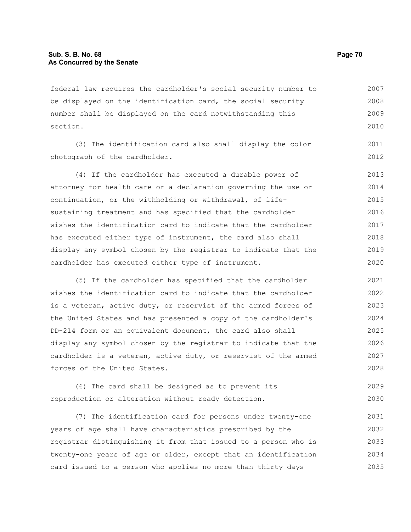federal law requires the cardholder's social security number to be displayed on the identification card, the social security number shall be displayed on the card notwithstanding this section. 2007 2008 2009 2010

(3) The identification card also shall display the color photograph of the cardholder.

(4) If the cardholder has executed a durable power of attorney for health care or a declaration governing the use or continuation, or the withholding or withdrawal, of lifesustaining treatment and has specified that the cardholder wishes the identification card to indicate that the cardholder has executed either type of instrument, the card also shall display any symbol chosen by the registrar to indicate that the cardholder has executed either type of instrument. 2013 2014 2015 2016 2017 2018 2019 2020

(5) If the cardholder has specified that the cardholder wishes the identification card to indicate that the cardholder is a veteran, active duty, or reservist of the armed forces of the United States and has presented a copy of the cardholder's DD-214 form or an equivalent document, the card also shall display any symbol chosen by the registrar to indicate that the cardholder is a veteran, active duty, or reservist of the armed forces of the United States. 2021 2022 2023 2024 2025 2026 2027 2028

(6) The card shall be designed as to prevent its reproduction or alteration without ready detection. 2029 2030

(7) The identification card for persons under twenty-one years of age shall have characteristics prescribed by the registrar distinguishing it from that issued to a person who is twenty-one years of age or older, except that an identification card issued to a person who applies no more than thirty days 2031 2032 2033 2034 2035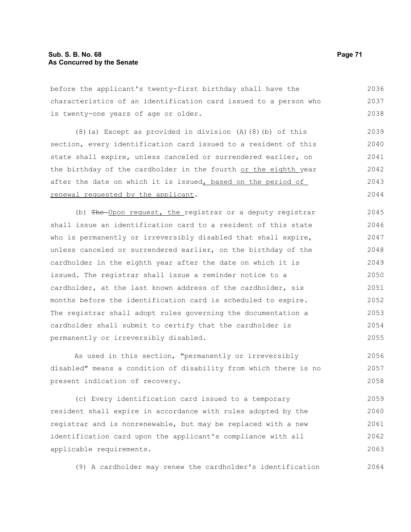before the applicant's twenty-first birthday shall have the characteristics of an identification card issued to a person who is twenty-one years of age or older. 2036 2037 2038

(8)(a) Except as provided in division (A)(8)(b) of this section, every identification card issued to a resident of this state shall expire, unless canceled or surrendered earlier, on the birthday of the cardholder in the fourth or the eighth year after the date on which it is issued, based on the period of renewal requested by the applicant. 2039 2040 2041 2042 2043 2044

(b) The Upon request, the registrar or a deputy registrar shall issue an identification card to a resident of this state who is permanently or irreversibly disabled that shall expire, unless canceled or surrendered earlier, on the birthday of the cardholder in the eighth year after the date on which it is issued. The registrar shall issue a reminder notice to a cardholder, at the last known address of the cardholder, six months before the identification card is scheduled to expire. The registrar shall adopt rules governing the documentation a cardholder shall submit to certify that the cardholder is permanently or irreversibly disabled. 2045 2046 2047 2048 2049 2050 2051 2052 2053 2054 2055

As used in this section, "permanently or irreversibly disabled" means a condition of disability from which there is no present indication of recovery.

(c) Every identification card issued to a temporary resident shall expire in accordance with rules adopted by the registrar and is nonrenewable, but may be replaced with a new identification card upon the applicant's compliance with all applicable requirements. 2059 2060 2061 2062 2063

(9) A cardholder may renew the cardholder's identification 2064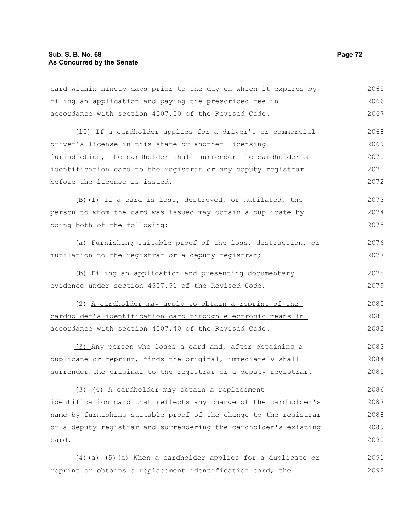card.

card within ninety days prior to the day on which it expires by filing an application and paying the prescribed fee in accordance with section 4507.50 of the Revised Code. (10) If a cardholder applies for a driver's or commercial driver's license in this state or another licensing jurisdiction, the cardholder shall surrender the cardholder's identification card to the registrar or any deputy registrar before the license is issued. (B)(1) If a card is lost, destroyed, or mutilated, the person to whom the card was issued may obtain a duplicate by doing both of the following: (a) Furnishing suitable proof of the loss, destruction, or mutilation to the registrar or a deputy registrar; (b) Filing an application and presenting documentary evidence under section 4507.51 of the Revised Code. (2) A cardholder may apply to obtain a reprint of the cardholder's identification card through electronic means in accordance with section 4507.40 of the Revised Code. (3) Any person who loses a card and, after obtaining a duplicate or reprint, finds the original, immediately shall surrender the original to the registrar or a deputy registrar.  $(3)$  (4) A cardholder may obtain a replacement identification card that reflects any change of the cardholder's name by furnishing suitable proof of the change to the registrar or a deputy registrar and surrendering the cardholder's existing 2065 2066 2067 2068 2069 2070 2071 2072 2073 2074 2075 2076 2077 2078 2079 2080 2081 2082 2083 2084 2085 2086 2087 2088 2089

 $(4)$  (a)  $(5)$  (a) When a cardholder applies for a duplicate or reprint or obtains a replacement identification card, the 2091 2092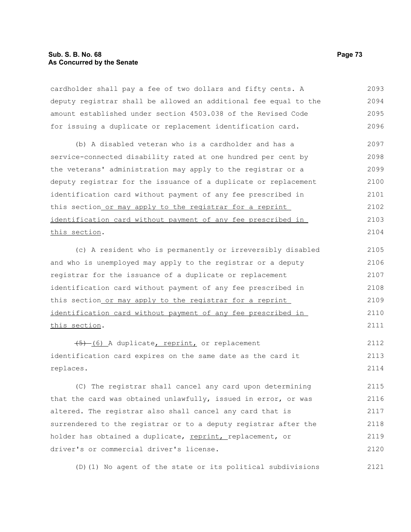cardholder shall pay a fee of two dollars and fifty cents. A deputy registrar shall be allowed an additional fee equal to the amount established under section 4503.038 of the Revised Code for issuing a duplicate or replacement identification card. 2093 2094 2095 2096

(b) A disabled veteran who is a cardholder and has a service-connected disability rated at one hundred per cent by the veterans' administration may apply to the registrar or a deputy registrar for the issuance of a duplicate or replacement identification card without payment of any fee prescribed in this section or may apply to the registrar for a reprint identification card without payment of any fee prescribed in this section. 2097 2098 2099 2100 2101 2102 2103 2104

(c) A resident who is permanently or irreversibly disabled and who is unemployed may apply to the registrar or a deputy registrar for the issuance of a duplicate or replacement identification card without payment of any fee prescribed in this section or may apply to the registrar for a reprint identification card without payment of any fee prescribed in this section. 2105 2106 2107 2108 2109 2110 2111

(5) (6) A duplicate, reprint, or replacement identification card expires on the same date as the card it replaces. 2112 2113 2114

(C) The registrar shall cancel any card upon determining that the card was obtained unlawfully, issued in error, or was altered. The registrar also shall cancel any card that is surrendered to the registrar or to a deputy registrar after the holder has obtained a duplicate, reprint, replacement, or driver's or commercial driver's license. 2115 2116 2117 2118 2119 2120

(D)(1) No agent of the state or its political subdivisions 2121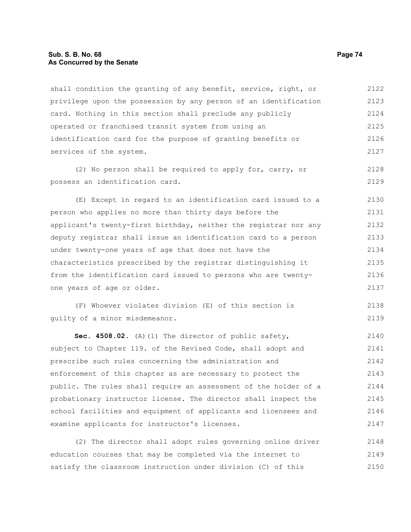### **Sub. S. B. No. 68 Page 74 As Concurred by the Senate**

shall condition the granting of any benefit, service, right, or privilege upon the possession by any person of an identification card. Nothing in this section shall preclude any publicly operated or franchised transit system from using an identification card for the purpose of granting benefits or services of the system. 2122 2123 2124 2125 2126 2127

(2) No person shall be required to apply for, carry, or possess an identification card.

(E) Except in regard to an identification card issued to a person who applies no more than thirty days before the applicant's twenty-first birthday, neither the registrar nor any deputy registrar shall issue an identification card to a person under twenty-one years of age that does not have the characteristics prescribed by the registrar distinguishing it from the identification card issued to persons who are twentyone years of age or older. 2130 2131 2132 2133 2134 2135 2136 2137

(F) Whoever violates division (E) of this section is guilty of a minor misdemeanor. 2138 2139

**Sec. 4508.02.** (A)(1) The director of public safety, subject to Chapter 119. of the Revised Code, shall adopt and prescribe such rules concerning the administration and enforcement of this chapter as are necessary to protect the public. The rules shall require an assessment of the holder of a probationary instructor license. The director shall inspect the school facilities and equipment of applicants and licensees and examine applicants for instructor's licenses. 2140 2141 2142 2143 2144 2145 2146 2147

(2) The director shall adopt rules governing online driver education courses that may be completed via the internet to satisfy the classroom instruction under division (C) of this 2148 2149 2150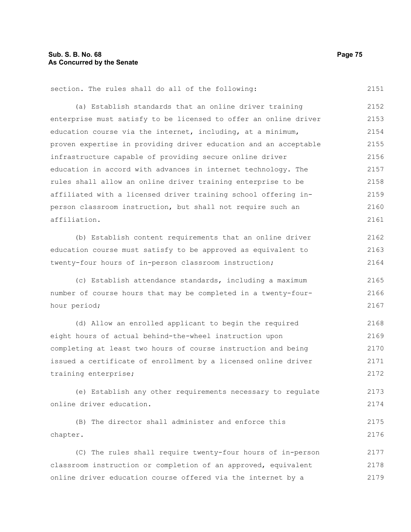section. The rules shall do all of the following:

(a) Establish standards that an online driver training enterprise must satisfy to be licensed to offer an online driver education course via the internet, including, at a minimum, proven expertise in providing driver education and an acceptable infrastructure capable of providing secure online driver education in accord with advances in internet technology. The rules shall allow an online driver training enterprise to be affiliated with a licensed driver training school offering inperson classroom instruction, but shall not require such an affiliation. 2152 2153 2154 2155 2156 2157 2158 2159 2160 2161

(b) Establish content requirements that an online driver education course must satisfy to be approved as equivalent to twenty-four hours of in-person classroom instruction; 2162 2163 2164

(c) Establish attendance standards, including a maximum number of course hours that may be completed in a twenty-fourhour period; 2165 2166 2167

(d) Allow an enrolled applicant to begin the required eight hours of actual behind-the-wheel instruction upon completing at least two hours of course instruction and being issued a certificate of enrollment by a licensed online driver training enterprise; 2168 2169 2170 2171 2172

(e) Establish any other requirements necessary to regulate online driver education. 2173 2174

(B) The director shall administer and enforce this chapter. 2175 2176

(C) The rules shall require twenty-four hours of in-person classroom instruction or completion of an approved, equivalent online driver education course offered via the internet by a 2177 2178 2179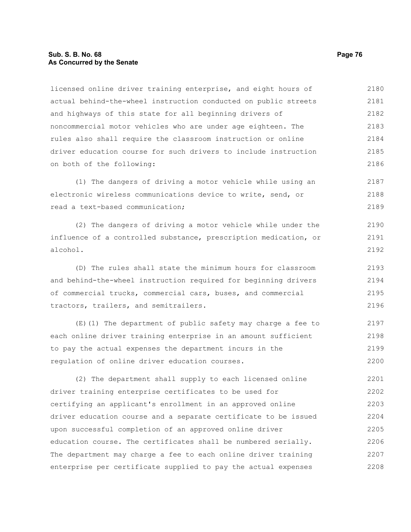# **Sub. S. B. No. 68 Page 76 As Concurred by the Senate**

licensed online driver training enterprise, and eight hours of actual behind-the-wheel instruction conducted on public streets and highways of this state for all beginning drivers of noncommercial motor vehicles who are under age eighteen. The rules also shall require the classroom instruction or online driver education course for such drivers to include instruction on both of the following: 2180 2181 2182 2183 2184 2185 2186

(1) The dangers of driving a motor vehicle while using an electronic wireless communications device to write, send, or read a text-based communication; 2187 2188 2189

(2) The dangers of driving a motor vehicle while under the influence of a controlled substance, prescription medication, or alcohol. 2190 2191 2192

(D) The rules shall state the minimum hours for classroom and behind-the-wheel instruction required for beginning drivers of commercial trucks, commercial cars, buses, and commercial tractors, trailers, and semitrailers. 2193 2194 2195 2196

(E)(1) The department of public safety may charge a fee to each online driver training enterprise in an amount sufficient to pay the actual expenses the department incurs in the regulation of online driver education courses. 2197 2198 2199 2200

(2) The department shall supply to each licensed online driver training enterprise certificates to be used for certifying an applicant's enrollment in an approved online driver education course and a separate certificate to be issued upon successful completion of an approved online driver education course. The certificates shall be numbered serially. The department may charge a fee to each online driver training enterprise per certificate supplied to pay the actual expenses 2201 2202 2203 2204 2205 2206 2207 2208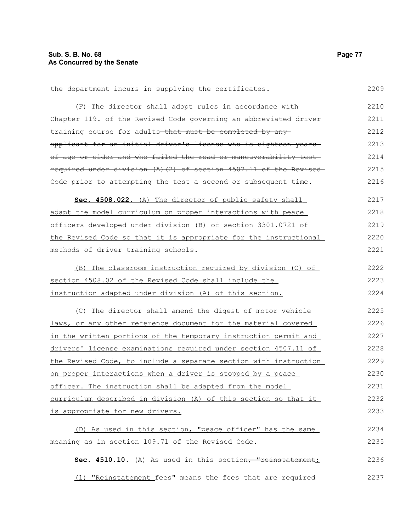the department incurs in supplying the certificates. 2209

(F) The director shall adopt rules in accordance with Chapter 119. of the Revised Code governing an abbreviated driver training course for adults-that must be completed by any applicant for an initial driver's license who is eighteen years of age or older and who failed the road or maneuverability test required under division (A)(2) of section 4507.11 of the Revised Code prior to attempting the test a second or subsequent time. Sec. 4508.022. (A) The director of public safety shall adapt the model curriculum on proper interactions with peace officers developed under division (B) of section 3301.0721 of the Revised Code so that it is appropriate for the instructional methods of driver training schools. (B) The classroom instruction required by division (C) of 2210 2211 2212 2213 2214 2215 2216 2217 2218 2219 2220 2221 2222

section 4508.02 of the Revised Code shall include the instruction adapted under division (A) of this section. 2223 2224

(C) The director shall amend the digest of motor vehicle laws, or any other reference document for the material covered in the written portions of the temporary instruction permit and drivers' license examinations required under section 4507.11 of the Revised Code, to include a separate section with instruction on proper interactions when a driver is stopped by a peace officer. The instruction shall be adapted from the model curriculum described in division (A) of this section so that it is appropriate for new drivers. 2225 2226 2227 2228 2229 2230 2231 2232 2233

(D) As used in this section, "peace officer" has the same meaning as in section 109.71 of the Revised Code. 2234 2235

**Sec. 4510.10.** (A) As used in this section<del>, "reinstatement</del>: (1) "Reinstatement fees" means the fees that are required 2236 2237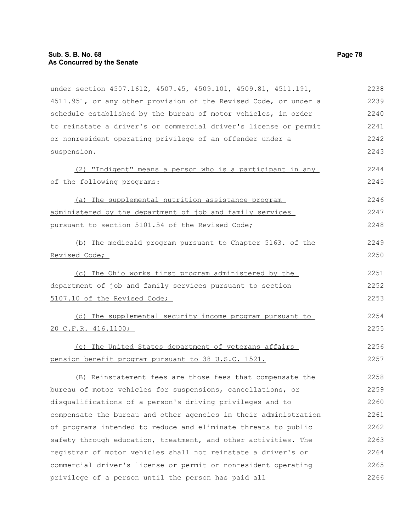| under section 4507.1612, 4507.45, 4509.101, 4509.81, 4511.191,   | 2238 |
|------------------------------------------------------------------|------|
| 4511.951, or any other provision of the Revised Code, or under a | 2239 |
| schedule established by the bureau of motor vehicles, in order   | 2240 |
| to reinstate a driver's or commercial driver's license or permit | 2241 |
| or nonresident operating privilege of an offender under a        | 2242 |
| suspension.                                                      | 2243 |
| (2) "Indigent" means a person who is a participant in any        | 2244 |
| of the following programs:                                       | 2245 |
| (a) The supplemental nutrition assistance program                | 2246 |
| administered by the department of job and family services        | 2247 |
| pursuant to section 5101.54 of the Revised Code;                 | 2248 |
| (b) The medicaid program pursuant to Chapter 5163. of the        | 2249 |
| Revised Code;                                                    | 2250 |
| (c) The Ohio works first program administered by the             | 2251 |
| department of job and family services pursuant to section        | 2252 |
| 5107.10 of the Revised Code;                                     | 2253 |
| (d) The supplemental security income program pursuant to         | 2254 |
| <u>20 C.F.R. 416.1100;</u>                                       | 2255 |
| (e) The United States department of veterans affairs             | 2256 |
| pension benefit program pursuant to 38 U.S.C. 1521.              | 2257 |
| (B) Reinstatement fees are those fees that compensate the        | 2258 |
| bureau of motor vehicles for suspensions, cancellations, or      | 2259 |
| disqualifications of a person's driving privileges and to        | 2260 |
| compensate the bureau and other agencies in their administration | 2261 |
| of programs intended to reduce and eliminate threats to public   | 2262 |
| safety through education, treatment, and other activities. The   | 2263 |
| registrar of motor vehicles shall not reinstate a driver's or    | 2264 |
| commercial driver's license or permit or nonresident operating   | 2265 |
| privilege of a person until the person has paid all              | 2266 |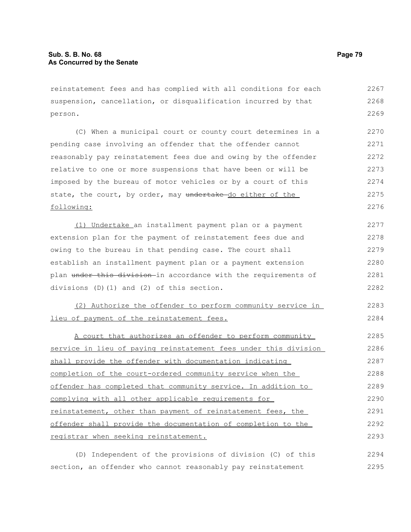reinstatement fees and has complied with all conditions for each suspension, cancellation, or disqualification incurred by that person. 2267 2268 2269

(C) When a municipal court or county court determines in a pending case involving an offender that the offender cannot reasonably pay reinstatement fees due and owing by the offender relative to one or more suspensions that have been or will be imposed by the bureau of motor vehicles or by a court of this state, the court, by order, may undertake do either of the following: 2270 2271 2272 2273 2274 2275 2276

(1) Undertake an installment payment plan or a payment extension plan for the payment of reinstatement fees due and owing to the bureau in that pending case. The court shall establish an installment payment plan or a payment extension plan under this division in accordance with the requirements of divisions (D)(1) and (2) of this section. 2277 2278 2279 2280 2281 2282

(2) Authorize the offender to perform community service in lieu of payment of the reinstatement fees. 2283 2284

A court that authorizes an offender to perform community service in lieu of paying reinstatement fees under this division shall provide the offender with documentation indicating completion of the court-ordered community service when the offender has completed that community service. In addition to complying with all other applicable requirements for reinstatement, other than payment of reinstatement fees, the offender shall provide the documentation of completion to the registrar when seeking reinstatement. 2285 2286 2287 2288 2289 2290 2291 2292 2293

(D) Independent of the provisions of division (C) of this section, an offender who cannot reasonably pay reinstatement 2294 2295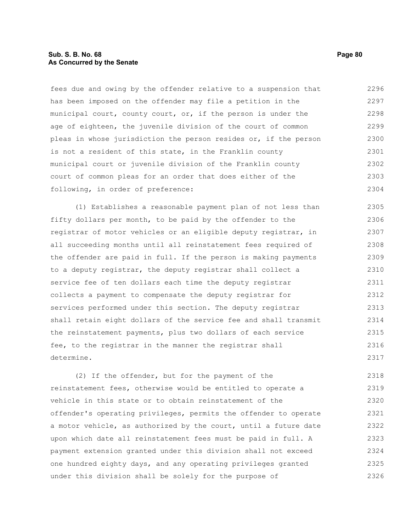# **Sub. S. B. No. 68 Page 80 As Concurred by the Senate**

fees due and owing by the offender relative to a suspension that has been imposed on the offender may file a petition in the municipal court, county court, or, if the person is under the age of eighteen, the juvenile division of the court of common pleas in whose jurisdiction the person resides or, if the person is not a resident of this state, in the Franklin county municipal court or juvenile division of the Franklin county court of common pleas for an order that does either of the following, in order of preference: 2296 2297 2298 2299 2300 2301 2302 2303 2304

(1) Establishes a reasonable payment plan of not less than fifty dollars per month, to be paid by the offender to the registrar of motor vehicles or an eligible deputy registrar, in all succeeding months until all reinstatement fees required of the offender are paid in full. If the person is making payments to a deputy registrar, the deputy registrar shall collect a service fee of ten dollars each time the deputy registrar collects a payment to compensate the deputy registrar for services performed under this section. The deputy registrar shall retain eight dollars of the service fee and shall transmit the reinstatement payments, plus two dollars of each service fee, to the registrar in the manner the registrar shall determine. 2305 2306 2307 2308 2309 2310 2311 2312 2313 2314 2315 2316 2317

(2) If the offender, but for the payment of the reinstatement fees, otherwise would be entitled to operate a vehicle in this state or to obtain reinstatement of the offender's operating privileges, permits the offender to operate a motor vehicle, as authorized by the court, until a future date upon which date all reinstatement fees must be paid in full. A payment extension granted under this division shall not exceed one hundred eighty days, and any operating privileges granted under this division shall be solely for the purpose of 2318 2319 2320 2321 2322 2323 2324 2325 2326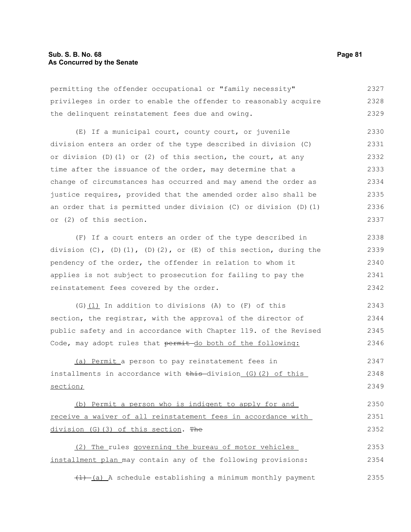permitting the offender occupational or "family necessity" privileges in order to enable the offender to reasonably acquire the delinquent reinstatement fees due and owing. 2327 2328 2329

(E) If a municipal court, county court, or juvenile division enters an order of the type described in division (C) or division  $(D)$  (1) or (2) of this section, the court, at any time after the issuance of the order, may determine that a change of circumstances has occurred and may amend the order as justice requires, provided that the amended order also shall be an order that is permitted under division (C) or division (D)(1) or (2) of this section. 2330 2331 2332 2333 2334 2335 2336 2337

(F) If a court enters an order of the type described in division  $(C)$ ,  $(D)$  $(1)$ ,  $(D)$  $(2)$ , or  $(E)$  of this section, during the pendency of the order, the offender in relation to whom it applies is not subject to prosecution for failing to pay the reinstatement fees covered by the order. 2338 2339 2340 2341 2342

(G)(1) In addition to divisions (A) to (F) of this section, the registrar, with the approval of the director of public safety and in accordance with Chapter 119. of the Revised Code, may adopt rules that permit do both of the following: 2343 2344 2345 2346

(a) Permit a person to pay reinstatement fees in installments in accordance with  $\frac{1}{2}$  division (G)(2) of this section; 2347 2348 2349

(b) Permit a person who is indigent to apply for and receive a waiver of all reinstatement fees in accordance with division (G)(3) of this section. The 2350 2351 2352

(2) The rules governing the bureau of motor vehicles installment plan may contain any of the following provisions: 2353 2354

 $(1)$  (a) A schedule establishing a minimum monthly payment 2355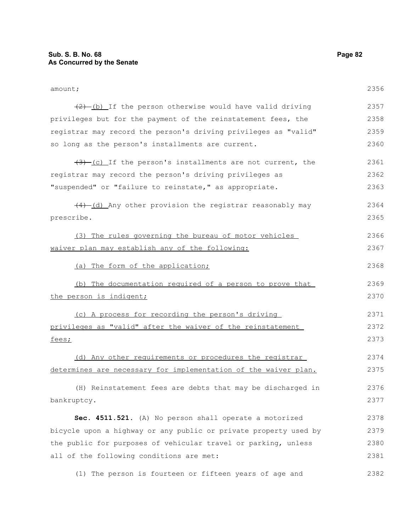amount;

prescribe.

 $(2)$  (b) If the person otherwise would have valid driving privileges but for the payment of the reinstatement fees, the registrar may record the person's driving privileges as "valid" so long as the person's installments are current.  $(3)$  (c) If the person's installments are not current, the registrar may record the person's driving privileges as "suspended" or "failure to reinstate," as appropriate.  $(4)$  (d) Any other provision the registrar reasonably may (3) The rules governing the bureau of motor vehicles waiver plan may establish any of the following: (a) The form of the application; (b) The documentation required of a person to prove that the person is indigent; (c) A process for recording the person's driving 2356 2357 2358 2359 2360 2361 2362 2363 2364 2365 2366 2367 2368 2369 2370 2371

privileges as "valid" after the waiver of the reinstatement fees; 2372 2373

|                                                                 |  |  |  |  | (d) Any other requirements or procedures the registrar |  | 2374 |
|-----------------------------------------------------------------|--|--|--|--|--------------------------------------------------------|--|------|
| determines are necessary for implementation of the waiver plan. |  |  |  |  |                                                        |  | 2375 |

(H) Reinstatement fees are debts that may be discharged in bankruptcy. 2376 2377

**Sec. 4511.521.** (A) No person shall operate a motorized bicycle upon a highway or any public or private property used by the public for purposes of vehicular travel or parking, unless all of the following conditions are met: 2378 2379 2380 2381

(1) The person is fourteen or fifteen years of age and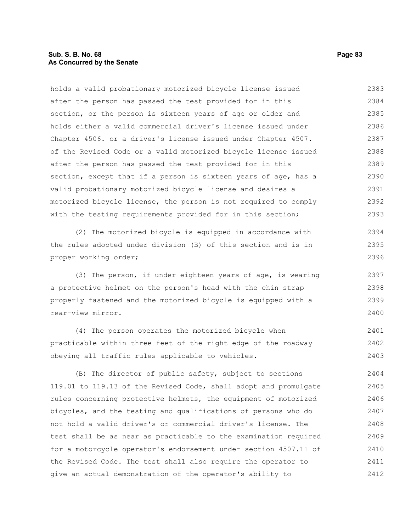# **Sub. S. B. No. 68 Page 83 As Concurred by the Senate**

holds a valid probationary motorized bicycle license issued after the person has passed the test provided for in this section, or the person is sixteen years of age or older and holds either a valid commercial driver's license issued under Chapter 4506. or a driver's license issued under Chapter 4507. of the Revised Code or a valid motorized bicycle license issued after the person has passed the test provided for in this section, except that if a person is sixteen years of age, has a valid probationary motorized bicycle license and desires a motorized bicycle license, the person is not required to comply with the testing requirements provided for in this section; 2383 2384 2385 2386 2387 2388 2389 2390 2391 2392 2393

(2) The motorized bicycle is equipped in accordance with the rules adopted under division (B) of this section and is in proper working order;

(3) The person, if under eighteen years of age, is wearing a protective helmet on the person's head with the chin strap properly fastened and the motorized bicycle is equipped with a rear-view mirror.

(4) The person operates the motorized bicycle when practicable within three feet of the right edge of the roadway obeying all traffic rules applicable to vehicles. 2401 2402 2403

(B) The director of public safety, subject to sections 119.01 to 119.13 of the Revised Code, shall adopt and promulgate rules concerning protective helmets, the equipment of motorized bicycles, and the testing and qualifications of persons who do not hold a valid driver's or commercial driver's license. The test shall be as near as practicable to the examination required for a motorcycle operator's endorsement under section 4507.11 of the Revised Code. The test shall also require the operator to give an actual demonstration of the operator's ability to 2404 2405 2406 2407 2408 2409 2410 2411 2412

2394 2395 2396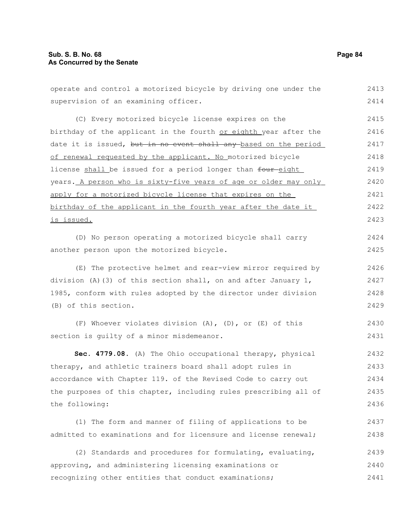operate and control a motorized bicycle by driving one under the supervision of an examining officer. (C) Every motorized bicycle license expires on the birthday of the applicant in the fourth or eighth year after the date it is issued, but in no event shall any based on the period of renewal requested by the applicant. No motorized bicycle license shall be issued for a period longer than four-eight years. A person who is sixty-five years of age or older may only apply for a motorized bicycle license that expires on the birthday of the applicant in the fourth year after the date it is issued. (D) No person operating a motorized bicycle shall carry another person upon the motorized bicycle. (E) The protective helmet and rear-view mirror required by division (A)(3) of this section shall, on and after January 1, 1985, conform with rules adopted by the director under division (B) of this section. (F) Whoever violates division (A), (D), or (E) of this section is guilty of a minor misdemeanor. **Sec. 4779.08.** (A) The Ohio occupational therapy, physical therapy, and athletic trainers board shall adopt rules in accordance with Chapter 119. of the Revised Code to carry out the purposes of this chapter, including rules prescribing all of the following: (1) The form and manner of filing of applications to be admitted to examinations and for licensure and license renewal; (2) Standards and procedures for formulating, evaluating, approving, and administering licensing examinations or recognizing other entities that conduct examinations; 2413 2414 2415 2416 2417 2418 2419 2420 2421 2422 2423 2424 2425 2426 2427 2428 2429 2430 2431 2432 2433 2434 2435 2436 2437 2438 2439 2440 2441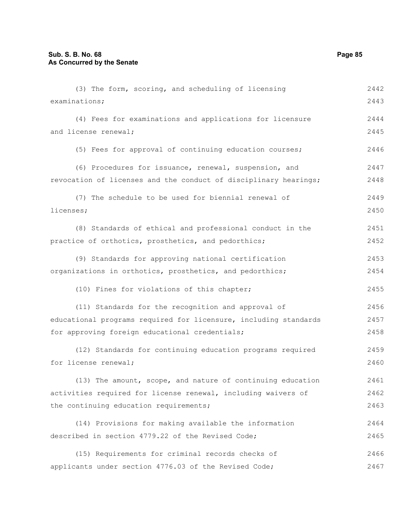| (3) The form, scoring, and scheduling of licensing               | 2442 |
|------------------------------------------------------------------|------|
| examinations;                                                    | 2443 |
| (4) Fees for examinations and applications for licensure         | 2444 |
| and license renewal;                                             | 2445 |
| (5) Fees for approval of continuing education courses;           | 2446 |
| (6) Procedures for issuance, renewal, suspension, and            | 2447 |
| revocation of licenses and the conduct of disciplinary hearings; | 2448 |
| (7) The schedule to be used for biennial renewal of              | 2449 |
| licenses;                                                        | 2450 |
| (8) Standards of ethical and professional conduct in the         | 2451 |
| practice of orthotics, prosthetics, and pedorthics;              | 2452 |
| (9) Standards for approving national certification               | 2453 |
| organizations in orthotics, prosthetics, and pedorthics;         | 2454 |
| (10) Fines for violations of this chapter;                       | 2455 |
| (11) Standards for the recognition and approval of               | 2456 |
| educational programs required for licensure, including standards | 2457 |
| for approving foreign educational credentials;                   | 2458 |
| (12) Standards for continuing education programs required        | 2459 |
| for license renewal;                                             | 2460 |
| (13) The amount, scope, and nature of continuing education       | 2461 |
| activities required for license renewal, including waivers of    | 2462 |
| the continuing education requirements;                           | 2463 |
| (14) Provisions for making available the information             | 2464 |
| described in section 4779.22 of the Revised Code;                | 2465 |
| (15) Requirements for criminal records checks of                 | 2466 |
| applicants under section 4776.03 of the Revised Code;            | 2467 |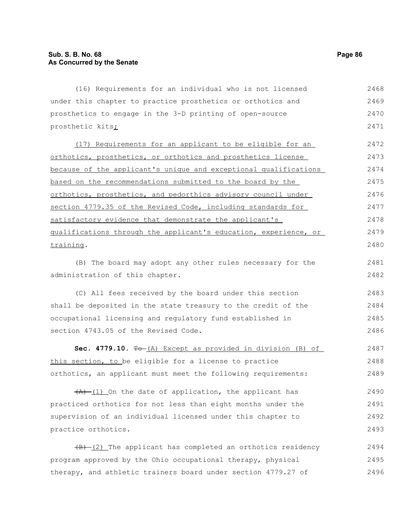(16) Requirements for an individual who is not licensed under this chapter to practice prosthetics or orthotics and prosthetics to engage in the 3-D printing of open-source prosthetic kits; (17) Requirements for an applicant to be eligible for an orthotics, prosthetics, or orthotics and prosthetics license because of the applicant's unique and exceptional qualifications based on the recommendations submitted to the board by the orthotics, prosthetics, and pedorthics advisory council under section 4779.35 of the Revised Code, including standards for satisfactory evidence that demonstrate the applicant's qualifications through the applicant's education, experience, or training. 2468 2469 2470 2471 2472 2473 2474 2475 2476 2477 2478 2479 2480

(B) The board may adopt any other rules necessary for the administration of this chapter.

(C) All fees received by the board under this section shall be deposited in the state treasury to the credit of the occupational licensing and regulatory fund established in section 4743.05 of the Revised Code. 2483 2484 2485 2486

**Sec. 4779.10.**  $F\rightarrow$  (A) Except as provided in division (B) of this section, to be eligible for a license to practice orthotics, an applicant must meet the following requirements: 2487 2488 2489

 $(A)$  (1) On the date of application, the applicant has practiced orthotics for not less than eight months under the supervision of an individual licensed under this chapter to practice orthotics. 2490 2491 2492 2493

 $\overline{(B) - (2)}$  The applicant has completed an orthotics residency program approved by the Ohio occupational therapy, physical therapy, and athletic trainers board under section 4779.27 of 2494 2495 2496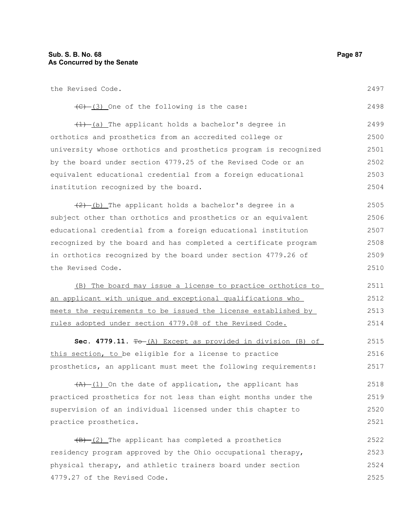4779.27 of the Revised Code.

| the Revised Code.                                                      | 2497 |
|------------------------------------------------------------------------|------|
| $\left(\frac{C}{C}-13\right)$ One of the following is the case:        | 2498 |
| $(1)$ (a) The applicant holds a bachelor's degree in                   | 2499 |
| orthotics and prosthetics from an accredited college or                | 2500 |
| university whose orthotics and prosthetics program is recognized       | 2501 |
| by the board under section 4779.25 of the Revised Code or an           | 2502 |
| equivalent educational credential from a foreign educational           | 2503 |
| institution recognized by the board.                                   | 2504 |
| $(2)$ (b) The applicant holds a bachelor's degree in a                 | 2505 |
| subject other than orthotics and prosthetics or an equivalent          | 2506 |
| educational credential from a foreign educational institution          | 2507 |
| recognized by the board and has completed a certificate program        | 2508 |
| in orthotics recognized by the board under section 4779.26 of          | 2509 |
| the Revised Code.                                                      | 2510 |
| (B) The board may issue a license to practice orthotics to             | 2511 |
| <u>an applicant with unique and exceptional qualifications who</u>     | 2512 |
| meets the requirements to be issued the license established by         | 2513 |
| rules adopted under section 4779.08 of the Revised Code.               | 2514 |
| Sec. 4779.11. $F\rightarrow$ (A) Except as provided in division (B) of | 2515 |
| this section, to be eligible for a license to practice                 | 2516 |
| prosthetics, an applicant must meet the following requirements:        | 2517 |
| $(A)$ $(1)$ On the date of application, the applicant has              | 2518 |
| practiced prosthetics for not less than eight months under the         | 2519 |
| supervision of an individual licensed under this chapter to            | 2520 |
| practice prosthetics.                                                  | 2521 |
| $(B)$ (2) The applicant has completed a prosthetics                    | 2522 |
| residency program approved by the Ohio occupational therapy,           | 2523 |
| physical therapy, and athletic trainers board under section            | 2524 |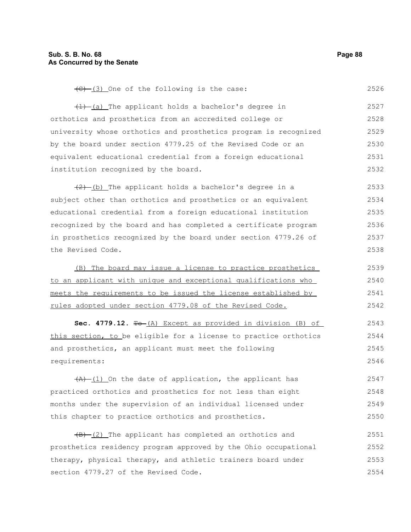$\left(\frac{C}{C}\right)$  (3) One of the following is the case: (1) (a) The applicant holds a bachelor's degree in orthotics and prosthetics from an accredited college or university whose orthotics and prosthetics program is recognized by the board under section 4779.25 of the Revised Code or an equivalent educational credential from a foreign educational institution recognized by the board.  $(2)$  (b) The applicant holds a bachelor's degree in a subject other than orthotics and prosthetics or an equivalent educational credential from a foreign educational institution recognized by the board and has completed a certificate program in prosthetics recognized by the board under section 4779.26 of the Revised Code. (B) The board may issue a license to practice prosthetics to an applicant with unique and exceptional qualifications who meets the requirements to be issued the license established by rules adopted under section 4779.08 of the Revised Code. **Sec. 4779.12.**  $\overline{P}\rightarrow (A)$  Except as provided in division (B) of this section, to be eligible for a license to practice orthotics and prosthetics, an applicant must meet the following requirements:  $(A)$  (1) On the date of application, the applicant has practiced orthotics and prosthetics for not less than eight months under the supervision of an individual licensed under this chapter to practice orthotics and prosthetics. 2526 2527 2528 2529 2530 2531 2532 2533 2534 2535 2536 2537 2538 2539 2540 2541 2542 2543 2544 2545 2546 2547 2548 2549 2550

 $(B)$   $(2)$  The applicant has completed an orthotics and prosthetics residency program approved by the Ohio occupational therapy, physical therapy, and athletic trainers board under section 4779.27 of the Revised Code. 2551 2552 2553 2554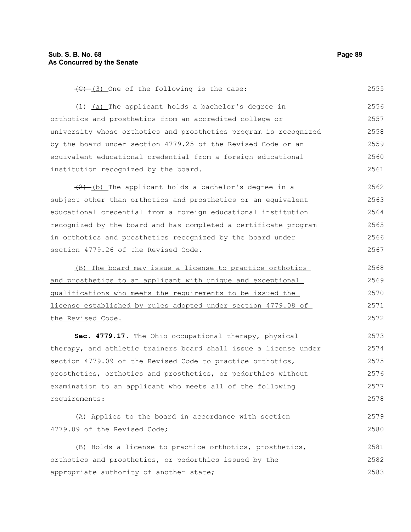$\left(\frac{C}{C}\right)$  (3) One of the following is the case: (1) (a) The applicant holds a bachelor's degree in orthotics and prosthetics from an accredited college or university whose orthotics and prosthetics program is recognized by the board under section 4779.25 of the Revised Code or an equivalent educational credential from a foreign educational institution recognized by the board.  $(2)$  (b) The applicant holds a bachelor's degree in a subject other than orthotics and prosthetics or an equivalent educational credential from a foreign educational institution recognized by the board and has completed a certificate program in orthotics and prosthetics recognized by the board under section 4779.26 of the Revised Code. (B) The board may issue a license to practice orthotics and prosthetics to an applicant with unique and exceptional qualifications who meets the requirements to be issued the license established by rules adopted under section 4779.08 of the Revised Code. **Sec. 4779.17.** The Ohio occupational therapy, physical therapy, and athletic trainers board shall issue a license under section 4779.09 of the Revised Code to practice orthotics, prosthetics, orthotics and prosthetics, or pedorthics without examination to an applicant who meets all of the following requirements: (A) Applies to the board in accordance with section 4779.09 of the Revised Code; (B) Holds a license to practice orthotics, prosthetics, 2555 2556 2557 2558 2559 2560 2561 2562 2563 2564 2565 2566 2567 2568 2569 2570 2571 2572 2573 2574 2575 2576 2577 2578 2579 2580 2581

orthotics and prosthetics, or pedorthics issued by the appropriate authority of another state; 2582 2583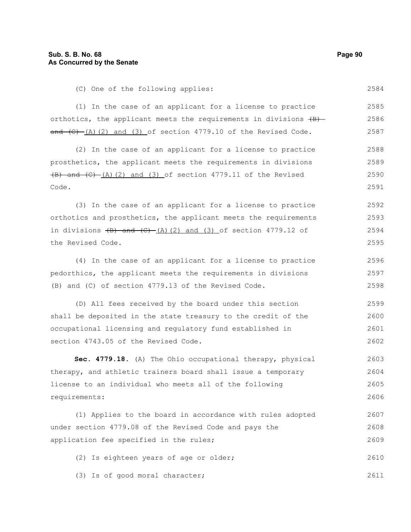2584

(C) One of the following applies:

(1) In the case of an applicant for a license to practice orthotics, the applicant meets the requirements in divisions  $\overline{B}$ ) and  $(C)$  (A)(2) and (3) of section 4779.10 of the Revised Code. 2585 2586 2587

(2) In the case of an applicant for a license to practice prosthetics, the applicant meets the requirements in divisions  $(B)$  and  $(C)$  (A)(2) and (3) of section 4779.11 of the Revised Code. 2588 2589 2590 2591

(3) In the case of an applicant for a license to practice orthotics and prosthetics, the applicant meets the requirements in divisions  $\overline{(B)}$  and  $\overline{(C)}$  (A)(2) and (3) of section 4779.12 of the Revised Code. 2592 2593 2594 2595

(4) In the case of an applicant for a license to practice pedorthics, the applicant meets the requirements in divisions (B) and (C) of section 4779.13 of the Revised Code. 2596 2597 2598

(D) All fees received by the board under this section shall be deposited in the state treasury to the credit of the occupational licensing and regulatory fund established in section 4743.05 of the Revised Code. 2599 2600 2601 2602

**Sec. 4779.18.** (A) The Ohio occupational therapy, physical therapy, and athletic trainers board shall issue a temporary license to an individual who meets all of the following requirements: 2603 2604 2605 2606

(1) Applies to the board in accordance with rules adopted under section 4779.08 of the Revised Code and pays the application fee specified in the rules; 2607 2608 2609

(2) Is eighteen years of age or older; 2610

(3) Is of good moral character; 2611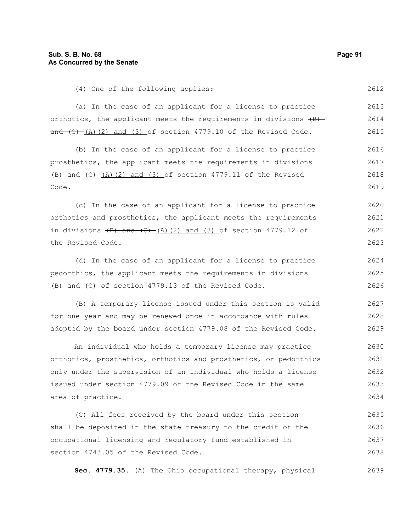(4) One of the following applies:

(a) In the case of an applicant for a license to practice orthotics, the applicant meets the requirements in divisions  $\overline{B}$ ) and  $(C)$  (A)(2) and (3) of section 4779.10 of the Revised Code. 2613 2614 2615

(b) In the case of an applicant for a license to practice prosthetics, the applicant meets the requirements in divisions  $(B)$  and  $(C)$  (A)(2) and (3) of section 4779.11 of the Revised Code. 2616 2617 2618 2619

(c) In the case of an applicant for a license to practice orthotics and prosthetics, the applicant meets the requirements in divisions  $\overline{(B)}$  and  $\overline{(C)}$  (A)(2) and (3) of section 4779.12 of the Revised Code. 2620 2621 2622 2623

(d) In the case of an applicant for a license to practice pedorthics, the applicant meets the requirements in divisions (B) and (C) of section 4779.13 of the Revised Code. 2624 2625 2626

(B) A temporary license issued under this section is valid for one year and may be renewed once in accordance with rules adopted by the board under section 4779.08 of the Revised Code. 2627 2628 2629

An individual who holds a temporary license may practice orthotics, prosthetics, orthotics and prosthetics, or pedorthics only under the supervision of an individual who holds a license issued under section 4779.09 of the Revised Code in the same area of practice. 2630 2631 2632 2633 2634

(C) All fees received by the board under this section shall be deposited in the state treasury to the credit of the occupational licensing and regulatory fund established in section 4743.05 of the Revised Code. 2635 2636 2637 2638

**Sec. 4779.35.** (A) The Ohio occupational therapy, physical 2639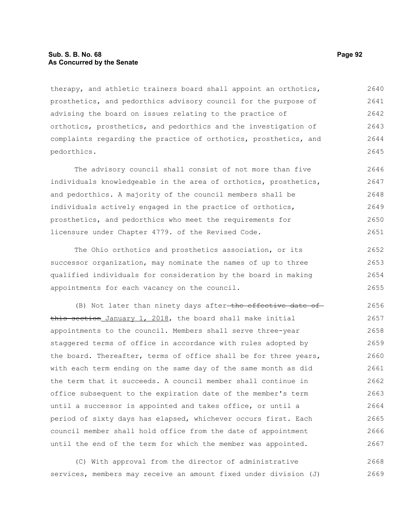# **Sub. S. B. No. 68 Page 92 As Concurred by the Senate**

therapy, and athletic trainers board shall appoint an orthotics, prosthetics, and pedorthics advisory council for the purpose of advising the board on issues relating to the practice of orthotics, prosthetics, and pedorthics and the investigation of complaints regarding the practice of orthotics, prosthetics, and pedorthics. 2640 2641 2642 2643 2644 2645

The advisory council shall consist of not more than five individuals knowledgeable in the area of orthotics, prosthetics, and pedorthics. A majority of the council members shall be individuals actively engaged in the practice of orthotics, prosthetics, and pedorthics who meet the requirements for licensure under Chapter 4779. of the Revised Code. 2646 2647 2648 2649 2650 2651

The Ohio orthotics and prosthetics association, or its successor organization, may nominate the names of up to three qualified individuals for consideration by the board in making appointments for each vacancy on the council. 2652 2653 2654 2655

(B) Not later than ninety days after-the effective date ofthis section January 1, 2018, the board shall make initial appointments to the council. Members shall serve three-year staggered terms of office in accordance with rules adopted by the board. Thereafter, terms of office shall be for three years, with each term ending on the same day of the same month as did the term that it succeeds. A council member shall continue in office subsequent to the expiration date of the member's term until a successor is appointed and takes office, or until a period of sixty days has elapsed, whichever occurs first. Each council member shall hold office from the date of appointment until the end of the term for which the member was appointed. 2656 2657 2658 2659 2660 2661 2662 2663 2664 2665 2666 2667

(C) With approval from the director of administrative services, members may receive an amount fixed under division (J) 2668 2669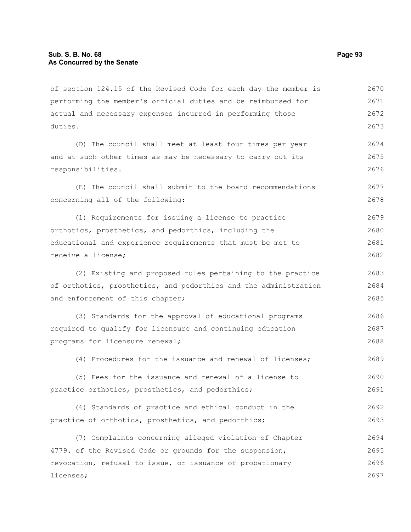of section 124.15 of the Revised Code for each day the member is performing the member's official duties and be reimbursed for actual and necessary expenses incurred in performing those duties. (D) The council shall meet at least four times per year and at such other times as may be necessary to carry out its responsibilities. (E) The council shall submit to the board recommendations concerning all of the following: (1) Requirements for issuing a license to practice orthotics, prosthetics, and pedorthics, including the educational and experience requirements that must be met to receive a license; (2) Existing and proposed rules pertaining to the practice of orthotics, prosthetics, and pedorthics and the administration and enforcement of this chapter; (3) Standards for the approval of educational programs required to qualify for licensure and continuing education programs for licensure renewal; (4) Procedures for the issuance and renewal of licenses; (5) Fees for the issuance and renewal of a license to practice orthotics, prosthetics, and pedorthics; (6) Standards of practice and ethical conduct in the practice of orthotics, prosthetics, and pedorthics; (7) Complaints concerning alleged violation of Chapter 4779. of the Revised Code or grounds for the suspension, revocation, refusal to issue, or issuance of probationary 2670 2671 2672 2673 2674 2675 2676 2677 2678 2679 2680 2681 2682 2683 2684 2685 2686 2687 2688 2689 2690 2691 2692 2693 2694 2695 2696

```
licenses;
```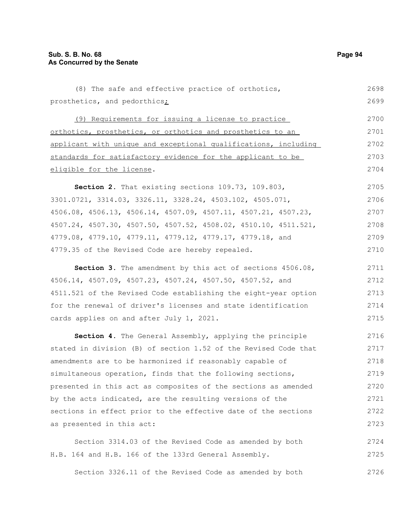| (8) The safe and effective practice of orthotics,               | 2698 |
|-----------------------------------------------------------------|------|
| prosthetics, and pedorthics <u>;</u>                            | 2699 |
| (9) Requirements for issuing a license to practice              | 2700 |
| orthotics, prosthetics, or orthotics and prosthetics to an      | 2701 |
| applicant with unique and exceptional qualifications, including | 2702 |
| standards for satisfactory evidence for the applicant to be     | 2703 |
| <u>eligible for the license</u> .                               | 2704 |
| Section 2. That existing sections 109.73, 109.803,              | 2705 |
| 3301.0721, 3314.03, 3326.11, 3328.24, 4503.102, 4505.071,       | 2706 |
| 4506.08, 4506.13, 4506.14, 4507.09, 4507.11, 4507.21, 4507.23,  | 2707 |
| 4507.24, 4507.30, 4507.50, 4507.52, 4508.02, 4510.10, 4511.521, | 2708 |
| 4779.08, 4779.10, 4779.11, 4779.12, 4779.17, 4779.18, and       | 2709 |
| 4779.35 of the Revised Code are hereby repealed.                | 2710 |
| Section 3. The amendment by this act of sections 4506.08,       | 2711 |
| 4506.14, 4507.09, 4507.23, 4507.24, 4507.50, 4507.52, and       | 2712 |
| 4511.521 of the Revised Code establishing the eight-year option | 2713 |
| for the renewal of driver's licenses and state identification   | 2714 |
| cards applies on and after July 1, 2021.                        | 2715 |
| Section 4. The General Assembly, applying the principle         | 2716 |
| stated in division (B) of section 1.52 of the Revised Code that | 2717 |
| amendments are to be harmonized if reasonably capable of        | 2718 |
| simultaneous operation, finds that the following sections,      | 2719 |
| presented in this act as composites of the sections as amended  | 2720 |
| by the acts indicated, are the resulting versions of the        | 2721 |
| sections in effect prior to the effective date of the sections  | 2722 |
| as presented in this act:                                       | 2723 |
| Section 3314.03 of the Revised Code as amended by both          | 2724 |
| H.B. 164 and H.B. 166 of the 133rd General Assembly.            | 2725 |
|                                                                 |      |

Section 3326.11 of the Revised Code as amended by both 2726